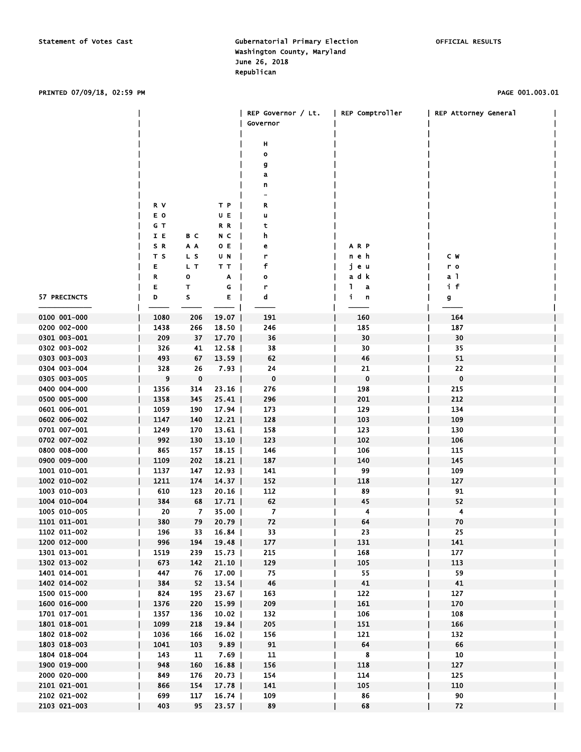#### PRINTED 07/09/18, 02:59 PM PAGE 001.003.01

|                              |             |             |                | REP Governor / Lt.<br>Governor | REP Comptroller | REP Attorney General |  |
|------------------------------|-------------|-------------|----------------|--------------------------------|-----------------|----------------------|--|
|                              |             |             |                | н                              |                 |                      |  |
|                              |             |             |                | $\mathbf{o}$                   |                 |                      |  |
|                              |             |             |                | g                              |                 |                      |  |
|                              |             |             |                | a                              |                 |                      |  |
|                              |             |             |                | n                              |                 |                      |  |
|                              |             |             |                |                                |                 |                      |  |
|                              | R V         |             | ТP             | R                              |                 |                      |  |
|                              | E O         |             | UE             | u                              |                 |                      |  |
|                              | GТ          |             | R R            | t                              |                 |                      |  |
|                              | IE          | B C         | N C            | h                              |                 |                      |  |
|                              | S R         | A A         | O E            | е                              | A R P           |                      |  |
|                              | T S         | L S         | U N            | r                              | neh             | C W                  |  |
|                              | Е           | L T         | TТ             | f                              | jеu             | r o                  |  |
|                              | R           | о           | A              | $\mathbf{o}$                   | a d k           | a 1                  |  |
|                              | Е           | т           | G              | r                              | Т.<br>a         | if                   |  |
| 57 PRECINCTS                 | D           | s           | Е              | d                              | i.<br>n         | g                    |  |
|                              |             |             |                |                                |                 |                      |  |
| 0100 001-000                 | 1080        | 206         | 19.07          | 191                            | 160             | 164                  |  |
| 0200 002-000                 | 1438        | 266         | 18.50          | 246                            | 185             | 187                  |  |
| 0301 003-001                 | 209         | 37          | $17.70$        | 36                             | 30              | 30                   |  |
| 0302 003-002                 | 326         | 41          | 12.58          | 38                             | 30              | 35                   |  |
| 0303 003-003                 | 493         | 67          | 13.59          | 62                             | 46              | 51                   |  |
| 0304 003-004                 | 328         | 26          | $7.93$         | 24                             | 21              | 22                   |  |
| 0305 003-005                 | 9           | $\mathbf 0$ |                | $\mathbf 0$                    | 0               | 0                    |  |
| 0400 004-000                 | 1356        | 314         | 23.16          | 276                            | 198             | 215                  |  |
| 0500 005-000                 | 1358        | 345         | 25.41          | 296                            | 201             | 212                  |  |
| 0601 006-001                 | 1059        | 190         | 17.94          | 173                            | 129             | 134                  |  |
| 0602 006-002                 | 1147        | 140         | 12.21          | 128                            | 103             | 109                  |  |
| 0701 007-001<br>0702 007-002 | 1249        | 170         | 13.61          | 158                            | 123<br>102      | 130                  |  |
| 0800 008-000                 | 992         | 130<br>157  | 13.10          | 123                            | 106             | 106<br>115           |  |
| 0900 009-000                 | 865<br>1109 | 202         | 18.15<br>18.21 | 146<br>187                     | 140             | 145                  |  |
| 1001 010-001                 | 1137        | 147         | 12.93          | 141                            | 99              | 109                  |  |
| 1002 010-002                 | 1211        | 174         | 14.37          | 152                            | 118             | 127                  |  |
| 1003 010-003                 | 610         | 123         | $20.16$        | 112                            | 89              | 91                   |  |
| 1004 010-004                 | 384         | 68          | 17.71          | 62                             | 45              | 52                   |  |
| 1005 010-005                 | 20          | 7           | 35.00          | 7                              | 4               | 4                    |  |
| 1101 011-001                 | 380         | 79          | 20.79          | 72                             | 64              | 70                   |  |
| 1102 011-002                 | 196         | 33          | $16.84$        | 33                             | 23              | 25                   |  |
| 1200 012-000                 | 996         | 194         | 19.48          | 177                            | 131             | 141                  |  |
| 1301 013-001                 | 1519        | 239         | $15.73$        | 215                            | 168             | 177                  |  |
| 1302 013-002                 | 673         | 142         | $21.10$        | 129                            | 105             | 113                  |  |
| 1401 014-001                 | 447         | 76          | $17.00$        | 75                             | 55              | 59                   |  |
| 1402 014-002                 | 384         | 52          | 13.54          | 46                             | 41              | 41                   |  |
| 1500 015-000                 | 824         | 195         | $23.67$        | 163                            | 122             | 127                  |  |
| 1600 016-000                 | 1376        | 220         | $15.99$        | 209                            | 161             | 170                  |  |
| 1701 017-001                 | 1357        | 136         | $10.02$        | 132                            | 106             | 108                  |  |
| 1801 018-001                 | 1099        | 218         | 19.84          | 205                            | 151             | 166                  |  |
| 1802 018-002                 | 1036        | 166         | $16.02$        | 156                            | 121             | 132                  |  |
| 1803 018-003                 | 1041        | 103         | 9.89           | 91                             | 64              | 66                   |  |
| 1804 018-004                 | 143         | 11          | $7.69$         | 11                             | 8               | 10                   |  |
| 1900 019-000                 | 948         | 160         | 16.88          | 156                            | 118             | 127                  |  |
| 2000 020-000                 | 849         | 176         | $20.73$        | 154                            | 114             | 125                  |  |
| 2101 021-001                 | 866         | 154         | $17.78$        | 141                            | 105             | 110                  |  |
| 2102 021-002                 | 699         | 117         | $16.74$        | 109                            | 86              | 90                   |  |
| 2103 021-003                 | 403         | 95          | $23.57$        | 89                             | 68              | 72                   |  |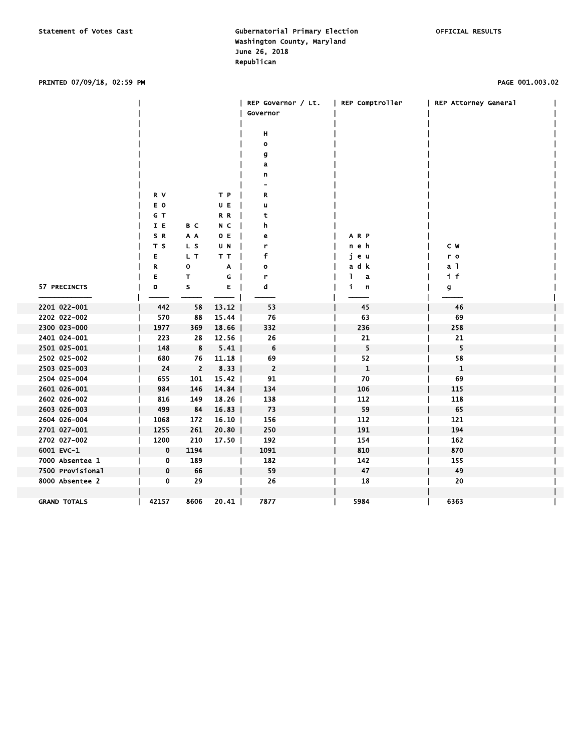### PRINTED 07/09/18, 02:59 PM PAGE 001.003.02

|                     |             |                |         | REP Governor / Lt.<br>Governor | REP Comptroller | REP Attorney General |  |
|---------------------|-------------|----------------|---------|--------------------------------|-----------------|----------------------|--|
|                     |             |                |         |                                |                 |                      |  |
|                     |             |                |         | н                              |                 |                      |  |
|                     |             |                |         | $\mathbf{o}$                   |                 |                      |  |
|                     |             |                |         | g                              |                 |                      |  |
|                     |             |                |         | a                              |                 |                      |  |
|                     |             |                |         | n                              |                 |                      |  |
|                     |             |                |         |                                |                 |                      |  |
|                     | R V         |                | T P     | R                              |                 |                      |  |
|                     | E O         |                | U E     | u                              |                 |                      |  |
|                     | G T         |                | R R     | t                              |                 |                      |  |
|                     | I E         | B C            | N C     | h                              |                 |                      |  |
|                     | SR          | A A            | O E     | е                              | ARP             |                      |  |
|                     | T S         | L S            | U N     | r                              | n e h           | C W                  |  |
|                     | E           | L T            | T T     | f                              | jеu             | r o                  |  |
|                     | R           | о              | A       | о                              | adk             | a <sub>1</sub>       |  |
|                     | E           | Τ              | G       | r                              | L<br>a          | if                   |  |
| 57 PRECINCTS        | D           | s              | E.      | d                              | j.<br>n         | g                    |  |
|                     |             |                |         |                                |                 |                      |  |
| 2201 022-001        | 442         | 58             | 13.12   | 53                             | 45              | 46                   |  |
| 2202 022-002        | 570         | 88             | 15.44   | 76                             | 63              | 69                   |  |
| 2300 023-000        | 1977        | 369            | 18.66   | 332                            | 236             | 258                  |  |
| 2401 024-001        | 223         | 28             | $12.56$ | 26                             | 21              | 21                   |  |
| 2501 025-001        | 148         | 8              | 5.41    | 6                              | 5               | 5                    |  |
| 2502 025-002        | 680         | 76             | 11.18   | 69                             | 52              | 58                   |  |
| 2503 025-003        | 24          | $\overline{2}$ | $8.33$  | $\overline{2}$                 | $\mathbf{1}$    | $\mathbf{1}$         |  |
| 2504 025-004        | 655         | 101            | $15.42$ | 91                             | 70              | 69                   |  |
| 2601 026-001        | 984         | 146            | 14.84   | 134                            | 106             | 115                  |  |
| 2602 026-002        | 816         | 149            | $18.26$ | 138                            | 112             | 118                  |  |
| 2603 026-003        | 499         | 84             | 16.83   | 73                             | 59              | 65                   |  |
| 2604 026-004        | 1068        | 172            | $16.10$ | 156                            | 112             | 121                  |  |
| 2701 027-001        | 1255        | 261            | $20.80$ | 250                            | 191             | 194                  |  |
| 2702 027-002        | 1200        | 210            | 17.50   | 192                            | 154             | 162                  |  |
| 6001 EVC-1          | $\mathbf 0$ | 1194           |         | 1091                           | 810             | 870                  |  |
| 7000 Absentee 1     | 0           | 189            |         | 182                            | 142             | 155                  |  |
| 7500 Provisional    | 0           | 66             |         | 59                             | 47              | 49                   |  |
| 8000 Absentee 2     | $\mathbf 0$ | 29             |         | 26                             | 18              | 20                   |  |
|                     |             |                |         |                                |                 |                      |  |
| <b>GRAND TOTALS</b> | 42157       | 8606           | 20.41   | 7877                           | 5984            | 6363                 |  |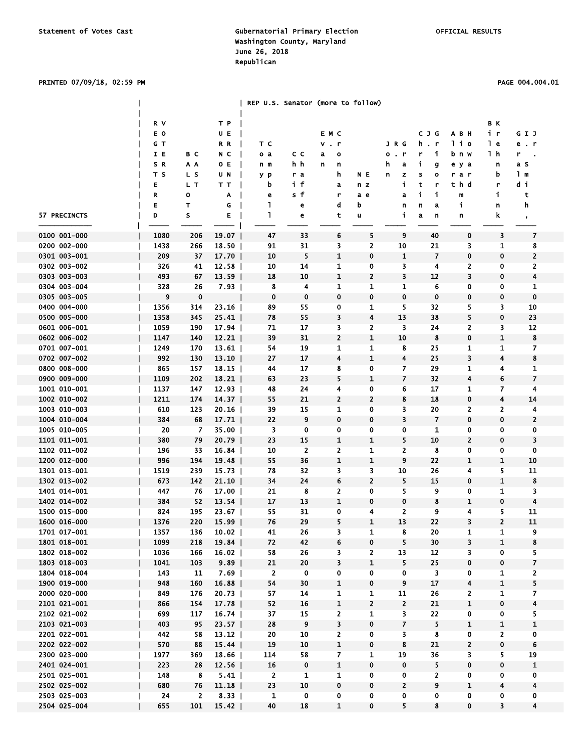#### PRINTED 07/09/18, 02:59 PM PAGE 004.004.01

|              |      |             |         |                |                | REP U.S. Senator (more to follow) |                         |                         |                          |                |                         |                |
|--------------|------|-------------|---------|----------------|----------------|-----------------------------------|-------------------------|-------------------------|--------------------------|----------------|-------------------------|----------------|
|              | R V  |             | TР      |                |                |                                   |                         |                         |                          |                | B K                     |                |
|              | E O  |             | UE      |                |                | EMC                               |                         |                         | <b>CJG</b>               | A B H          | iг                      | GIJ            |
|              | GТ   |             | R R     | тc             |                | $v$ . $r$                         |                         | J R G                   | h.r                      | lio            | l e                     | e.r            |
|              | IE   | B C         | N C     | o a            | сc             | a<br>$\bullet$                    |                         | . r<br>o                | j.<br>r                  | b n w          | 1 h                     | ۳              |
|              | SR   | A A         | O E     | n m            | h h            | n<br>n                            |                         | h<br>a                  | j.<br>g                  | e y a          | n                       | a s            |
|              | T S  | L S         |         |                |                |                                   |                         |                         |                          |                | b                       | 1 <sub>m</sub> |
|              |      |             | U N     | y p            | rа             | h.                                | N E                     | n<br>z                  | s<br>$\circ$             | rar            |                         |                |
|              | Е    | L T         | тт      | b              | if             | a                                 | n z                     | j.                      | t<br>r                   | thd            | r                       | di             |
|              | R    | о           | Α       | е              | s f            | r                                 | a e                     | a                       | i.<br>i                  | m              | j.                      | t              |
|              | E    | т           | G       | ı              | e              | d                                 | b                       | n                       | n<br>a                   | i              | n                       | h              |
| 57 PRECINCTS | D    | S           | Е       | 1              | e              | t                                 | u                       | i                       | a<br>n                   | n              | k.                      | $\bullet$      |
| 0100 001-000 | 1080 | 206         | 19.07   | 47             | 33             | 6                                 | 5                       | 9                       | 40                       | 0              | 3                       | 7              |
| 0200 002-000 | 1438 | 266         | 18.50   | 91             | 31             | 3                                 | $\overline{\mathbf{2}}$ | 10                      | 21                       | 3              | 1                       |                |
| 0301 003-001 | 209  | 37          | $17.70$ | 10             | 5              | $\mathbf{1}$                      | 0                       | $\mathbf{1}$            | $\overline{\phantom{a}}$ | $\mathbf 0$    | 0                       | 2              |
| 0302 003-002 | 326  | 41          | $12.58$ | 10             | 14             | 1                                 | 0                       | 3                       | 4                        | 2              | 0                       |                |
| 0303 003-003 | 493  | 67          | $13.59$ | 18             | 10             | $\mathbf{1}$                      | 2                       | 3                       | 12                       | 3              | 0                       |                |
| 0304 003-004 | 328  | 26          | 7.93    | 8              | 4              | 1                                 | 1                       | 1                       | 6                        | 0              | 0                       | 1              |
| 0305 003-005 | 9    | 0           |         | $\mathbf 0$    | $\mathbf 0$    | 0                                 | 0                       | 0                       | $\pmb{0}$                | $\mathbf 0$    | 0                       | $\mathbf C$    |
|              |      |             |         |                |                |                                   |                         |                         |                          |                |                         |                |
| 0400 004-000 | 1356 | 314         | 23.16   | 89             | 55             | 0                                 | 1                       | 5                       | 32                       | 5              | 3                       | 10             |
| 0500 005-000 | 1358 | 345         | $25.41$ | 78             | 55             | 3                                 | 4                       | 13                      | 38                       | 5              | 0                       | 23             |
| 0601 006-001 | 1059 | 190         | 17.94   | 71             | 17             | 3                                 | 2                       | 3                       | 24                       | 2              | 3                       | 12             |
| 0602 006-002 | 1147 | 140         | $12.21$ | 39             | 31             | 2                                 | 1                       | 10                      | 8                        | 0              | 1                       | ξ              |
| 0701 007-001 | 1249 | 170         | $13.61$ | 54             | 19             | 1                                 | 1                       | 8                       | 25                       | 1              | 1                       | 7              |
| 0702 007-002 | 992  | 130         | $13.10$ | 27             | 17             | 4                                 | 1                       | 4                       | 25                       | 3              | 4                       | ξ              |
| 0800 008-000 | 865  | 157         | $18.15$ | 44             | 17             | 8                                 | 0                       | 7                       | 29                       | 1              | 4                       | 1              |
| 0900 009-000 | 1109 | 202         | 18.21   | 63             | 23             | 5                                 | 1                       | $\overline{\mathbf{z}}$ | 32                       | 4              | 6                       | 7              |
| 1001 010-001 | 1137 | 147         | 12.93   | 48             | 24             | 4                                 | 0                       | 6                       | 17                       | 1              | 7                       |                |
| 1002 010-002 | 1211 | 174         | 14.37   | 55             | 21             | $\overline{2}$                    | $\overline{\mathbf{c}}$ | 8                       | 18                       | 0              | $\overline{\mathbf{4}}$ | 14             |
| 1003 010-003 | 610  | 123         | $20.16$ | 39             | 15             | 1                                 | 0                       | 3                       | 20                       | 2              | 2                       |                |
| 1004 010-004 | 384  | 68          | $17.71$ | 22             | 9              | 0                                 | 0                       | 3                       | $\overline{\phantom{a}}$ | $\mathbf 0$    | 0                       |                |
| 1005 010-005 | 20   | 7           | 35.OO   | 3              | 0              | 0                                 | 0                       | 0                       | 1                        | 0              | 0                       | C              |
| 1101 011-001 | 380  | 79          | $20.79$ | 23             | 15             | 1                                 | 1                       | 5                       | 10                       | $\overline{2}$ | 0                       | Ē              |
| 1102 011-002 | 196  | 33          | 16.84   | 10             | $\overline{2}$ | 2                                 | 1                       | 2                       | 8                        | 0              | 0                       | ſ              |
| 1200 012-000 | 996  | 194         | 19.48   | 55             | 36             | $\mathbf{1}$                      | 1                       | 9                       | 22                       | $\mathbf{1}$   | 1                       | $\mathbf{1}$   |
| 1301 013-001 | 1519 | 239         | $15.73$ | 78             | 32             | 3                                 | 3                       | 10                      | 26                       | 4              | 5                       | 11             |
| 1302 013-002 | 673  | 142         | $21.10$ | 34             | 24             | 6                                 | 2                       | 5                       | 15                       | $\mathbf 0$    | 1                       | ξ              |
| 1401 014-001 | 447  | 76          | $17.00$ | 21             | 8              | 2                                 | 0                       | 5                       | 9                        | 0              | 1                       | З              |
| 1402 014-002 | 384  | 52          | 13.54   | 17             | 13             | $\mathbf{1}$                      | 0                       | 0                       | 8                        | $\mathbf{1}$   | 0                       |                |
| 1500 015-000 | 824  | 195         | $23.67$ | 55             | 31             | 0                                 | 4                       | 2                       | 9                        | 4              | 5                       | 11             |
| 1600 016-000 | 1376 | 220         | $15.99$ | 76             | 29             | 5                                 | 1                       | 13                      | 22                       | 3              | 2                       | 11             |
|              |      |             |         |                |                |                                   |                         |                         |                          |                |                         |                |
| 1701 017-001 | 1357 | 136         | 10.02   | 41             | 26             | 3                                 | 1                       | 8                       | 20                       | 1              | 1                       |                |
| 1801 018-001 | 1099 | 218         | 19.84   | 72             | 42             | 6                                 | 0                       | 5                       | 30                       | 3              | $\mathbf{1}$            |                |
| 1802 018-002 | 1036 | 166         | 16.02   | 58             | 26             | 3                                 | $\overline{2}$          | 13                      | 12                       | 3              | 0                       |                |
| 1803 018-003 | 1041 | 103         | 9.89    | 21             | 20             | 3                                 | $\mathbf{1}$            | 5                       | 25                       | $\pmb{0}$      | 0                       | 7              |
| 1804 018-004 | 143  | 11          | 7.69    | $\overline{2}$ | $\mathbf 0$    | 0                                 | 0                       | 0                       | 3                        | 0              | 1                       |                |
| 1900 019-000 | 948  | 160         | 16.88   | 54             | 30             | $\mathbf 1$                       | 0                       | 9                       | 17                       | 4              | 1                       |                |
| 2000 020-000 | 849  | 176         | $20.73$ | 57             | 14             | 1                                 | 1                       | 11                      | 26                       | 2              | $\mathbf{1}$            |                |
| 2101 021-001 | 866  | 154         | $17.78$ | 52             | 16             | $\mathbf{1}$                      | $\mathbf{z}$            | $\overline{2}$          | 21                       | $\mathbf{1}$   | $\mathbf 0$             |                |
| 2102 021-002 | 699  | 117         | $16.74$ | 37             | 15             | 2                                 | 1                       | 3                       | 22                       | 0              | 0                       |                |
| 2103 021-003 | 403  | 95          | $23.57$ | 28             | 9              | 3                                 | 0                       | $\overline{7}$          | 5                        | $\mathbf{1}$   | 1                       |                |
| 2201 022-001 | 442  | 58          | 13.12   | 20             | 10             | 2                                 | 0                       | 3.                      | 8                        | 0              | 2                       | C              |
| 2202 022-002 | 570  | 88          | 15.44   | 19             | 10             | $\mathbf{1}$                      | 0                       | 8                       | 21                       | $\overline{2}$ | 0                       | 6              |
| 2300 023-000 | 1977 | 369         | 18.66   | 114            | 58             | $\overline{7}$                    | $\mathbf{1}$            | 19                      | 36                       | 3              | 5                       | <b>19</b>      |
| 2401 024-001 | 223  | 28          | 12.56   | 16             | $\bf{0}$       | $\mathbf{1}$                      | 0                       | $\mathbf 0$             | 5                        | 0              | 0                       | 1              |
| 2501 025-001 | 148  | 8           | $5.41$  | $\mathbf{2}$   | 1              | 1                                 | 0                       | 0                       | $\mathbf{2}$             | 0              | 0                       | C              |
| 2502 025-002 | 680  | 76          | 11.18   | 23             | 10             | 0                                 | 0                       | $\mathbf{2}$            | 9                        | $\mathbf{1}$   | 4                       |                |
| 2503 025-003 | 24   | $2^{\circ}$ | 8.33    | $\mathbf{1}$   | $\mathbf{0}$   | $\mathbf 0$                       | 0                       | 0                       | $\overline{0}$           | $\mathbf 0$    | $\mathbf 0$             |                |
|              |      |             |         |                |                |                                   |                         |                         |                          |                |                         |                |

2504 025-004 │ 655 101 15.42 │ 40 18 1 0 5 8 0 3 4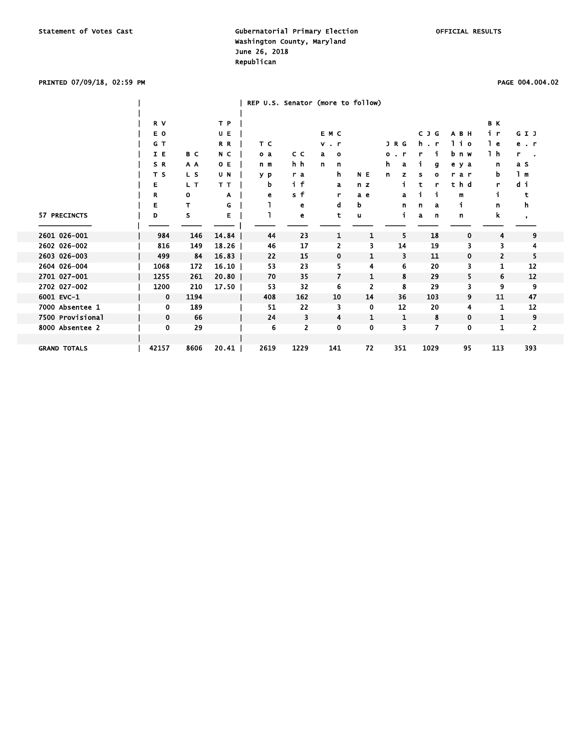### PRINTED 07/09/18, 02:59 PM PAGE 004.004.02

|                     |             |      |       | REP U.S. Senator (more to follow) |                |                |              |                     |          |             |                |           |  |
|---------------------|-------------|------|-------|-----------------------------------|----------------|----------------|--------------|---------------------|----------|-------------|----------------|-----------|--|
|                     |             |      |       |                                   |                |                |              |                     |          |             |                |           |  |
|                     | R V         |      | T P   |                                   |                |                |              |                     |          |             | B K            |           |  |
|                     | E O         |      | U E   |                                   |                | E M C          |              |                     | C J G    | A B H       | i r            | GIJ       |  |
|                     | G T         |      | R R   | T C                               |                | $v$ . $r$      |              | J R G               | h.<br>-r | lio         | l e            | $e$ . $r$ |  |
|                     | I E         | B C  | N C   | o a                               | c c            | a<br>$\circ$   |              | ۰<br>$\blacksquare$ |          | bnw         | 1 h            | r         |  |
|                     | SR          | A A  | O E   | n m                               | h h            | n<br>n         |              | h.<br>a             | g        | e y a       | n              | a s       |  |
|                     | T S         | L S  | U N   | y p                               | r a            | h              | N E          | n<br>z              | ٥<br>s   | rar         | b              | 1 m       |  |
|                     | Е           | L T  | T T   | b                                 | i f            | a              | n z          |                     | t<br>r   | thd         | r              | di        |  |
|                     | R           | 0    | A     | е                                 | s f            | r              | a e          | a                   |          | m           | i              | t         |  |
|                     | Е           | т    | G     |                                   | e              | d              | b            | n                   | a<br>n   | j           | n              | h         |  |
| 57 PRECINCTS        | D           | s    | Е     |                                   | e              | t              | u            | i                   | a<br>n   | n           | k              | $\,$      |  |
|                     |             |      |       |                                   |                |                |              |                     |          |             |                |           |  |
| 2601 026-001        | 984         | 146  | 14.84 | 44                                | 23             | 1              | 1            | 5                   | 18       | $\mathbf 0$ | 4              | 9         |  |
| 2602 026-002        | 816         | 149  | 18.26 | 46                                | 17             | 2              | 3            | 14                  | 19       | з           | 3              | 4         |  |
| 2603 026-003        | 499         | 84   | 16.83 | 22                                | 15             | $\mathbf 0$    | $\mathbf{1}$ | 3                   | 11       | 0           | $\overline{2}$ | 5         |  |
| 2604 026-004        | 1068        | 172  | 16.10 | 53                                | 23             | 5              | 4            | 6                   | 20       | 3           | 1              | 12        |  |
| 2701 027-001        | 1255        | 261  | 20.80 | 70                                | 35             | $\overline{7}$ | $\mathbf{1}$ | 8                   | 29       | 5           | 6              | 12        |  |
| 2702 027-002        | 1200        | 210  | 17.50 | 53                                | 32             | 6              | 2            | 8                   | 29       | 3           | 9              | 9         |  |
| 6001 EVC-1          | $\mathbf 0$ | 1194 |       | 408                               | 162            | 10             | 14           | 36                  | 103      | 9           | 11             | 47        |  |
| 7000 Absentee 1     | 0           | 189  |       | 51                                | 22             | 3              | 0            | 12                  | 20       | 4           | 1              | 12        |  |
| 7500 Provisional    | $\mathbf 0$ | 66   |       | 24                                | 3              | $\overline{4}$ | $\mathbf{1}$ | 1                   | 8        | 0           | 1              | 9         |  |
| 8000 Absentee 2     | 0           | 29   |       | 6                                 | $\overline{2}$ | 0              | 0            | 3                   | 7        | 0           | 1              | 2         |  |
|                     |             |      |       |                                   |                |                |              |                     |          |             |                |           |  |
| <b>GRAND TOTALS</b> | 42157       | 8606 | 20.41 | 2619                              | 1229           | 141            | 72           | 351                 | 1029     | 95          | 113            | 393       |  |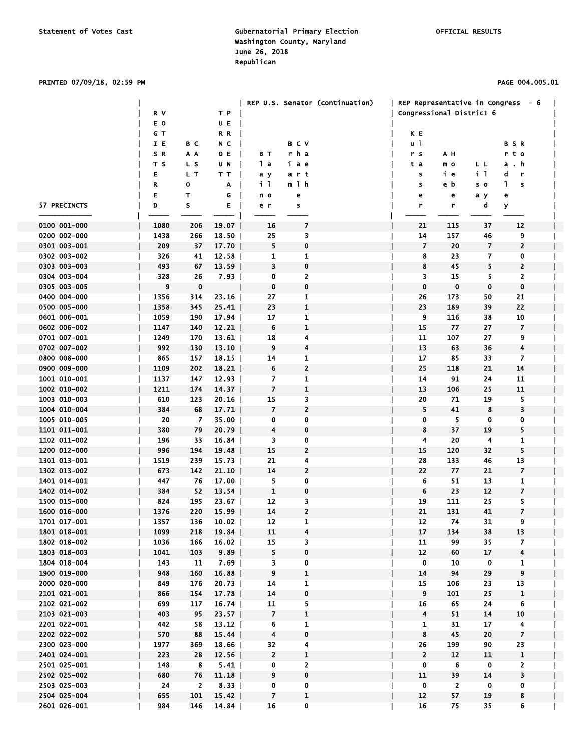### PRINTED 07/09/18, 02:59 PM PAGE 004.005.01

|                              |             |              |                    |                         |                              | REP U.S. Senator (continuation) | REP Representative in Congress - 6 |                |                         |                          |  |
|------------------------------|-------------|--------------|--------------------|-------------------------|------------------------------|---------------------------------|------------------------------------|----------------|-------------------------|--------------------------|--|
|                              | R V         |              | T P                |                         |                              |                                 | Congressional District 6           |                |                         |                          |  |
|                              | E O         |              | U E                |                         |                              |                                 |                                    |                |                         |                          |  |
|                              | G T         |              | R R                |                         |                              |                                 | K E                                |                |                         |                          |  |
|                              | I E         | B C          | N C                |                         | <b>BCV</b>                   |                                 | u 1                                |                |                         | <b>BSR</b>               |  |
|                              | SR          | A A          | O E                | вт                      | rha                          |                                 | r s                                | АН             |                         | t o<br>r.                |  |
|                              | T S         | L S          | U N                | lа                      | іае                          |                                 | t a                                | m o            | LL                      | . h<br>a                 |  |
|                              | Е           | L T          | тт                 | aу                      | art                          |                                 | s                                  | iе             | i 1                     | d<br>r                   |  |
|                              | R           | o            | Α                  | i I                     | n 1 h                        |                                 | s                                  | e b            | s o                     | L<br>s                   |  |
|                              | Е           | т            | G                  | n o                     | e                            |                                 | e                                  | e              | аy                      | e                        |  |
| 57 PRECINCTS                 | D           | S            | Е                  | e r                     | s                            |                                 | r                                  | r              | d                       | У                        |  |
|                              |             |              |                    |                         |                              |                                 |                                    |                |                         |                          |  |
| 0100 001-000                 | 1080        | 206          | 19.07              | 16                      | 7                            |                                 | 21                                 | 115            | 37                      | 12                       |  |
| 0200 002-000                 | 1438        | 266          | $18.50$            | 25                      | 3                            |                                 | 14                                 | 157            | 46                      | 9                        |  |
| 0301 003-001                 | 209         | 37           | $17.70$            | 5                       | 0                            |                                 | 7                                  | 20             | 7                       | 2                        |  |
| 0302 003-002                 | 326         | 41           | 12.58              | 1                       | 1                            |                                 | 8                                  | 23             | 7                       | 0                        |  |
| 0303 003-003                 | 493         | 67           | $13.59$            | 3                       | $\mathbf 0$                  |                                 | 8                                  | 45             | 5                       | 2                        |  |
| 0304 003-004                 | 328         | 26           | 7.93               | 0                       | $\overline{2}$               |                                 | 3                                  | 15             | 5                       | 2                        |  |
| 0305 003-005                 | 9           | 0            |                    | 0                       | $\pmb{0}$                    |                                 | 0                                  | $\bf{0}$       | 0                       | $\bf{0}$                 |  |
| 0400 004-000                 | 1356        | 314          | 23.16              | 27                      | 1                            |                                 | 26                                 | 173            | 50                      | 21                       |  |
| 0500 005-000                 | 1358        | 345          | $25.41$            | 23                      | $\mathbf{1}$                 |                                 | 23                                 | 189            | 39                      | 22                       |  |
| 0601 006-001                 | 1059        | 190          | 17.94<br>12.21     | 17                      | 1                            |                                 | 9<br>15                            | 116            | 38                      | 10                       |  |
| 0602 006-002                 | 1147        | 140          |                    | 6                       | 1                            |                                 | 11                                 | 77             | 27                      | $\overline{7}$           |  |
| 0701 007-001<br>0702 007-002 | 1249<br>992 | 170<br>130   | $13.61$  <br>13.10 | 18<br>9                 | 4<br>$\overline{\mathbf{4}}$ |                                 | 13                                 | 107<br>63      | 27<br>36                | 9<br>4                   |  |
| 0800 008-000                 | 865         | 157          | $18.15$            | 14                      | 1                            |                                 | 17                                 | 85             | 33                      | 7                        |  |
| 0900 009-000                 | 1109        | 202          | 18.21              | 6                       | $\overline{2}$               |                                 | 25                                 | 118            | 21                      | 14                       |  |
| 1001 010-001                 | 1137        | 147          | $12.93$            | 7                       | 1                            |                                 | 14                                 | 91             | 24                      | 11                       |  |
| 1002 010-002                 | 1211        | 174          | 14.37              | 7                       | $\mathbf{1}$                 |                                 | 13                                 | 106            | 25                      | 11                       |  |
| 1003 010-003                 | 610         | 123          | 20.16              | 15                      | 3                            |                                 | 20                                 | 71             | 19                      | 5.                       |  |
| 1004 010-004                 | 384         | 68           | 17.71              | $\overline{7}$          | $\overline{2}$               |                                 | 5                                  | 41             | 8                       | 3                        |  |
| 1005 010-005                 | 20          | 7            | $35.00$            | 0                       | 0                            |                                 | 0                                  | 5              | 0                       | 0                        |  |
| 1101 011-001                 | 380         | 79           | $20.79$            | 4                       | 0                            |                                 | 8                                  | 37             | 19                      | 5                        |  |
| 1102 011-002                 | 196         | 33           | 16.84              | 3.                      | 0                            |                                 | 4                                  | 20             | 4                       | 1                        |  |
| 1200 012-000                 | 996         | 194          | 19.48              | 15                      | $\overline{2}$               |                                 | 15                                 | 120            | 32                      | 5                        |  |
| 1301 013-001                 | 1519        | 239          | $15.73$            | 21                      | 4                            |                                 | 28                                 | 133            | 46                      | 13                       |  |
| 1302 013-002                 | 673         | 142          | 21.10              | 14                      | $\overline{2}$               |                                 | 22                                 | 77             | 21                      | 7                        |  |
| 1401 014-001                 | 447         | 76           | 17.00              | 5                       | 0                            |                                 | 6                                  | 51             | 13                      | 1                        |  |
| 1402 014-002                 | 384         | 52           | 13.54              | 1                       | $\mathbf 0$                  |                                 | 6                                  | 23             | 12                      | $\overline{\phantom{a}}$ |  |
| 1500 015-000                 | 824         | 195          | $23.67$            | 12                      | 3                            |                                 | 19                                 | 111            | 25                      | 5                        |  |
| 1600 016-000                 | 1376        | 220          | $15.99$            | 14                      | $\overline{2}$               |                                 | 21                                 | 131            | 41                      | $\overline{\mathbf{z}}$  |  |
| 1701 017-001                 | 1357        | 136          | 10.02              | 12                      | 1                            |                                 | ${\bf 12}$                         | 74             | 31                      | 9                        |  |
| 1801 018-001                 | 1099        | 218          | 19.84              | 11                      | 4                            |                                 | 17                                 | 134            | 38                      | 13                       |  |
| 1802 018-002                 | 1036        | 166          | 16.02              | 15                      | 3                            |                                 | 11                                 | 99             | 35                      | 7                        |  |
| 1803 018-003                 | 1041        | 103          | $9.89$             | 5                       | 0                            |                                 | 12                                 | 60             | 17                      | $\overline{\mathbf{4}}$  |  |
| 1804 018-004                 | 143         | 11           | $7.69$             | 3                       | 0                            |                                 | $\overline{0}$                     | 10             | $\overline{\mathbf{0}}$ | $\mathbf{1}$             |  |
| 1900 019-000                 | 948         | 160          | 16.88              | 9                       | $\mathbf{1}$                 |                                 | 14                                 | 94             | 29                      | 9                        |  |
| 2000 020-000                 | 849         | 176          | $20.73$            | 14                      | 1                            |                                 | 15                                 | 106            | 23                      | 13                       |  |
| 2101 021-001                 | 866         | 154          | 17.78              | 14                      | 0                            |                                 | 9                                  | 101            | 25                      | $\mathbf{1}$             |  |
| 2102 021-002                 | 699         | 117          | $16.74$            | 11                      | 5                            |                                 | 16                                 | 65             | 24                      | 6                        |  |
| 2103 021-003                 | 403         | 95           | $23.57$            | $\overline{7}$          | $\mathbf{1}$                 |                                 | 4                                  | 51             | 14                      | 10                       |  |
| 2201 022-001                 | 442         | 58           | $13.12$            | 6                       | 1                            |                                 | 1                                  | 31             | 17                      | 4                        |  |
| 2202 022-002                 | 570         | 88           | 15.44              | 4                       | 0                            |                                 | 8                                  | 45             | 20                      | $\overline{7}$           |  |
| 2300 023-000                 | 1977        | 369          | $18.66$            | 32                      | 4                            |                                 | 26                                 | 199            | 90                      | 23                       |  |
| 2401 024-001                 | 223         | 28           | 12.56              | $\overline{2}$          | $\mathbf{1}$                 |                                 | $\overline{2}$                     | 12             | 11                      | $\mathbf{1}$             |  |
| 2501 025-001                 | 148         | 8            | 5.41               | 0                       | $\overline{2}$               |                                 | $\bf{0}$                           | 6              | $\mathbf 0$             | $\overline{2}$           |  |
| 2502 025-002                 | 680         | 76           | 11.18              | 9                       | 0                            |                                 | 11                                 | 39             | 14                      | 3                        |  |
| 2503 025-003                 | 24          | $\mathbf{2}$ | $8.33$             | 0                       | 0                            |                                 | $\mathbf 0$                        | $\overline{2}$ | $\mathbf 0$             | 0                        |  |
| 2504 025-004                 | 655         | 101          | 15.42              | $\overline{\mathbf{z}}$ | 1                            |                                 | 12                                 | 57             | 19                      | 8                        |  |
| 2601 026-001                 | 984         | 146          | 14.84              | 16                      | $\mathbf 0$                  |                                 | 16                                 | 75             | 35                      | 6                        |  |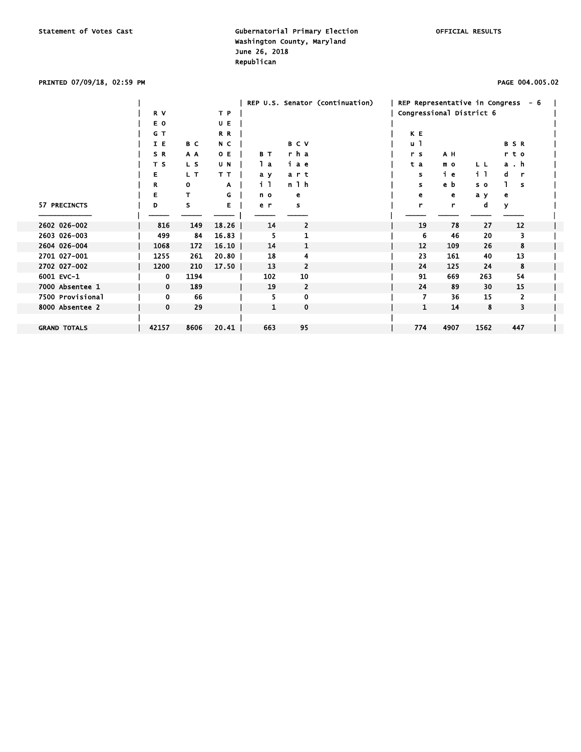### PRINTED 07/09/18, 02:59 PM PAGE 004.005.02

|                     |             |      |       |                |                | REP U.S. Senator (continuation) |                |                |                          | REP Representative in Congress $-6$ |  |
|---------------------|-------------|------|-------|----------------|----------------|---------------------------------|----------------|----------------|--------------------------|-------------------------------------|--|
|                     | R V         |      | T P   |                |                |                                 |                |                | Congressional District 6 |                                     |  |
|                     | E O         |      | UE    |                |                |                                 |                |                |                          |                                     |  |
|                     | G T         |      | R R   |                |                |                                 | K E            |                |                          |                                     |  |
|                     | I E         | B C  | N C   |                | <b>BCV</b>     |                                 | $\mathsf{u}$ 1 |                |                          | <b>BSR</b>                          |  |
|                     | SR          | A A  | O E   | B T            | rha            |                                 | r s            | A H            |                          | t o<br>r.                           |  |
|                     | T S         | L S  | U N   | lа             | іае            |                                 | t a            | m <sub>o</sub> | L L                      | a.h                                 |  |
|                     | Е           | L T  | TТ    | a y            | art            |                                 | s              | ie             | i l                      | d<br>-r                             |  |
|                     | R           | O    | A     | 1 <sub>1</sub> | n 1 h          |                                 | s              | e b            | s o                      | s                                   |  |
|                     | Е           |      | G     | n o            | е              |                                 | e              | е              | a y                      | е                                   |  |
| 57 PRECINCTS        | D           | s    | Е     | e r            | s              |                                 | r              | r              | d                        | У                                   |  |
|                     |             |      |       |                |                |                                 |                |                |                          |                                     |  |
| 2602 026-002        | 816         | 149  | 18.26 | 14             | 2              |                                 | 19             | 78             | 27                       | 12                                  |  |
| 2603 026-003        | 499         | 84   | 16.83 | 5              |                |                                 | 6              | 46             | 20                       | 3                                   |  |
| 2604 026-004        | 1068        | 172  | 16.10 | 14             | 1              |                                 | 12             | 109            | 26                       | 8                                   |  |
| 2701 027-001        | 1255        | 261  | 20.80 | 18             | 4              |                                 | 23             | 161            | 40                       | 13                                  |  |
| 2702 027-002        | 1200        | 210  | 17.50 | 13             | 2              |                                 | 24             | 125            | 24                       | 8                                   |  |
| 6001 EVC-1          | 0           | 1194 |       | 102            | 10             |                                 | 91             | 669            | 263                      | 54                                  |  |
| 7000 Absentee 1     | $\mathbf 0$ | 189  |       | 19             | $\overline{2}$ |                                 | 24             | 89             | 30                       | 15                                  |  |
| 7500 Provisional    | 0           | 66   |       | 5              | 0              |                                 | 7              | 36             | 15                       | 2                                   |  |
| 8000 Absentee 2     | $\mathbf 0$ | 29   |       | 1              | $\mathbf 0$    |                                 | 1              | 14             | 8                        | 3                                   |  |
|                     |             |      |       |                |                |                                 |                |                |                          |                                     |  |
| <b>GRAND TOTALS</b> | 42157       | 8606 | 20.41 | 663            | 95             |                                 | 774            | 4907           | 1562                     | 447                                 |  |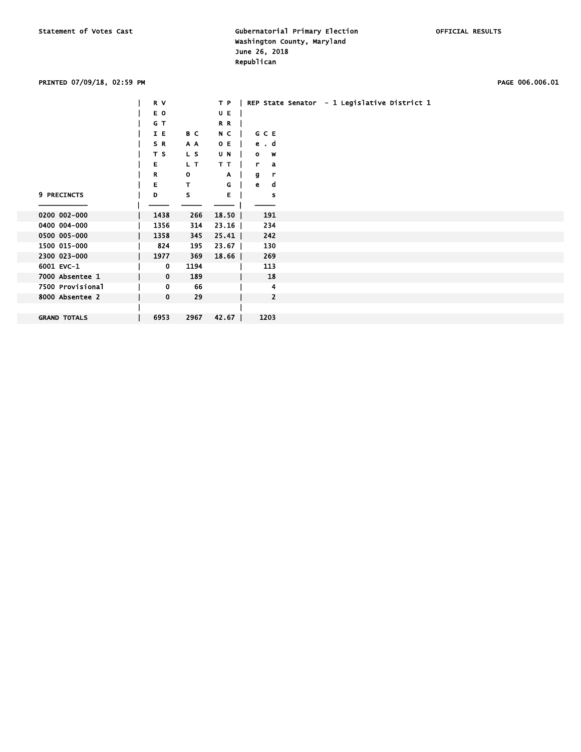### PRINTED 07/09/18, 02:59 PM PAGE 006.006.01

|                     | R V               | T P   | REP State Senator - 1 Legislative District 1 |
|---------------------|-------------------|-------|----------------------------------------------|
|                     | E O               | U E   |                                              |
|                     | G T               | R R   |                                              |
|                     | I E<br>B C        | N C   | <b>GCE</b>                                   |
|                     | SR.<br>A A        | O E   | ed                                           |
|                     | T S<br>L S        | U N   | $o \t w$                                     |
|                     | Е<br>L T          | T T   | r.<br>a                                      |
|                     | R<br>$\mathbf{o}$ | A     | g<br>r                                       |
|                     | E.<br>T.          | G     | e<br>d                                       |
| 9 PRECINCTS         | s<br>D            | Е     | s                                            |
|                     |                   |       |                                              |
| 0200 002-000        | 1438<br>266       | 18.50 | 191                                          |
| 0400 004-000        | 1356<br>314       | 23.16 | 234                                          |
| 0500 005-000        | 1358<br>345       | 25.41 | 242                                          |
| 1500 015-000        | 824<br>195        | 23.67 | 130                                          |
| 2300 023-000        | 369<br>1977       | 18.66 | 269                                          |
| 6001 EVC-1          | 1194<br>0         |       | 113                                          |
| 7000 Absentee 1     | 0<br>189          |       | 18                                           |
| 7500 Provisional    | 66<br>0           |       | 4                                            |
| 8000 Absentee 2     | $\mathbf 0$<br>29 |       | $\mathbf{2}$                                 |
|                     |                   |       |                                              |
| <b>GRAND TOTALS</b> | 2967<br>6953      | 42.67 | 1203                                         |
|                     |                   |       |                                              |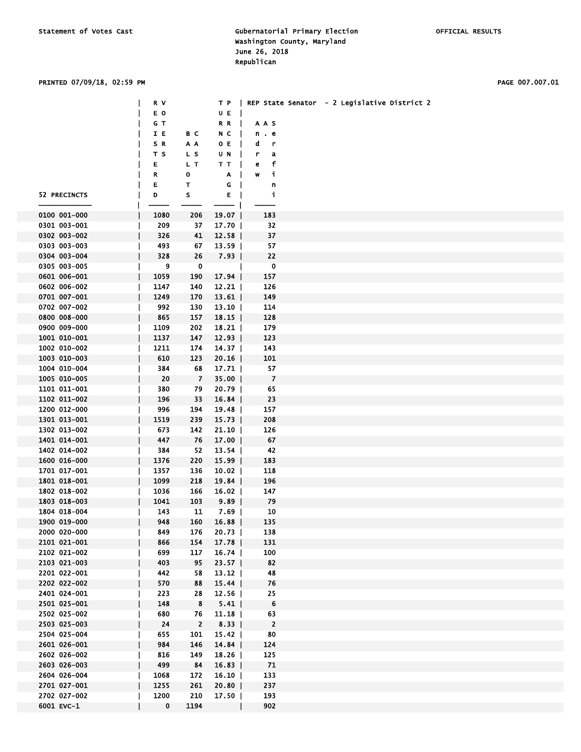## PRINTED 07/09/18, 02:59 PM PAGE 007.007.01

|              | R V          |                         |                   |                         | T P   REP State Senator - 2 Legislative District 2 |
|--------------|--------------|-------------------------|-------------------|-------------------------|----------------------------------------------------|
|              |              |                         |                   |                         |                                                    |
|              | E O          |                         | UE                |                         |                                                    |
|              | GT           |                         | R R<br>$\perp$    | AAS                     |                                                    |
|              | IE           | вс                      | N C               | n . e                   |                                                    |
|              | S R          | ΑA                      | 0 E               | d<br>r                  |                                                    |
|              |              |                         |                   |                         |                                                    |
|              | тs           | L S                     | U N               | r<br>a                  |                                                    |
|              | Е            | L T                     | TТ                | f<br>e                  |                                                    |
|              | R            | 0                       | A                 | j,<br>W                 |                                                    |
|              | Е            | т                       | G                 | n                       |                                                    |
| 52 PRECINCTS | D            | s                       | Е<br>$\mathbf{I}$ | j,                      |                                                    |
|              |              |                         |                   |                         |                                                    |
|              |              |                         | - 1               |                         |                                                    |
| 0100 001-000 | 1080         | 206                     | 19.07             | 183                     |                                                    |
| 0301 003-001 | 209          | 37                      | $17.70$           | 32                      |                                                    |
| 0302 003-002 | 326          | 41                      | 12.58             | 37                      |                                                    |
| 0303 003-003 | 493          | 67                      | $13.59$           | 57                      |                                                    |
| 0304 003-004 | 328          | 26                      | 7.93              | 22                      |                                                    |
|              |              |                         |                   |                         |                                                    |
| 0305 003-005 | 9            | 0                       | $\mathbf{I}$      | 0                       |                                                    |
| 0601 006-001 | 1059         | 190                     | 17.94             | 157                     |                                                    |
| 0602 006-002 | 1147         | 140                     | $12.21$           | 126                     |                                                    |
| 0701 007-001 | 1249         | 170                     | $13.61$           | 149                     |                                                    |
| 0702 007-002 | 992          | 130                     | $13.10$           | 114                     |                                                    |
|              |              |                         |                   |                         |                                                    |
| 0800 008-000 | 865          | 157                     | 18.15             | 128                     |                                                    |
| 0900 009-000 | 1109         | 202                     | $18.21$           | 179                     |                                                    |
| 1001 010-001 | 1137         | 147                     | $12.93$           | 123                     |                                                    |
| 1002 010-002 | 1211         | 174                     | $14.37$           | 143                     |                                                    |
| 1003 010-003 | 610          | 123                     | 20.16             | 101                     |                                                    |
|              |              |                         |                   |                         |                                                    |
| 1004 010-004 | 384          | 68                      | $17.71$           | 57                      |                                                    |
| 1005 010-005 | 20           | $\overline{z}$          | $35.00$           | $\overline{z}$          |                                                    |
| 1101 011-001 | 380          | 79                      | $20.79$           | 65                      |                                                    |
| 1102 011-002 | 196          | 33                      | 16.84             | 23                      |                                                    |
| 1200 012-000 | 996          | 194                     | 19.48             | 157                     |                                                    |
|              |              |                         |                   |                         |                                                    |
| 1301 013-001 | 1519         | 239                     | $15.73$           | 208                     |                                                    |
| 1302 013-002 | 673          | 142                     | 21.10             | 126                     |                                                    |
| 1401 014-001 | 447          | 76                      | $17.00$           | 67                      |                                                    |
| 1402 014-002 | 384          | 52                      | $13.54$           | 42                      |                                                    |
| 1600 016-000 | 1376         | 220                     | $15.99$           | 183                     |                                                    |
|              |              |                         |                   | 118                     |                                                    |
| 1701 017-001 | 1357         | 136                     | 10.02             |                         |                                                    |
| 1801 018-001 | 1099         | 218                     | 19.84             | 196                     |                                                    |
| 1802 018-002 | 1036         | 166                     | $16.02$           | 147                     |                                                    |
| 1803 018-003 | 1041         | 103                     | 9.89              | 79                      |                                                    |
| 1804 018-004 | 143          | 11                      | 7.69              | 10                      |                                                    |
| 1900 019-000 | 948          | 160                     | $16.88$           | 135                     |                                                    |
|              |              |                         |                   |                         |                                                    |
| 2000 020-000 | 849          | 176                     | $20.73$           | 138                     |                                                    |
| 2101 021-001 | 866          | 154                     | 17.78             | 131                     |                                                    |
| 2102 021-002 | 699          | 117                     | 16.74             | 100                     |                                                    |
| 2103 021-003 | 403          | 95                      | $23.57$           | 82                      |                                                    |
| 2201 022-001 | 442          | 58                      | $13.12$           | 48                      |                                                    |
| 2202 022-002 |              |                         | 15.44             |                         |                                                    |
|              | 570          | 88                      |                   | 76                      |                                                    |
| 2401 024-001 | 223          | 28                      | $12.56$           | 25                      |                                                    |
| 2501 025-001 | 148          | $\overline{\mathbf{8}}$ | $5.41$            | $6\phantom{.}6$         |                                                    |
| 2502 025-002 | 680          | 76                      | $11.18$           | 63                      |                                                    |
| 2503 025-003 | 24           | $\overline{\mathbf{2}}$ | $8.33$            | $\overline{\mathbf{2}}$ |                                                    |
| 2504 025-004 | 655          | 101                     | $15.42$           | 80                      |                                                    |
|              |              |                         |                   |                         |                                                    |
| 2601 026-001 | 984          | 146                     | 14.84             | 124                     |                                                    |
| 2602 026-002 | 816          | 149                     | 18.26             | 125                     |                                                    |
| 2603 026-003 | 499          | 84                      | $16.83$           | 71                      |                                                    |
| 2604 026-004 | 1068         | 172                     | $16.10$           | 133                     |                                                    |
| 2701 027-001 | 1255         | 261                     | $20.80$           | 237                     |                                                    |
|              |              |                         |                   |                         |                                                    |
| 2702 027-002 | 1200         | 210                     | $17.50$           | 193                     |                                                    |
| 6001 EVC-1   | $\mathbf{0}$ | 1194                    | $\mathbf{I}$      | 902                     |                                                    |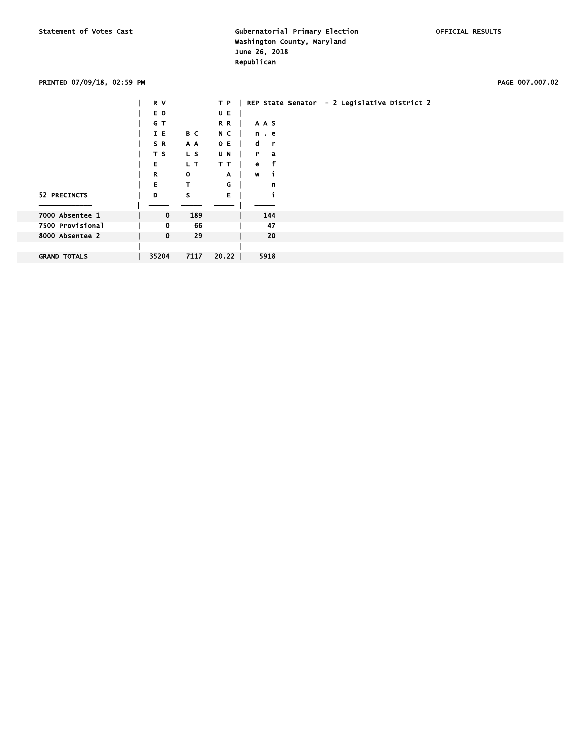### PRINTED 07/09/18, 02:59 PM PAGE 007.007.02

|                     | R V         |              | T P   |                 | REP State Senator | - 2 Legislative District 2 |  |
|---------------------|-------------|--------------|-------|-----------------|-------------------|----------------------------|--|
|                     | E O         |              | UE    |                 |                   |                            |  |
|                     | G T         |              | R R   | AAS             |                   |                            |  |
|                     | I E         | B C          | N C   | n e             |                   |                            |  |
|                     | SR.         | A A          | O E   | d r             |                   |                            |  |
|                     | T S         | L S          | U N   | r a             |                   |                            |  |
|                     | E.          | L T          | T T   | f<br>$\epsilon$ |                   |                            |  |
|                     | R           | $\mathbf{o}$ | A.    | w<br>- i        |                   |                            |  |
|                     | E.          | T.           | G     | n               |                   |                            |  |
| 52 PRECINCTS        | D           | s            | E.    |                 |                   |                            |  |
|                     |             |              |       |                 |                   |                            |  |
| 7000 Absentee 1     | $\mathbf 0$ | 189          |       | 144             |                   |                            |  |
| 7500 Provisional    | 0           | 66           |       | 47              |                   |                            |  |
| 8000 Absentee 2     | $\mathbf 0$ | 29           |       | 20              |                   |                            |  |
|                     |             |              |       |                 |                   |                            |  |
| <b>GRAND TOTALS</b> | 35204       | 7117         | 20.22 | 5918            |                   |                            |  |
|                     |             |              |       |                 |                   |                            |  |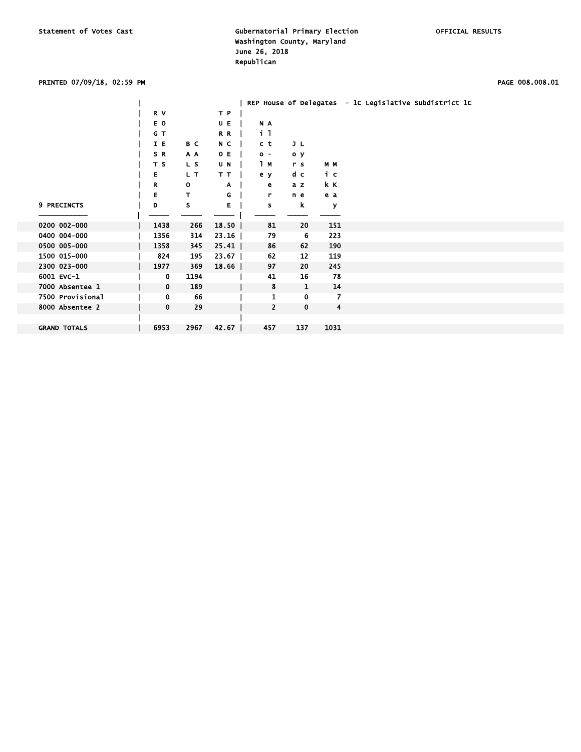### PRINTED 07/09/18, 02:59 PM PAGE 008.008.01

|                     |             |      |       |                |              |                | REP House of Delegates - 1C Legislative Subdistrict 1C |
|---------------------|-------------|------|-------|----------------|--------------|----------------|--------------------------------------------------------|
|                     | R V         |      | T P   |                |              |                |                                                        |
|                     | E O         |      | U E   | N A            |              |                |                                                        |
|                     | G T         |      | R R   | i I            |              |                |                                                        |
|                     | I E         | B C  | N C   | c t            | JL           |                |                                                        |
|                     | SR.         | A A  | O E   | $0 -$          | o y          |                |                                                        |
|                     | T S         | L S  | U N   | 1 M            | r s          | M M            |                                                        |
|                     | Е           | L T  | T T   | e y            | d c          | iс             |                                                        |
|                     | R           | 0    | Α     | е              | a z          | k K            |                                                        |
|                     | E           | T.   | G     | r.             | n e          | e a            |                                                        |
| 9 PRECINCTS         | D           | s    | Е     | s              | k            | У              |                                                        |
| 0200 002-000        |             |      |       |                |              |                |                                                        |
|                     | 1438        | 266  | 18.50 | 81             | 20           | 151            |                                                        |
| 0400 004-000        | 1356        | 314  | 23.16 | 79             | 6            | 223            |                                                        |
| 0500 005-000        | 1358        | 345  | 25.41 | 86             | 62           | 190            |                                                        |
| 1500 015-000        | 824         | 195  | 23.67 | 62             | 12           | 119            |                                                        |
| 2300 023-000        | 1977        | 369  | 18.66 | 97             | 20           | 245            |                                                        |
| 6001 EVC-1          | $\mathbf 0$ | 1194 |       | 41             | 16           | 78             |                                                        |
| 7000 Absentee 1     | 0           | 189  |       | 8              | $\mathbf{1}$ | 14             |                                                        |
| 7500 Provisional    | $\mathbf 0$ | 66   |       | 1              | $\mathbf 0$  | $\overline{z}$ |                                                        |
| 8000 Absentee 2     | $\mathbf 0$ | 29   |       | $\overline{2}$ | $\mathbf 0$  | 4              |                                                        |
|                     |             |      |       |                |              |                |                                                        |
| <b>GRAND TOTALS</b> | 6953        | 2967 | 42.67 | 457            | 137          | 1031           |                                                        |
|                     |             |      |       |                |              |                |                                                        |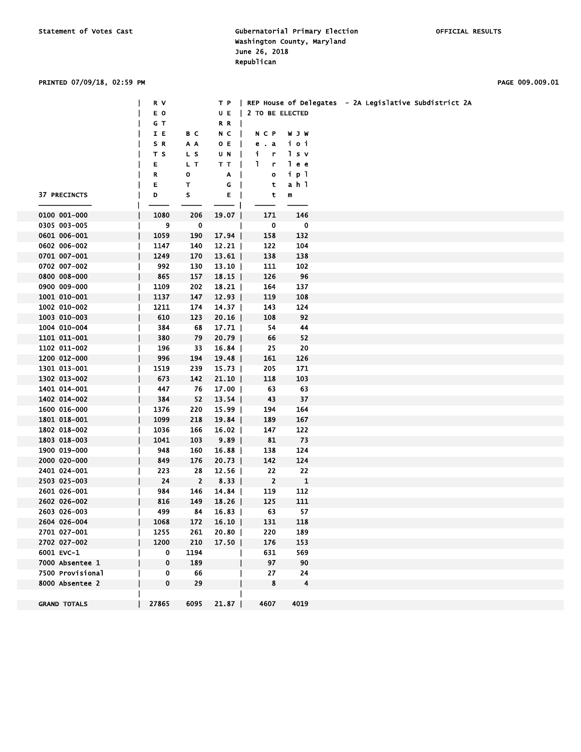### PRINTED 07/09/18, 02:59 PM PAGE 009.009.01

|                     | R V         |                |                       |                             |                         | T P   REP House of Delegates - 2A Legislative Subdistrict 2A |
|---------------------|-------------|----------------|-----------------------|-----------------------------|-------------------------|--------------------------------------------------------------|
|                     | E O         |                | U E<br>$\mathbf{I}$   | 2 TO BE ELECTED             |                         |                                                              |
|                     | G T         |                | RR                    |                             |                         |                                                              |
|                     | IE          | B C            | $N$ C $\vert$         | NCP                         | <b>WJW</b>              |                                                              |
|                     | SR.         | A A            | O E                   | e. a                        | ioi                     |                                                              |
|                     | T S         | L S            | UN                    | i.<br>$\mathbf{r}$          | 1 s v                   |                                                              |
|                     | Е           | L T            | T T<br>$\blacksquare$ | $\mathbf{L}$<br>$\mathbf r$ | le e                    |                                                              |
|                     | R           | $\mathbf{o}$   | A<br>-1               | $\bullet$                   | ip 1                    |                                                              |
|                     | Е           | $\mathsf{T}$   | G<br>$\mathbf{I}$     | $\mathbf t$                 | ah 1                    |                                                              |
| 37 PRECINCTS        | D           | ${\sf s}$      | Е<br>$\blacksquare$   | t                           | m                       |                                                              |
|                     |             |                |                       |                             |                         |                                                              |
| 0100 001-000        | 1080        | 206            | 19.07                 | 171                         | 146                     |                                                              |
| 0305 003-005        | 9           | $\mathbf{o}$   |                       | $\mathbf{0}$                | $\overline{\mathbf{0}}$ |                                                              |
| 0601 006-001        | 1059        | 190            | 17.94                 | 158                         | 132                     |                                                              |
| 0602 006-002        | 1147        | 140            | $12.21$               | 122                         | 104                     |                                                              |
| 0701 007-001        | 1249        | 170            | $13.61$               | 138                         | 138                     |                                                              |
| 0702 007-002        | 992         | 130            | $13.10$               | 111                         | 102                     |                                                              |
| 0800 008-000        | 865         | 157            | $18.15$               | 126                         | 96                      |                                                              |
| 0900 009-000        | 1109        | 202            | 18.21                 | 164                         | 137                     |                                                              |
| 1001 010-001        | 1137        | 147            | $12.93$               | 119                         | 108                     |                                                              |
| 1002 010-002        | 1211        | 174            | $14.37$               | 143                         | 124                     |                                                              |
| 1003 010-003        | 610         | 123            | 20.16                 | 108                         | 92                      |                                                              |
| 1004 010-004        | 384         | 68             | 17.71                 | 54                          | 44                      |                                                              |
| 1101 011-001        | 380         | 79             | $20.79$               | 66                          | 52                      |                                                              |
| 1102 011-002        | 196         | 33             | 16.84                 | 25                          | 20                      |                                                              |
| 1200 012-000        | 996         | 194            | 19.48                 | 161                         | 126                     |                                                              |
| 1301 013-001        | 1519        | 239            | $15.73$               | 205                         | 171                     |                                                              |
| 1302 013-002        | 673         | 142            | $21.10$               | 118                         | 103                     |                                                              |
| 1401 014-001        | 447         | 76             | $17.00$               | 63                          | 63                      |                                                              |
| 1402 014-002        | 384         | 52             | 13.54                 | 43                          | 37                      |                                                              |
| 1600 016-000        | 1376        | 220            | $15.99$               | 194                         | 164                     |                                                              |
| 1801 018-001        | 1099        | 218            | 19.84                 | 189                         | 167                     |                                                              |
| 1802 018-002        | 1036        | 166            | 16.02                 | 147                         | 122                     |                                                              |
| 1803 018-003        | 1041        | 103            | 9.89                  | 81                          | 73                      |                                                              |
| 1900 019-000        | 948         | 160            | 16.88                 | 138                         | 124                     |                                                              |
| 2000 020-000        | 849         | 176            | $20.73$               | 142                         | 124                     |                                                              |
| 2401 024-001        | 223         | 28             | $12.56$               | 22                          | 22                      |                                                              |
| 2503 025-003        | 24          | $\overline{2}$ | 8.33                  | $\overline{\mathbf{2}}$     | $\mathbf{1}$            |                                                              |
| 2601 026-001        | 984         | 146            | 14.84                 | 119                         | 112                     |                                                              |
| 2602 026-002        | 816         | 149            | 18.26                 | 125                         | 111                     |                                                              |
| 2603 026-003        | 499         | 84             | $16.83$               | 63                          | 57                      |                                                              |
| 2604 026-004        | 1068        | 172            | $16.10$               | 131                         | 118                     |                                                              |
| 2701 027-001        | 1255        | 261            | 20.80                 | 220                         | 189                     |                                                              |
| 2702 027-002        | 1200        | 210            | 17.50                 | 176                         | 153                     |                                                              |
| 6001 EVC-1          | 0           | 1194           |                       | 631                         | 569                     |                                                              |
| 7000 Absentee 1     | $\mathbf 0$ | 189            |                       | 97                          | 90                      |                                                              |
| 7500 Provisional    | 0           | 66             |                       | 27                          | 24                      |                                                              |
| 8000 Absentee 2     | $\bf{0}$    | 29             |                       | 8                           | $\overline{\mathbf{4}}$ |                                                              |
|                     |             |                |                       |                             |                         |                                                              |
| <b>GRAND TOTALS</b> | 27865       | 6095           | 21.87                 | 4607                        | 4019                    |                                                              |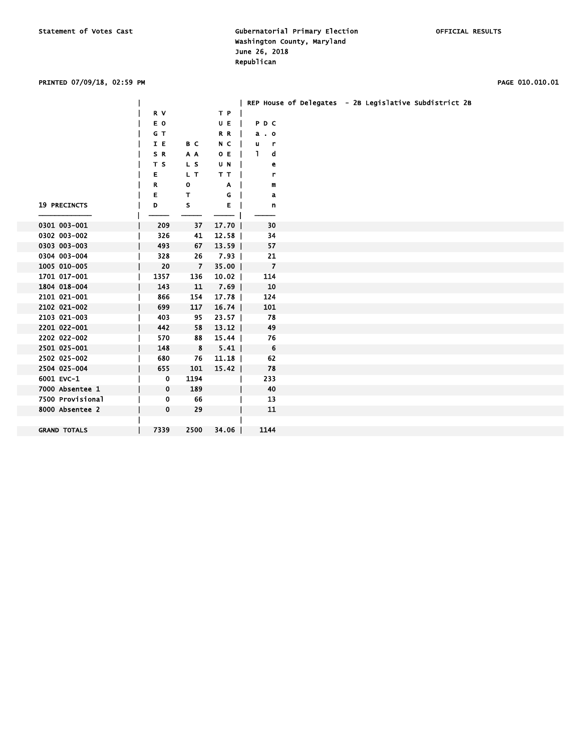### PRINTED 07/09/18, 02:59 PM PAGE 010.010.01

|                     |             |                         |         | REP House of Delegates - 2B Legislative Subdistrict 2B |  |
|---------------------|-------------|-------------------------|---------|--------------------------------------------------------|--|
|                     | R V         |                         | T P     |                                                        |  |
|                     | E O         |                         | U E     | PDC                                                    |  |
|                     | G T         |                         | R R     | $a \cdot o$                                            |  |
|                     | I E         | B C                     | N C     | u.<br>$\mathbf{r}$                                     |  |
|                     | SR.         | A A                     | O E     | d<br>$\mathbf{1}$                                      |  |
|                     | T S         | L <sub>S</sub>          | U N     | e                                                      |  |
|                     | Е           | L T                     | TT.     | r                                                      |  |
|                     | R           | 0                       | A       | m                                                      |  |
|                     | E           | T.                      | G       | a                                                      |  |
| <b>19 PRECINCTS</b> | D           | s                       | E.      | n                                                      |  |
|                     |             |                         |         |                                                        |  |
| 0301 003-001        | 209         | 37                      | 17.70   | 30                                                     |  |
| 0302 003-002        | 326         | 41                      | 12.58   | 34                                                     |  |
| 0303 003-003        | 493         | 67                      | $13.59$ | 57                                                     |  |
| 0304 003-004        | 328         | 26                      | $7.93$  | 21                                                     |  |
| 1005 010-005        | 20          | $\overline{7}$          | $35.00$ | $\overline{z}$                                         |  |
| 1701 017-001        | 1357        | 136                     | $10.02$ | 114                                                    |  |
| 1804 018-004        | 143         | 11                      | 7.69    | 10                                                     |  |
| 2101 021-001        | 866         | 154                     | 17.78   | 124                                                    |  |
| 2102 021-002        | 699         | 117                     | 16.74   | 101                                                    |  |
| 2103 021-003        | 403         | 95                      | $23.57$ | 78                                                     |  |
| 2201 022-001        | 442         | 58                      | $13.12$ | 49                                                     |  |
| 2202 022-002        | 570         | 88                      | $15.44$ | 76                                                     |  |
| 2501 025-001        | 148         | $\overline{\mathbf{8}}$ | 5.41    | $6\overline{6}$                                        |  |
| 2502 025-002        | 680         | 76                      | $11.18$ | 62                                                     |  |
| 2504 025-004        | 655         | 101                     | $15.42$ | 78                                                     |  |
| 6001 EVC-1          | 0           | 1194                    |         | 233                                                    |  |
| 7000 Absentee 1     | $\mathbf 0$ | 189                     |         | 40                                                     |  |
| 7500 Provisional    | 0           | 66                      |         | 13                                                     |  |
| 8000 Absentee 2     | 0           | 29                      |         | 11                                                     |  |
|                     |             |                         |         |                                                        |  |
| <b>GRAND TOTALS</b> | 7339        | 2500                    | $34.06$ | 1144                                                   |  |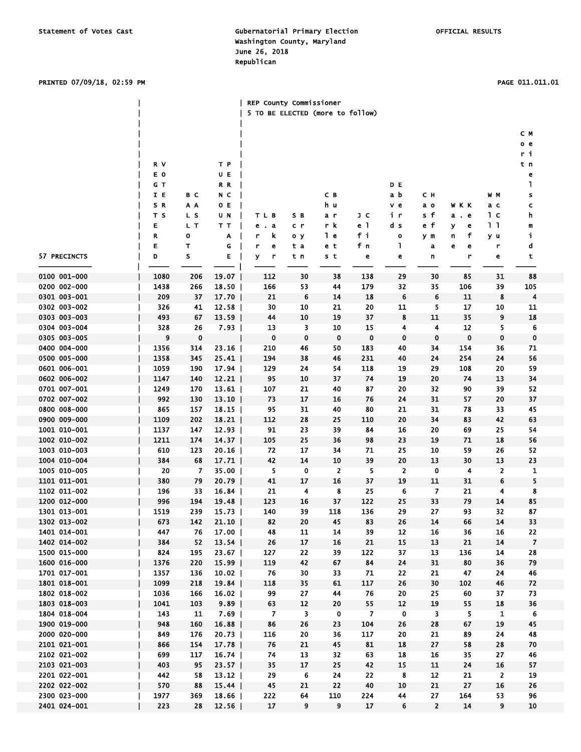### PRINTED 07/09/18, 02:59 PM PAGE 011.011.01

|                              |              |            |                  | REP County Commissioner<br>5 TO BE ELECTED (more to follow) |             |                         |                |              |                |            |                |                |
|------------------------------|--------------|------------|------------------|-------------------------------------------------------------|-------------|-------------------------|----------------|--------------|----------------|------------|----------------|----------------|
|                              |              |            |                  |                                                             |             |                         |                |              |                |            |                |                |
|                              |              |            |                  |                                                             |             |                         |                |              |                |            |                | C M            |
|                              |              |            |                  |                                                             |             |                         |                |              |                |            |                | o e            |
|                              |              |            |                  |                                                             |             |                         |                |              |                |            |                | r i            |
|                              | R V<br>E O   |            | ТP               |                                                             |             |                         |                |              |                |            |                | t n            |
|                              | GТ           |            | UE<br>R R        |                                                             |             |                         |                | D E          |                |            |                | е<br>L         |
|                              | IE           | вc         | N C              |                                                             |             | C B                     |                | a b          | сн             |            | W M            | s              |
|                              | S R          | ΑA         | O E              |                                                             |             | h u                     |                | v e          | a o            | <b>WKK</b> | ас             | c              |
|                              | T S          | L S        | UN               | TLB                                                         | SВ          | a r                     | JС             | ir           | s f            | а. е       | 1 с            | h              |
|                              | Е            | L T        | TТ               | e a                                                         | c r         | r k                     | e 1            | d s          | e f            | У<br>е     | 11             | m              |
|                              | R            | 0          | Α                | r<br>k                                                      | оу          | l e                     | fi             | $\mathbf{o}$ | y m            | f<br>n     | y u            | j,             |
|                              | E            | т          | G                | r<br>е                                                      | t a         | e t                     | fn             | ı            | a              | е<br>е     | r              | d              |
| 57 PRECINCTS                 | D            | S          | E                | У<br>r                                                      | t n         | s t                     | e              | e            | n              | r          | e              | t              |
| 0100 001-000                 | 1080         | 206        | 19.07            | 112                                                         | 30          | 38                      | 138            | 29           | 30             | 85         | 31             | 88             |
| 0200 002-000                 | 1438         | 266        | 18.50            | 166                                                         | 53          | 44                      | 179            | 32           | 35             | 106        | 39             | 105            |
| 0301 003-001                 | 209          | 37         | $17.70$          | 21                                                          | 6           | 14                      | 18             | 6            | 6              | 11         | 8              | 4              |
| 0302 003-002                 | 326          | 41         | 12.58            | 30                                                          | 10          | 21                      | 20             | 11           | 5              | 17         | 10             | 11             |
| 0303 003-003                 | 493          | 67         | 13.59            | 44                                                          | 10          | 19                      | 37             | 8            | 11             | 35         | 9              | 18             |
| 0304 003-004                 | 328          | 26         | 7.93             | 13                                                          | 3           | 10                      | 15             | 4            | 4              | 12         | 5              | 6              |
| 0305 003-005                 | 9            | 0          |                  | 0                                                           | $\mathbf 0$ | 0                       | 0              | 0            | $\mathbf 0$    | $\bf{0}$   | 0              | $\mathbf 0$    |
| 0400 004-000                 | 1356         | 314        | 23.16            | 210                                                         | 46          | 50                      | 183            | 40           | 34             | 154        | 36             | 71             |
| 0500 005-000                 | 1358         | 345        | 25.41            | 194                                                         | 38          | 46                      | 231            | 40           | 24             | 254        | 24             | 56             |
| 0601 006-001                 | 1059         | 190        | 17.94            | 129                                                         | 24          | 54                      | 118            | 19           | 29             | 108        | 20             | 59             |
| 0602 006-002                 | 1147         | 140        | 12.21            | 95                                                          | 10          | 37                      | 74             | 19           | 20             | 74         | 13             | 34             |
| 0701 007-001                 | 1249         | 170        | 13.61            | 107                                                         | 21          | 40                      | 87             | 20           | 32             | 90         | 39             | 52             |
| 0702 007-002                 | 992          | 130        | 13.10            | 73                                                          | 17          | 16                      | 76             | 24           | 31             | 57         | 20             | 37             |
| 0800 008-000                 | 865          | 157        | 18.15            | 95                                                          | 31          | 40                      | 80             | 21           | 31             | 78         | 33             | 45             |
| 0900 009-000<br>1001 010-001 | 1109<br>1137 | 202<br>147 | 18.21            | 112<br>91                                                   | 28<br>23    | 25<br>39                | 110            | 20<br>16     | 34<br>20       | 83         | 42<br>25       | 63<br>54       |
| 1002 010-002                 | 1211         | 174        | 12.93  <br>14.37 | 105                                                         | 25          | 36                      | 84<br>98       | 23           | 19             | 69<br>71   | 18             | 56             |
| 1003 010-003                 | 610          | 123        | 20.16            | 72                                                          | 17          | 34                      | 71             | 25           | 10             | 59         | 26             | 52             |
| 1004 010-004                 | 384          | 68         | 17.71            | 42                                                          | 14          | 10                      | 39             | 20           | 13             | 30         | 13             | 23             |
| 1005 010-005                 | 20           | 7          | 35.00            | 5                                                           | 0           | $\overline{\mathbf{2}}$ | 5.             | 2            | 0              | 4          | 2              | 1              |
| 1101 011-001                 | 380          | 79         | 20.79            | 41                                                          | 17          | 16                      | 37             | 19           | 11             | 31         | 6              | 5              |
| 1102 011-002                 | 196          | 33         | 16.84            | 21                                                          | 4           | 8                       | 25             | 6            | 7              | 21         | 4              | 8              |
| 1200 012-000                 | 996          | 194        | 19.48            | 123                                                         | 16          | 37                      | 122            | 25           | 33             | 79         | 14             | 85             |
| 1301 013-001                 | 1519         | 239        | 15.73            | 140                                                         | 39          | 118                     | 136            | 29           | 27             | 93         | 32             | 87             |
| 1302 013-002                 | 673          | 142        | $21.10$          | 82                                                          | 20          | 45                      | 83             | 26           | 14             | 66         | 14             | 33             |
| 1401 014-001                 | 447          | 76         | 17.00            | 48                                                          | 11          | 14                      | 39             | 12           | 16             | 36         | 16             | 22             |
| 1402 014-002                 | 384          | 52         | 13.54            | 26                                                          | 17          | 16                      | 21             | 15           | 13             | 21         | 14             | $\overline{7}$ |
| 1500 015-000                 | 824          | 195        | $23.67$          | 127                                                         | 22          | 39                      | 122            | 37           | 13             | 136        | 14             | 28             |
| 1600 016-000                 | 1376         | 220        | $15.99$          | 119                                                         | 42          | 67                      | 84             | 24           | 31             | 80         | 36             | 79             |
| 1701 017-001<br>1801 018-001 | 1357<br>1099 | 136<br>218 | 10.02<br>19.84   | 76<br>118                                                   | 30<br>35    | 33<br>61                | 71<br>117      | 22<br>26     | 21<br>30       | 47<br>102  | 24<br>46       | 46<br>72       |
| 1802 018-002                 | 1036         | 166        | $16.02$          | 99                                                          | 27          | 44                      | 76             | 20           | 25             | 60         | 37             | 73             |
| 1803 018-003                 | 1041         | 103        | 9.89             | 63                                                          | 12          | 20                      | 55             | 12           | 19             | 55         | 18             | 36             |
| 1804 018-004                 | 143          | 11         | $7.69$           | 7                                                           | 3           | 0                       | $\overline{7}$ | $\mathbf 0$  | 3              | 5          | 1              | 6              |
| 1900 019-000                 | 948          | 160        | 16.88            | 86                                                          | 26          | 23                      | 104            | 26           | 28             | 67         | 19             | 45             |
| 2000 020-000                 | 849          | 176        | 20.73            | 116                                                         | 20          | 36                      | 117            | 20           | 21             | 89         | 24             | 48             |
| 2101 021-001                 | 866          | 154        | $17.78$          | 76                                                          | 21          | 45                      | 81             | 18           | 27             | 58         | 28             | 70             |
| 2102 021-002                 | 699          | 117        | 16.74            | 74                                                          | 13          | 32                      | 63             | 18           | 16             | 35         | 27             | 46             |
| 2103 021-003                 | 403          | 95         | $23.57$          | 35                                                          | 17          | 25                      | 42             | 15           | 11             | 24         | 16             | 57             |
| 2201 022-001                 | 442          | 58         | $13.12$          | 29                                                          | 6           | 24                      | 22             | 8            | 12             | 21         | $\overline{2}$ | 19             |
| 2202 022-002                 | 570          | 88         | 15.44            | 45                                                          | 21          | 22                      | 40             | 10           | 21             | 27         | 16             | 26             |
| 2300 023-000                 | 1977         | 369        | 18.66            | 222                                                         | 64          | 110                     | 224            | 44           | 27             | 164        | 53             | 96             |
| 2401 024-001                 | 223          | 28         | 12.56            | 17                                                          | 9           | 9                       | 17             | 6            | $\overline{2}$ | 14         | 9              | 10             |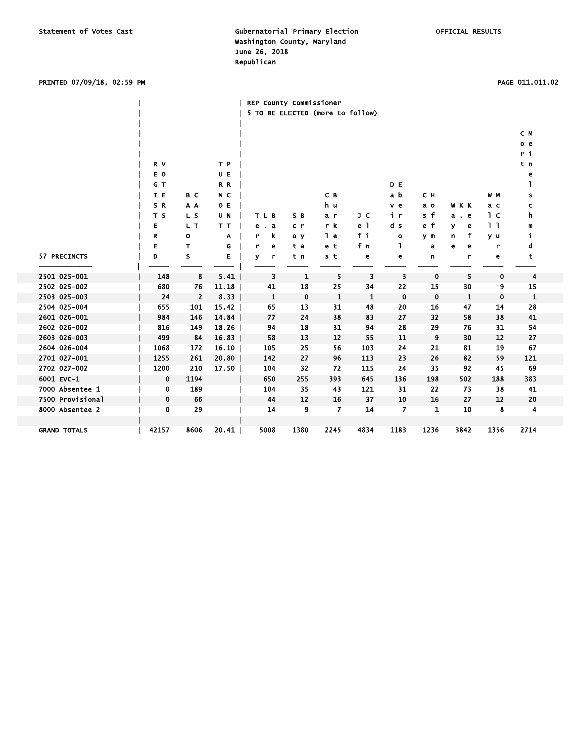### PRINTED 07/09/18, 02:59 PM PAGE 011.011.02

|                     |                |                |       | REP County Commissioner          |                |             |      |                |             |             |      |                |  |
|---------------------|----------------|----------------|-------|----------------------------------|----------------|-------------|------|----------------|-------------|-------------|------|----------------|--|
|                     |                |                |       | 5 TO BE ELECTED (more to follow) |                |             |      |                |             |             |      |                |  |
|                     |                |                |       |                                  |                |             |      |                |             |             |      |                |  |
|                     |                |                |       |                                  |                |             |      |                |             |             |      | C M            |  |
|                     |                |                |       |                                  |                |             |      |                |             |             |      | o <sub>e</sub> |  |
|                     |                |                |       |                                  |                |             |      |                |             |             |      | ri             |  |
|                     | R V            |                | T P   |                                  |                |             |      |                |             |             |      | t n            |  |
|                     | E O            |                | UE    |                                  |                |             |      |                |             |             |      | е              |  |
|                     | G T            |                | R R   |                                  |                |             |      | D E            |             |             |      | ı              |  |
|                     | I E            | B C            | N C   |                                  |                | C B         |      | a b            | C H         |             | W M  | s              |  |
|                     | SR             | A A            | O E   |                                  |                | h u         |      | v e            | a o         | W K K       | a c  | c              |  |
|                     | T <sub>S</sub> | L S            | U N   | TLB                              | S B            | a r         | J C  | iг             | s f         | a e         | 1 с  | h              |  |
|                     | Е              | L T            | TТ    | a<br>е                           | c r            | r k         | e 1  | d s            | $e$ f       | ۷<br>e      | 11   | m              |  |
|                     | R              | o              | Α     | k<br>r                           | 0 <sub>y</sub> | 1 e         | fi   | $\mathbf{o}$   | y m         | f<br>n      | y u  | i,             |  |
|                     | Е              | т              | G     | r<br>е                           | t a            | e t         | fn   | ı              | a           | e<br>e      | r    | d              |  |
| 57 PRECINCTS        | D              | s              | Е     | v<br>r                           | t n            | s t         | e    | e              | n           | r           | e    | t              |  |
|                     |                |                |       |                                  |                |             |      |                |             |             |      |                |  |
| 2501 025-001        | 148            | 8              | 5.41  | 3                                | 1              | 5           | 3    | 3              | $\mathbf 0$ | 5           | 0    | 4              |  |
| 2502 025-002        | 680            | 76             | 11.18 | 41                               | 18             | 25          | 34   | 22             | 15          | 30          | 9    | 15             |  |
| 2503 025-003        | 24             | $\overline{2}$ | 8.33  | 1                                | $\mathbf 0$    | $\mathbf 1$ | 1    | 0              | $\mathbf 0$ | $\mathbf 1$ | 0    | $\mathbf{1}$   |  |
| 2504 025-004        | 655            | 101            | 15.42 | 65                               | 13             | 31          | 48   | 20             | 16          | 47          | 14   | 28             |  |
| 2601 026-001        | 984            | 146            | 14.84 | 77                               | 24             | 38          | 83   | 27             | 32          | 58          | 38   | 41             |  |
| 2602 026-002        | 816            | 149            | 18.26 | 94                               | 18             | 31          | 94   | 28             | 29          | 76          | 31   | 54             |  |
| 2603 026-003        | 499            | 84             | 16.83 | 58                               | 13             | 12          | 55   | 11             | 9           | 30          | 12   | 27             |  |
| 2604 026-004        | 1068           | 172            | 16.10 | 105                              | 25             | 56          | 103  | 24             | 21          | 81          | 19   | 67             |  |
| 2701 027-001        | 1255           | 261            | 20.80 | 142                              | 27             | 96          | 113  | 23             | 26          | 82          | 59   | 121            |  |
| 2702 027-002        | 1200           | 210            | 17.50 | 104                              | 32             | 72          | 115  | 24             | 35          | 92          | 45   | 69             |  |
| 6001 EVC-1          | 0              | 1194           |       | 650                              | 255            | 393         | 645  | 136            | 198         | 502         | 188  | 383            |  |
| 7000 Absentee 1     | 0              | 189            |       | 104                              | 35             | 43          | 121  | 31             | 22          | 73          | 38   | 41             |  |
| 7500 Provisional    | 0              | 66             |       | 44                               | 12             | 16          | 37   | 10             | 16          | 27          | 12   | 20             |  |
| 8000 Absentee 2     | 0              | 29             |       | 14                               | 9              | 7           | 14   | $\overline{ }$ | 1           | 10          | 8    | 4              |  |
|                     |                |                |       |                                  |                |             |      |                |             |             |      |                |  |
| <b>GRAND TOTALS</b> | 42157          | 8606           | 20.41 | 5008                             | 1380           | 2245        | 4834 | 1183           | 1236        | 3842        | 1356 | 2714           |  |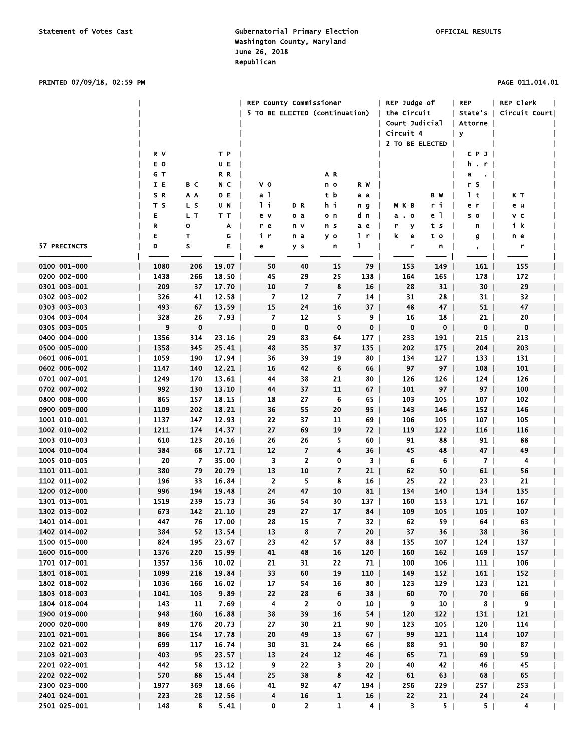PRINTED 07/09/18, 02:59 PM PAGE 011.014.01

|              |      |             |         | REP County Commissioner        |                |                |                 | REP Judge of    |                 | <b>REP</b>      | REP Clerk               |  |
|--------------|------|-------------|---------|--------------------------------|----------------|----------------|-----------------|-----------------|-----------------|-----------------|-------------------------|--|
|              |      |             |         | 5 TO BE ELECTED (continuation) |                |                |                 | the Circuit     |                 |                 | State's   Circuit Court |  |
|              |      |             |         |                                |                |                |                 | Court Judicial  |                 | Attorne         |                         |  |
|              |      |             |         |                                |                |                |                 | Circuit 4       |                 | y               |                         |  |
|              |      |             |         |                                |                |                |                 | 2 TO BE ELECTED |                 |                 |                         |  |
|              | R V  |             | T P     |                                |                |                |                 |                 |                 | C P J           |                         |  |
|              | E O  |             | UE      |                                |                |                |                 |                 |                 | h.r             |                         |  |
|              | GТ   |             | R R     |                                |                | A R            |                 |                 |                 | a<br>$\cdot$ 1  |                         |  |
|              | I E  | вс          | N C     | v o                            |                | n o            | R W             |                 |                 | r s             |                         |  |
|              | S R  | A A         | OE.     | a l                            |                | tb             | a a             |                 | B W             | 1 t             | КΤ                      |  |
|              | тs   | L S         | U N     | l i                            | D R            | hi             | n g             | мкв             | ri              | e r             | e u                     |  |
|              | E    | L T         | TT      | e v                            | o a            | o n            | d n             | $a \cdot o$     | e 1             | s o             | v c                     |  |
|              | R    | о           | A       | r e                            | n v            | n s            | a e             | У<br>r          | t s             | n               | ik                      |  |
|              | E    | т           | G       | i r                            | n a            | y o            | 1 r             | k.<br>e         | t o             | g               | n e                     |  |
| 57 PRECINCTS | D    | s           | Е       | е                              | y s            | n              | Т.              | r               | n               |                 | r                       |  |
|              |      |             |         |                                |                |                |                 |                 |                 | $\bullet$       |                         |  |
| 0100 001-000 | 1080 | 206         | 19.07   | 50                             | 40             | 15             | 79              | 153             | 149             | 161             | 155                     |  |
| 0200 002-000 | 1438 | 266         | $18.50$ | 45                             | 29             | 25             | 138             | 164             | 165             | 178             | 172                     |  |
| 0301 003-001 | 209  | 37          | $17.70$ | 10                             | $\overline{7}$ | 8              | 16              | 28              | 31              | 30 <sub>1</sub> | 29                      |  |
| 0302 003-002 | 326  | 41          | 12.58   | 7                              | 12             | 7              | $14$            | 31              | 28 I            | 31              | 32                      |  |
| 0303 003-003 | 493  | 67          | $13.59$ | 15                             | 24             | 16             | 37 I            | 48              | 47 I            | 51              | 47                      |  |
| 0304 003-004 | 328  | 26          | 7.93    | 7                              | 12             | 5              | 9               | 16              | 18              | $21 \mid$       | 20                      |  |
| 0305 003-005 | 9    | $\mathbf 0$ |         | $\mathbf 0$                    | $\mathbf 0$    | 0              | $\mathbf{0}$    | 0               | 0 <sub>1</sub>  | 0 <sub>1</sub>  | $\mathbf 0$             |  |
| 0400 004-000 | 1356 | 314         | $23.16$ | 29                             | 83             | 64             | 177             | 233             | $191$           | 215             | 213                     |  |
| 0500 005-000 | 1358 | 345         | 25.41   | 48                             | 35             | 37             | $135$           | 202             | $175-1$         | 204             | 203                     |  |
| 0601 006-001 | 1059 | 190         | 17.94   | 36                             | 39             | 19             | 80 l            | 134             | 127             | $133$           | 131                     |  |
| 0602 006-002 | 1147 | 140         | $12.21$ | 16                             | 42             | 6              | 66              | 97              | 97 <sub>1</sub> | 108             | 101                     |  |
| 0701 007-001 | 1249 | 170         | 13.61   | 44                             | 38             | 21             | 80              | 126             | 126             | $124$           | 126                     |  |
| 0702 007-002 | 992  | 130         | $13.10$ | 44                             | 37             | 11             | $67 \mid$       | 101             | 97 I            | 97              | 100                     |  |
| 0800 008-000 | 865  | 157         | $18.15$ | 18                             | 27             | 6              | 65              | 103             | 105             | 107             | 102                     |  |
| 0900 009-000 | 1109 | 202         | 18.21   | 36                             | 55             | 20             | $95$            | 143             | 146             | $152$           | 146                     |  |
| 1001 010-001 | 1137 | 147         | $12.93$ | 22                             | 37             | 11             | 69 I            | 106             | $105$           | 107             | 105                     |  |
| 1002 010-002 | 1211 | 174         | 14.37   | 27                             | 69             | 19             | 72              | 119             | $122$           | 116             | 116                     |  |
| 1003 010-003 | 610  | 123         | 20.16   | 26                             | 26             | 5              | 60              | 91              | 88              | 91              | 88                      |  |
| 1004 010-004 | 384  | 68          | 17.71   | 12                             | $\overline{7}$ | 4              | 36              | 45              | 48              | 47              | 49                      |  |
| 1005 010-005 | 20   | 7           | 35.OO   | 3                              | 2              | 0              | 3 I             | 6               | 6               | 7 I             | 4                       |  |
| 1101 011-001 | 380  | 79          | $20.79$ | 13                             | 10             | 7              | 21              | 62              | $50$            | 61              | 56                      |  |
| 1102 011-002 | 196  | 33          | 16.84   | $\overline{2}$                 | 5              | 8              | 16              | 25              | 22 <sub>1</sub> | 23 I            | 21                      |  |
| 1200 012-000 | 996  | 194         | 19.48   | 24                             | 47             | 10             | 81              | 134             | $140$           | 134             | 135                     |  |
| 1301 013-001 | 1519 | 239         | 15.73   | 36                             | 54             | 30             | 137             | 160             | 153             | 171             | 167                     |  |
| 1302 013-002 | 673  | 142         | 21.10   | 29                             | 27             | 17             | 84              | 109             | 105             | $105$           | 107                     |  |
| 1401 014-001 | 447  | 76          | 17.00   | ${\bf 28}$                     | 15             | $\overline{7}$ | 32              | 62              | 59              | 64              | 63                      |  |
| 1402 014-002 | 384  | 52          | $13.54$ | 13                             | 8              | $\overline{7}$ | 20 <sub>1</sub> | 37              | $36$            | $38$            | 36                      |  |
| 1500 015-000 | 824  | 195         | $23.67$ | 23                             | 42             | 57             | 88              | 135             | 107             | 124             | 137                     |  |
| 1600 016-000 | 1376 | 220         | $15.99$ | 41                             | 48             | 16             | 120             | 160             | 162             | 169             | 157                     |  |
| 1701 017-001 | 1357 | 136         | $10.02$ | 21                             | 31             | 22             | 71              | 100             | 106             | $111$           | 106                     |  |
| 1801 018-001 | 1099 | 218         | 19.84   | 33                             | 60             | 19             | $110$           | 149             | 152             | 161             | 152                     |  |
| 1802 018-002 | 1036 | 166         | $16.02$ | 17                             | 54             | 16             | $80$            | 123             | $129$           | $123$           | 121                     |  |
| 1803 018-003 | 1041 | 103         | 9.89    | 22                             | 28             | 6              | 38              | 60              | 70 <sub>1</sub> | 70 <sub>1</sub> | 66                      |  |
| 1804 018-004 | 143  | 11          | 7.69    | 4                              | $\overline{2}$ | 0              | $10-1$          | 9               | 10 <sub>1</sub> | 8 <sup>1</sup>  | 9                       |  |
| 1900 019-000 | 948  | 160         | 16.88   | 38                             | 39             | 16             | $54$            | 120             | $122$           | $131$           | 121                     |  |
| 2000 020-000 | 849  | 176         | $20.73$ | 27                             | 30             | 21             | $90$            | 123             | $105$           | $120$           | 114                     |  |
| 2101 021-001 | 866  | 154         | 17.78   | 20                             | 49             | 13             | $67$            | 99              | 121             | 114             | 107                     |  |
| 2102 021-002 | 699  | 117         | $16.74$ | 30                             | 31             | 24             | 66              | 88              | $91 \mid$       | $90 \mid$       | 87                      |  |
| 2103 021-003 | 403  | 95          | $23.57$ | 13                             | 24             | 12             | 46              | 65              | $71$            | $69 \mid$       | 59                      |  |
| 2201 022-001 | 442  | 58          | $13.12$ | 9                              | 22             | 3              | $20$            | 40              | $42$            | 46              | 45                      |  |
| 2202 022-002 | 570  | 88          | 15.44   | 25                             | 38             | 8              | 42              | 61              | $63$            | 68              | 65                      |  |
| 2300 023-000 | 1977 | 369         | 18.66   | 41                             | 92             | 47             | 194             | 256             | $229$           | $257$           | 253                     |  |
| 2401 024-001 | 223  | 28          | 12.56   | $\overline{\mathbf{4}}$        | 16             | $\mathbf{1}$   | 16              | 22              | $21$            | 24              | 24                      |  |
| 2501 025-001 | 148  | 8           | 5.41    | $\mathbf 0$                    | $\overline{2}$ | $\mathbf{1}$   | 4               | -3              | 5 <sub>1</sub>  | 5 <sub>1</sub>  | 4                       |  |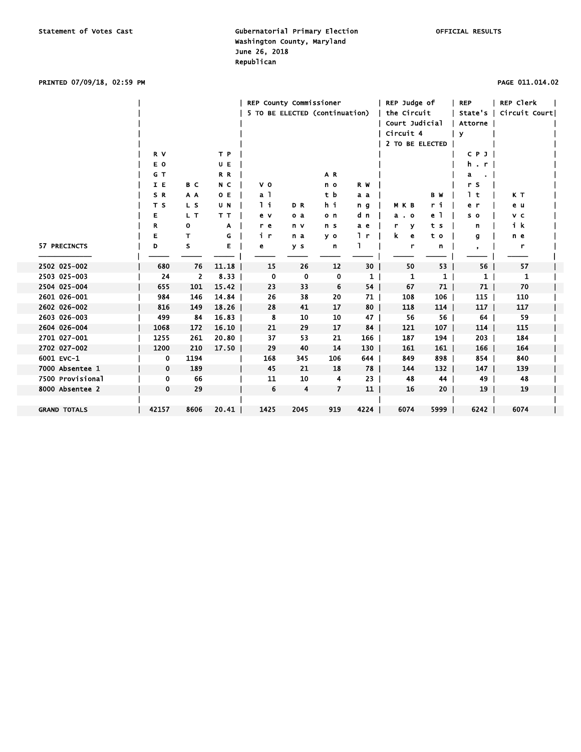PRINTED 07/09/18, 02:59 PM PAGE 011.014.02

|                     | R V<br>E O<br>G T<br>I E<br>SR<br>T <sub>S</sub> | B C<br>A A<br>L S | T P<br>U E<br>R R<br>N C<br>O E<br>U N | REP County Commissioner<br>5 TO BE ELECTED (continuation)<br>V <sub>0</sub><br>a <sub>1</sub><br>1i | DR             | AR<br>n o<br>tb<br>hi | R W<br>a a<br>n <sub>g</sub> | REP Judge of<br>the Circuit<br>Court Judicial<br>Circuit 4<br>2 TO BE ELECTED<br>M K B | B W<br>ri      | <b>REP</b><br>State's<br>Attorne<br>$\mathbf{v}$<br>CPJ<br>$h$ . $r$  <br>a<br>$\blacksquare$<br>r s<br>1 t<br>e r | REP Clerk<br>Circuit Court <br>КT<br>e u |  |
|---------------------|--------------------------------------------------|-------------------|----------------------------------------|-----------------------------------------------------------------------------------------------------|----------------|-----------------------|------------------------------|----------------------------------------------------------------------------------------|----------------|--------------------------------------------------------------------------------------------------------------------|------------------------------------------|--|
|                     | Е                                                | L T               | T T                                    | e v                                                                                                 | o a            | o n                   | d n                          | $a$ . $o$                                                                              | e 1            | s o                                                                                                                | v c                                      |  |
|                     | R                                                | 0                 | A                                      | r e                                                                                                 | n v            | n s                   | a e                          | Y<br>r                                                                                 | t s            | n                                                                                                                  | ik                                       |  |
|                     | Е                                                | т                 | G                                      | i r                                                                                                 | n a            | y o                   | 1 r                          | k.<br>e                                                                                | t o            | g                                                                                                                  | n e                                      |  |
| 57 PRECINCTS        | D                                                | s                 | Е                                      | e                                                                                                   | y s            | n                     |                              | r                                                                                      | n              |                                                                                                                    | r                                        |  |
| 2502 025-002        | 680                                              | 76                | 11.18                                  | 15                                                                                                  | 26             | 12                    | 30                           | 50                                                                                     | 53             | 56                                                                                                                 | 57                                       |  |
| 2503 025-003        | 24                                               | $\mathbf{2}$      | 8.33                                   | $\mathbf{0}$                                                                                        | 0              | 0                     | $1 \vert$                    | 1                                                                                      | 1 <sup>1</sup> | 1 <sup>1</sup>                                                                                                     | 1                                        |  |
| 2504 025-004        | 655                                              | 101               | $15.42$                                | 23                                                                                                  | 33             | 6                     | 54 I                         | 67                                                                                     | $71$           | $71 \mid$                                                                                                          | 70                                       |  |
| 2601 026-001        | 984                                              | 146               | 14.84                                  | 26                                                                                                  | 38             | 20                    | 71                           | 108                                                                                    | $106$          | $115$                                                                                                              | 110                                      |  |
| 2602 026-002        | 816                                              | 149               | 18.26                                  | 28                                                                                                  | 41             | 17                    | $80$                         | 118                                                                                    | 114            | 117 <sub>1</sub>                                                                                                   | 117                                      |  |
| 2603 026-003        | 499                                              | 84                | 16.83                                  | 8                                                                                                   | 10             | 10                    | $47 \mid$                    | 56                                                                                     | 56             | 64                                                                                                                 | 59                                       |  |
| 2604 026-004        | 1068                                             | 172               | $16.10$                                | 21                                                                                                  | 29             | 17                    | 84                           | 121                                                                                    | $107$          | 114                                                                                                                | 115                                      |  |
| 2701 027-001        | 1255                                             | 261               | 20.80                                  | 37                                                                                                  | 53             | 21                    | 166                          | 187                                                                                    | 194            | $203$                                                                                                              | 184                                      |  |
| 2702 027-002        | 1200                                             | 210               | 17.50                                  | 29                                                                                                  | 40             | 14                    | $130$                        | 161                                                                                    | 161            | $166$                                                                                                              | 164                                      |  |
| 6001 EVC-1          | 0                                                | 1194              |                                        | 168                                                                                                 | 345            | 106                   | 644                          | 849                                                                                    | 898            | 854                                                                                                                | 840                                      |  |
| 7000 Absentee 1     | 0                                                | 189               |                                        | 45                                                                                                  | 21             | 18                    | 78                           | 144                                                                                    | $132$          | $147 \mid$                                                                                                         | 139                                      |  |
| 7500 Provisional    | 0                                                | 66                |                                        | 11                                                                                                  | 10             | 4                     | 23 <sub>1</sub>              | 48                                                                                     | 44 l           | 49                                                                                                                 | 48                                       |  |
| 8000 Absentee 2     | 0                                                | 29                |                                        | 6                                                                                                   | $\overline{4}$ | $\overline{7}$        | 11                           | 16                                                                                     | 20             | 19 <sup>1</sup>                                                                                                    | 19                                       |  |
|                     |                                                  |                   |                                        |                                                                                                     |                |                       |                              |                                                                                        |                |                                                                                                                    |                                          |  |
| <b>GRAND TOTALS</b> | 42157                                            | 8606              | 20.41                                  | 1425                                                                                                | 2045           | 919                   | 4224                         | 6074                                                                                   | 5999           | $6242$                                                                                                             | 6074                                     |  |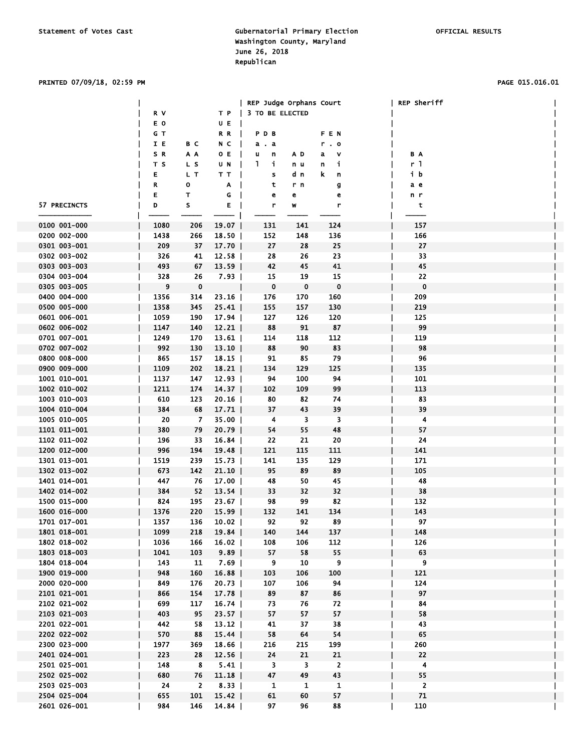### PRINTED 07/09/18, 02:59 PM PAGE 015.016.01

|              |      |                |          | REP Judge Orphans Court |              |                | REP Sheriff    |
|--------------|------|----------------|----------|-------------------------|--------------|----------------|----------------|
|              | R V  |                | TP       | 3 TO BE ELECTED         |              |                |                |
|              | E O  |                | UE       |                         |              |                |                |
|              | G T  |                | RR       | PDB                     |              | FEN            |                |
|              | I E  | B C            | NC       | $a$ . $a$               |              | r. o           |                |
|              | S R  | A A            | 0 E      | u<br>n                  | A D          | v<br>a         | ΒA             |
|              | T S  | L S            | UN       | $\mathbf{I}$<br>i.      | n u          | j.<br>n        | r <sub>1</sub> |
|              |      | L T            |          |                         | d n          | k.             | ib             |
|              | Е    |                | TT       | s                       |              | n              |                |
|              | R    | 0              | A        | t                       | r n          | g              | a e            |
|              | Е    | T              | $G \mid$ | е                       | е            | e              | n r            |
| 57 PRECINCTS | D    | s              | E I      | r                       | W            | r              | t              |
|              |      |                |          |                         |              |                |                |
| 0100 001-000 | 1080 | 206            | 19.07    | 131                     | 141          | 124            | 157            |
| 0200 002-000 | 1438 | 266            | $18.50$  | 152                     | 148          | 136            | 166            |
| 0301 003-001 | 209  | 37             | 17.70    | 27                      | 28           | 25             | 27             |
| 0302 003-002 | 326  | 41             | $12.58$  | 28                      | 26           | 23             | 33             |
| 0303 003-003 | 493  | 67             | $13.59$  | 42                      | 45           | 41             | 45             |
| 0304 003-004 | 328  | 26             | $7.93$   | 15                      | 19           | 15             | 22             |
| 0305 003-005 | 9    | $\pmb{0}$      |          | $\mathbf 0$             | $\mathbf 0$  | $\bf{0}$       | $\mathbf 0$    |
| 0400 004-000 | 1356 | 314            | 23.16    | 176                     | 170          | 160            | 209            |
| 0500 005-000 | 1358 | 345            | $25.41$  | 155                     | 157          | 130            | 219            |
| 0601 006-001 | 1059 | 190            | $17.94$  | 127                     | 126          | 120            | 125            |
| 0602 006-002 | 1147 | 140            | 12.21    | 88                      | 91           | 87             | 99             |
| 0701 007-001 | 1249 | 170            | $13.61$  | 114                     | 118          | 112            | 119            |
| 0702 007-002 | 992  | 130            | $13.10$  | 88                      | 90           | 83             | 98             |
| 0800 008-000 | 865  | 157            | $18.15$  | 91                      | 85           | 79             | 96             |
| 0900 009-000 | 1109 | 202            | 18.21    | 134                     | 129          | 125            | 135            |
|              |      |                |          |                         | 100          | 94             |                |
| 1001 010-001 | 1137 | 147            | $12.93$  | 94                      |              |                | 101            |
| 1002 010-002 | 1211 | 174            | $14.37$  | 102                     | 109          | 99             | 113            |
| 1003 010-003 | 610  | 123            | 20.16    | 80                      | 82           | 74             | 83             |
| 1004 010-004 | 384  | 68             | 17.71    | 37                      | 43           | 39             | 39             |
| 1005 010-005 | 20   | 7              | $35.00$  | 4                       | 3            | 3              | 4              |
| 1101 011-001 | 380  | 79             | $20.79$  | 54                      | 55           | 48             | 57             |
| 1102 011-002 | 196  | 33             | $16.84$  | 22                      | 21           | 20             | 24             |
| 1200 012-000 | 996  | 194            | 19.48    | 121                     | 115          | 111            | 141            |
| 1301 013-001 | 1519 | 239            | $15.73$  | 141                     | 135          | 129            | 171            |
| 1302 013-002 | 673  | 142            | $21.10$  | 95                      | 89           | 89             | 105            |
| 1401 014-001 | 447  | 76             | $17.00$  | 48                      | 50           | 45             | 48             |
| 1402 014-002 | 384  | 52             | 13.54    | 33                      | 32           | 32             | 38             |
| 1500 015-000 | 824  | 195            | $23.67$  | 98                      | 99           | 82             | 132            |
| 1600 016-000 | 1376 | 220            | $15.99$  | 132                     | 141          | 134            | 143            |
| 1701 017-001 | 1357 | 136            | $10.02$  | 92                      | 92           | 89             | 97             |
| 1801 018-001 | 1099 | 218            | 19.84    | 140                     | 144          | 137            | 148            |
| 1802 018-002 | 1036 | 166            | 16.02    | 108                     | 106          | 112            | 126            |
| 1803 018-003 | 1041 | 103            | 9.89     | 57                      | 58           | 55             | 63             |
| 1804 018-004 | 143  | 11             | $7.69$   | 9                       | 10           | 9              | 9              |
| 1900 019-000 | 948  | 160            | 16.88    | 103                     | 106          | 100            | 121            |
| 2000 020-000 | 849  | 176            | 20.73    | 107                     | 106          | 94             | 124            |
| 2101 021-001 | 866  | 154            | 17.78    | 89                      | 87           | 86             | 97             |
| 2102 021-002 | 699  | 117            |          | 73                      | 76           | 72             | 84             |
|              |      |                | 16.74    |                         |              |                |                |
| 2103 021-003 | 403  | 95             | $23.57$  | 57                      | 57           | 57             | 58             |
| 2201 022-001 | 442  | 58             | 13.12    | 41                      | 37           | 38             | 43             |
| 2202 022-002 | 570  | 88             | $15.44$  | 58                      | 64           | 54             | 65             |
| 2300 023-000 | 1977 | 369            | 18.66    | 216                     | 215          | 199            | 260            |
| 2401 024-001 | 223  | 28             | $12.56$  | 24                      | 21           | 21             | 22             |
| 2501 025-001 | 148  | 8              | $5.41$   | 3                       | 3            | $\overline{2}$ | 4              |
| 2502 025-002 | 680  | 76             | 11.18    | 47                      | 49           | 43             | 55             |
| 2503 025-003 | 24   | $\overline{2}$ | 8.33     | $\mathbf{1}$            | $\mathbf{1}$ | $\mathbf{1}$   | $\overline{2}$ |
| 2504 025-004 | 655  | 101            | 15.42    | 61                      | 60           | 57             | 71             |
| 2601 026-001 | 984  | 146            | 14.84    | 97                      | 96           | 88             | 110            |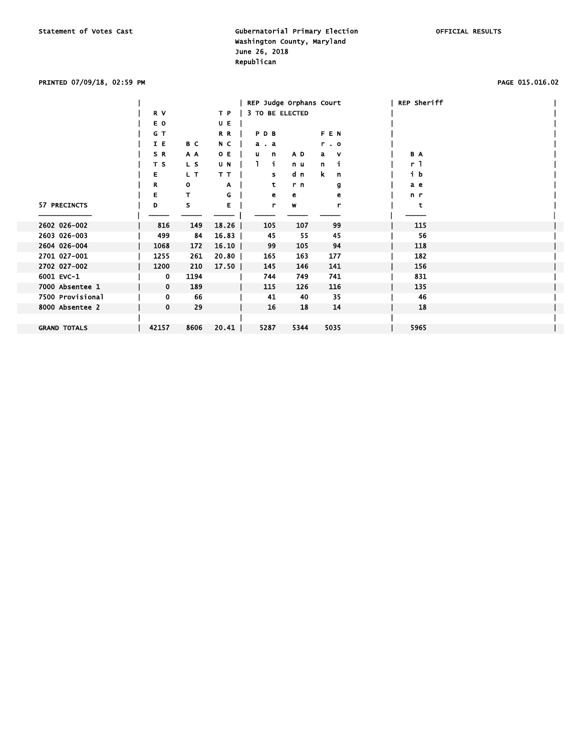### PRINTED 07/09/18, 02:59 PM PAGE 015.016.02

|                     |             |      |         | REP Judge Orphans Court |      |            | <b>REP Sheriff</b> |  |
|---------------------|-------------|------|---------|-------------------------|------|------------|--------------------|--|
|                     | R V         |      | T P     | 3 TO BE ELECTED         |      |            |                    |  |
|                     | E O         |      | U E     |                         |      |            |                    |  |
|                     | G T         |      | R R     | PDB                     |      | <b>FEN</b> |                    |  |
|                     | I E         | B C  | N C     | a . a                   |      | r.0        |                    |  |
|                     | SR          | A A  | O E     | u<br>$\mathbf n$        | AD.  | v<br>a i   | B A                |  |
|                     | T S         | L S  | U N     | j.                      | n u  | n<br>ı     | r 1                |  |
|                     | Е           | L T  | TТ      | s                       | d n  | k.<br>n    | i b                |  |
|                     | R           | o    | Α       | t                       | r n  | g          | a e                |  |
|                     | Е           |      | G       | е                       | е    | е          | n r                |  |
| 57 PRECINCTS        | D           | s    | Е       | r                       | W    | r          | t                  |  |
|                     |             |      |         |                         |      |            |                    |  |
| 2602 026-002        | 816         | 149  | 18.26   | 105                     | 107  | 99         | 115                |  |
| 2603 026-003        | 499         | 84   | 16.83   | 45                      | 55   | 45         | 56                 |  |
| 2604 026-004        | 1068        | 172  | $16.10$ | 99                      | 105  | 94         | 118                |  |
| 2701 027-001        | 1255        | 261  | 20.80   | 165                     | 163  | 177        | 182                |  |
| 2702 027-002        | 1200        | 210  | 17.50   | 145                     | 146  | 141        | 156                |  |
| 6001 EVC-1          | 0           | 1194 |         | 744                     | 749  | 741        | 831                |  |
| 7000 Absentee 1     | $\mathbf 0$ | 189  |         | 115                     | 126  | 116        | 135                |  |
| 7500 Provisional    | 0           | 66   |         | 41                      | 40   | 35         | 46                 |  |
| 8000 Absentee 2     | $\mathbf 0$ | 29   |         | 16                      | 18   | 14         | 18                 |  |
|                     |             |      |         |                         |      |            |                    |  |
| <b>GRAND TOTALS</b> | 42157       | 8606 | 20.41   | 5287                    | 5344 | 5035       | 5965               |  |
|                     |             |      |         |                         |      |            |                    |  |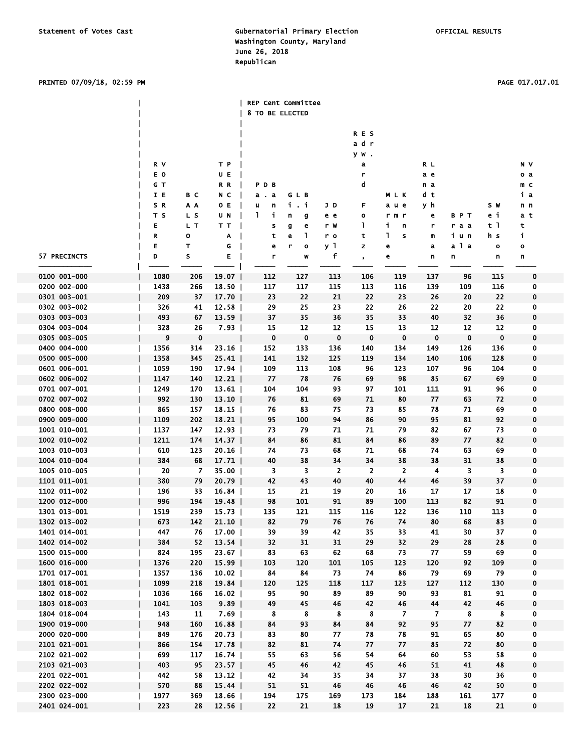### PRINTED 07/09/18, 02:59 PM PAGE 017.017.01

|                              |            |           |                | <b>REP Cent Committee</b> |                   |                |                      |                      |                |                  |                  |             |
|------------------------------|------------|-----------|----------------|---------------------------|-------------------|----------------|----------------------|----------------------|----------------|------------------|------------------|-------------|
|                              |            |           |                | 8 TO BE ELECTED           |                   |                |                      |                      |                |                  |                  |             |
|                              |            |           |                |                           |                   |                |                      |                      |                |                  |                  |             |
|                              |            |           |                |                           |                   |                | <b>RES</b>           |                      |                |                  |                  |             |
|                              |            |           |                |                           |                   |                | adr                  |                      |                |                  |                  |             |
|                              |            |           |                |                           |                   |                | yw.                  |                      |                |                  |                  |             |
|                              | R V        |           | T P            |                           |                   |                | a                    |                      | R L            |                  |                  | N V         |
|                              | ΕO         |           | UE             |                           |                   |                | r                    |                      | a e            |                  |                  | o a         |
|                              | G T        |           | R R            | PDB                       |                   |                | d                    | MLK                  | n a            |                  |                  | m c<br>iа   |
|                              | IE<br>SR.  | вc<br>A A | N C<br>O E     | a.a<br>u<br>n             | GLB<br>i.i        |                | F                    | a u e                | d t            |                  | S W              |             |
|                              | T S        | L S       | UN             | 1<br>j                    | n<br>g            | JD<br>e e      | o                    | r m r                | уh<br>е        | BPT              | еi               | n n<br>a t  |
|                              | E          | L T       | T T            | s                         | g<br>е            | r W            | L                    | j,<br>n              | r              | raa              | t 1              | t           |
|                              | R          | о         | A              | t                         | L<br>е            | r o            | t                    | 1<br>s               | m              | iun              | h s              | j,          |
|                              | E          | т         | G              | е                         | r<br>$\mathbf{o}$ | уl             | z                    | e                    | a              | a 1 a            | o                | o           |
| 57 PRECINCTS                 | D          | s         | E              | r                         | W                 | f              | $\bullet$            | e                    | n              | n                | n                | n           |
|                              |            |           |                |                           |                   |                |                      |                      |                |                  |                  |             |
| 0100 001-000                 | 1080       | 206       | 19.07          | 112                       | 127               | 113            | 106                  | 119                  | 137            | 96               | 115              | 0           |
| 0200 002-000                 | 1438       | 266       | 18.50          | 117                       | 117               | 115            | 113                  | 116                  | 139            | 109              | 116              | 0           |
| 0301 003-001                 | 209        | 37        | 17.70          | 23                        | 22                | 21             | 22                   | 23                   | 26             | 20               | 22               | 0           |
| 0302 003-002                 | 326        | 41        | $12.58$        | 29                        | 25                | 23             | 22                   | 26                   | 22             | 20               | 22               | 0           |
| 0303 003-003                 | 493        | 67        | 13.59          | 37                        | 35                | 36             | 35                   | 33                   | 40             | 32               | 36               | 0           |
| 0304 003-004                 | 328        | 26        | 7.93           | 15                        | 12                | 12             | 15                   | 13                   | 12             | 12               | 12               | 0           |
| 0305 003-005                 | 9          | 0         |                | 0                         | $\bf{0}$          | 0              | $\mathbf 0$          | $\bf{0}$             | $\bf{0}$       | $\bf{0}$         | $\mathbf 0$      | 0           |
| 0400 004-000                 | 1356       | 314       | 23.16          | 152                       | 133               | 136            | 140                  | 134                  | 149            | 126              | 136              | 0           |
| 0500 005-000                 | 1358       | 345       | 25.41          | 141                       | 132               | 125            | 119                  | 134                  | 140            | 106              | 128              | 0           |
| 0601 006-001                 | 1059       | 190       | 17.94          | 109                       | 113               | 108            | 96                   | 123                  | 107            | 96               | 104              | 0           |
| 0602 006-002                 | 1147       | 140       | 12.21          | 77                        | 78                | 76             | 69                   | 98                   | 85             | 67               | 69               | 0           |
| 0701 007-001                 | 1249       | 170       | 13.61          | 104                       | 104               | 93             | 97                   | 101                  | 111            | 91               | 96               | 0           |
| 0702 007-002                 | 992        | 130       | 13.10          | 76                        | 81                | 69             | 71                   | 80                   | 77             | 63               | 72               | 0           |
| 0800 008-000                 | 865        | 157       | 18.15          | 76                        | 83                | 75             | 73                   | 85                   | 78             | 71               | 69               | 0           |
| 0900 009-000                 | 1109       | 202       | 18.21          | 95                        | 100               | 94             | 86                   | 90                   | 95             | 81               | 92               | $\mathbf 0$ |
| 1001 010-001                 | 1137       | 147       | $12.93$        | 73                        | 79                | 71             | 71                   | 79                   | 82             | 67               | 73               | 0           |
| 1002 010-002                 | 1211       | 174       | 14.37          | 84                        | 86                | 81             | 84                   | 86                   | 89             | 77               | 82               | 0           |
| 1003 010-003                 | 610        | 123       | 20.16          | 74                        | 73                | 68             | 71                   | 68                   | 74             | 63               | 69               | 0           |
| 1004 010-004<br>1005 010-005 | 384        | 68        | 17.71          | 40                        | 38                | 34             | 34<br>$\overline{2}$ | 38                   | 38             | 31               | 38               | 0           |
| 1101 011-001                 | 20         | 7<br>79   | 35.00          | 3<br>42                   | 3<br>43           | $\overline{2}$ | 40                   | $\overline{2}$<br>44 | 4<br>46        | 3<br>39          | 3<br>37          | 0<br>0      |
| 1102 011-002                 | 380<br>196 | 33        | 20.79<br>16.84 | 15                        | 21                | 40<br>19       | 20                   | 16                   | 17             | 17               | 18               | 0           |
| 1200 012-000                 | 996        | 194       | 19.48          | 98                        | 101               | 91             | 89                   | 100                  | 113            | 82               | 91               | $\mathbf 0$ |
| 1301 013-001                 | 1519       | 239       | 15.73          | 135                       | 121               | 115            | 116                  | 122                  | 136            | 110              | 113              | 0           |
| 1302 013-002                 | 673        | 142       | $21.10$        | 82                        | 79                | 76             | 76                   | 74                   | 80             | 68               | 83               | 0           |
| 1401 014-001                 | 447        | 76        | $17.00$        | 39                        | 39                | 42             | 35                   | 33                   | 41             | 30               | 37               | 0           |
| 1402 014-002                 | 384        | 52        | 13.54          | 32                        | 31                | 31             | 29                   | 32                   | 29             | 28               | 28               | 0           |
| 1500 015-000                 | 824        | 195       | 23.67          | 83                        | 63                | 62             | 68                   | 73                   | 77             | 59               | 69               | 0           |
| 1600 016-000                 | 1376       | 220       | $15.99$        | 103                       | 120               | 101            | 105                  | 123                  | 120            | 92               | 109              | 0           |
| 1701 017-001                 | 1357       | 136       | 10.02          | 84                        | 84                | 73             | 74                   | 86                   | 79             | 69               | 79               | 0           |
| 1801 018-001                 | 1099       | 218       | 19.84          | 120                       | 125               | 118            | 117                  | 123                  | 127            | 112              | 130              | $\mathbf 0$ |
| 1802 018-002                 | 1036       | 166       | 16.02          | 95                        | 90                | 89             | 89                   | 90                   | 93             | 81               | 91               | 0           |
| 1803 018-003                 | 1041       | 103       | 9.89           | 49                        | 45                | 46             | 42                   | 46                   | 44             | 42               | 46               | 0           |
| 1804 018-004                 | 143        | 11        | $7.69$         | $\boldsymbol{8}$          | $\boldsymbol{8}$  | 8              | $\boldsymbol{8}$     | $\overline{7}$       | $\overline{7}$ | $\boldsymbol{8}$ | $\boldsymbol{8}$ | 0           |
| 1900 019-000                 | 948        | 160       | 16.88          | 84                        | 93                | 84             | 84                   | 92                   | 95             | 77               | 82               | $\mathbf 0$ |
| 2000 020-000                 | 849        | 176       | 20.73          | 83                        | 80                | 77             | 78                   | 78                   | 91             | 65               | 80               | 0           |
| 2101 021-001                 | 866        | 154       | 17.78          | 82                        | 81                | 74             | 77                   | 77                   | 85             | 72               | 80               | $\mathbf 0$ |
| 2102 021-002                 | 699        | 117       | 16.74          | 55                        | 63                | 56             | 54                   | 64                   | 60             | 53               | 58               | 0           |
| 2103 021-003                 | 403        | 95        | $23.57$        | 45                        | 46                | 42             | 45                   | 46                   | 51             | 41               | 48               | $\mathbf 0$ |
| 2201 022-001                 | 442        | 58        | $13.12$        | 42                        | 34                | 35             | 34                   | 37                   | 38             | 30               | 36               | 0           |
| 2202 022-002                 | 570        | 88        | 15.44          | 51                        | 51                | 46             | 46                   | 46                   | 46             | 42               | 50               | $\pmb{0}$   |
| 2300 023-000                 | 1977       | 369       | $18.66$        | 194                       | 175               | 169            | 173                  | 184                  | 188            | 161              | 177              | 0           |
| 2401 024-001                 | 223        | 28        | 12.56          | 22                        | 21                | 18             | 19                   | 17                   | 21             | 18               | 21               | 0           |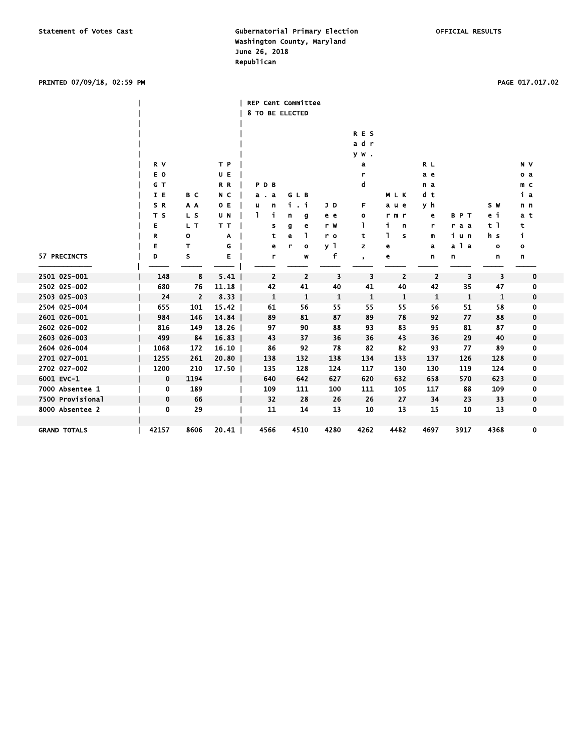### PRINTED 07/09/18, 02:59 PM PAGE 017.017.02

|                     |             |                |       | <b>REP Cent Committee</b><br>8 TO BE ELECTED |                  |                |            |                   |                |              |                |                |  |
|---------------------|-------------|----------------|-------|----------------------------------------------|------------------|----------------|------------|-------------------|----------------|--------------|----------------|----------------|--|
|                     |             |                |       |                                              |                  |                | <b>RES</b> |                   |                |              |                |                |  |
|                     |             |                |       |                                              |                  |                | adr        |                   |                |              |                |                |  |
|                     |             |                |       |                                              |                  |                | yw.        |                   |                |              |                |                |  |
|                     | R V         |                | T P   |                                              |                  |                | a          |                   | R L            |              |                | N V            |  |
|                     | E O         |                | UE    |                                              |                  |                | r          |                   | a e            |              |                | o a            |  |
|                     | G T         |                | R R   | PDB                                          |                  |                | d          |                   | n a            |              |                | m <sub>c</sub> |  |
|                     | I E         | B C            | N C   | a . a                                        | GLB              |                |            | MLK               | d t            |              |                | iа             |  |
|                     | SR          | A A            | O E   | n<br>u                                       | i.<br>. i        | JD             | F          | a u e             | уh             |              | S W            | n n            |  |
|                     | T S         | L S            | U N   | i<br>٦                                       | n<br>g           | e e            | o          | r m r             | e              | <b>BPT</b>   | еi             | a t            |  |
|                     | Е           | L T            | T T   | s                                            | g<br>e           | r W            | L          | i.<br>n           | r              | raa          | t <sub>1</sub> | t              |  |
|                     | R           | o              | A     | t                                            | ı<br>е           | r o            | t          | 1<br>$\mathbf{s}$ | m              | iun          | h s            | j.             |  |
|                     | Е           | т              | G     | e                                            | r<br>$\mathbf o$ | y <sub>1</sub> | z          | e                 | a              | a 1 a        | $\mathbf{o}$   | $\bullet$      |  |
| 57 PRECINCTS        | D           | s              | Е     | r                                            | W                | f              | $\bullet$  | е                 | n              | n            | n              | n              |  |
|                     |             |                |       |                                              |                  |                |            |                   |                |              |                |                |  |
| 2501 025-001        | 148         | 8              | 5.41  | $\overline{\mathbf{c}}$                      | $\overline{2}$   | 3              | 3          | $\overline{2}$    | $\overline{2}$ | 3            | 3              | $\mathbf 0$    |  |
| 2502 025-002        | 680         | 76             | 11.18 | 42                                           | 41               | 40             | 41         | 40                | 42             | 35           | 47             | 0              |  |
| 2503 025-003        | 24          | $\overline{2}$ | 8.33  | 1                                            | 1                | 1              | 1          | 1                 | 1              | $\mathbf{1}$ | 1              | $\mathbf 0$    |  |
| 2504 025-004        | 655         | 101            | 15.42 | 61                                           | 56               | 55             | 55         | 55                | 56             | 51           | 58             | 0              |  |
| 2601 026-001        | 984         | 146            | 14.84 | 89                                           | 81               | 87             | 89         | 78                | 92             | 77           | 88             | 0              |  |
| 2602 026-002        | 816         | 149            | 18.26 | 97                                           | 90               | 88             | 93         | 83                | 95             | 81           | 87             | 0              |  |
| 2603 026-003        | 499         | 84             | 16.83 | 43                                           | 37               | 36             | 36         | 43                | 36             | 29           | 40             | $\mathbf 0$    |  |
| 2604 026-004        | 1068        | 172            | 16.10 | 86                                           | 92               | 78             | 82         | 82                | 93             | 77           | 89             | 0              |  |
| 2701 027-001        | 1255        | 261            | 20.80 | 138                                          | 132              | 138            | 134        | 133               | 137            | 126          | 128            | 0              |  |
| 2702 027-002        | 1200        | 210            | 17.50 | 135                                          | 128              | 124            | 117        | 130               | 130            | 119          | 124            | 0              |  |
| 6001 EVC-1          | $\mathbf 0$ | 1194           |       | 640                                          | 642              | 627            | 620        | 632               | 658            | 570          | 623            | $\mathbf 0$    |  |
| 7000 Absentee 1     | 0           | 189            |       | 109                                          | 111              | 100            | 111        | 105               | 117            | 88           | 109            | 0              |  |
| 7500 Provisional    | 0           | 66             |       | 32                                           | 28               | 26             | 26         | 27                | 34             | 23           | 33             | 0              |  |
| 8000 Absentee 2     | 0           | 29             |       | 11                                           | 14               | 13             | 10         | 13                | 15             | 10           | 13             | 0              |  |
|                     |             |                |       |                                              |                  |                |            |                   |                |              |                |                |  |
| <b>GRAND TOTALS</b> | 42157       | 8606           | 20.41 | 4566                                         | 4510             | 4280           | 4262       | 4482              | 4697           | 3917         | 4368           | 0              |  |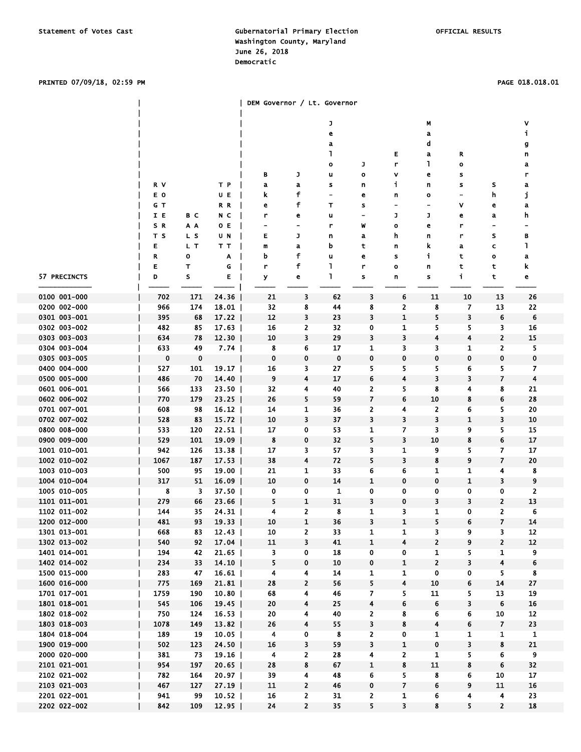### PRINTED 07/09/18, 02:59 PM PAGE 018.018.01

|                              |            |            |                | <b>DEM Governor / Lt. Governor</b> |                                   |                          |                     |                         |                              |              |                          |                  |  |
|------------------------------|------------|------------|----------------|------------------------------------|-----------------------------------|--------------------------|---------------------|-------------------------|------------------------------|--------------|--------------------------|------------------|--|
|                              |            |            |                |                                    |                                   |                          |                     |                         |                              |              |                          |                  |  |
|                              |            |            |                |                                    |                                   | J                        |                     |                         | M                            |              |                          | ٧                |  |
|                              |            |            |                |                                    |                                   | e                        |                     |                         | a                            |              |                          | j,               |  |
|                              |            |            |                |                                    |                                   | a                        |                     |                         | d                            |              |                          | g                |  |
|                              |            |            |                |                                    |                                   | L                        |                     | Е                       | a                            | R            |                          | n                |  |
|                              |            |            |                |                                    |                                   | o                        | J                   | r                       | L                            | o            |                          | a                |  |
|                              |            |            |                | в                                  | J                                 | u                        | $\bullet$           | ٧                       | е                            | s            |                          | r                |  |
|                              | R V        |            | ТP             | a                                  | a                                 | s                        | n                   | j,                      | n                            | s            | s                        | a                |  |
|                              | E O        |            | UΕ             | k                                  | f                                 | $\overline{\phantom{0}}$ | е                   | n                       | o                            |              | h                        | j                |  |
|                              | GT         |            | R R            | е                                  | f                                 | т                        | s<br>$\blacksquare$ |                         | -                            | ٧            | е                        | a                |  |
|                              | I E        | вс         | N C            | r                                  | е<br>$\qquad \qquad \blacksquare$ | u<br>'n                  |                     | J                       | J                            | е            | a<br>-                   | h                |  |
|                              | S R<br>T S | A A<br>L S | 0 E            | $\qquad \qquad \blacksquare$       |                                   |                          | W                   | $\bullet$               | e                            | r            | s                        |                  |  |
|                              | E          | L T        | UΝ<br>тт       | Е                                  | J                                 | n<br>b                   | a<br>t              | h                       | n<br>k                       | r<br>a       | c                        | в<br>1           |  |
|                              | R          | о          | Α              | m<br>b                             | a<br>f                            | u                        | e                   | n<br>s                  | j.                           | t            | $\mathbf{o}$             | a                |  |
|                              | Е          | т          | G              | r                                  | f                                 | L                        | r                   | $\mathbf{o}$            | n                            | t            | t                        | k                |  |
| 57 PRECINCTS                 | D          | S          | E              | У                                  | e                                 | L                        | s                   | n                       | s                            | i,           | t                        | e                |  |
|                              |            |            |                |                                    |                                   |                          |                     |                         |                              |              |                          |                  |  |
| 0100 001-000                 | 702        | 171        | 24.36          | 21                                 | 3                                 | 62                       | 3                   | 6                       | 11                           | 10           | 13                       | 26               |  |
| 0200 002-000                 | 966        | 174        | 18.01          | 32                                 | 8                                 | 44                       | 8                   | 2                       | 8                            | 7            | 13                       | 22               |  |
| 0301 003-001                 | 395        | 68         | 17.22          | 12                                 | 3                                 | 23                       | 3                   | 1                       | 5                            | 3            | 6                        | 6                |  |
| 0302 003-002                 | 482        | 85         | 17.63          | 16                                 | 2                                 | 32                       | 0                   | 1                       | 5                            | 5            | 3                        | 16               |  |
| 0303 003-003                 | 634        | 78         | $12.30$        | 10                                 | 3                                 | 29                       | 3                   | 3                       | 4                            | 4            | $\mathbf{2}$             | 15               |  |
| 0304 003-004                 | 633        | 49         | 7.74           | 8                                  | 6                                 | 17                       | 1                   | 3                       | 3                            | 1            | 2                        | 5                |  |
| 0305 003-005                 | 0          | 0          |                | 0                                  | 0                                 | 0                        | 0                   | 0                       | 0                            | 0            | 0                        | 0                |  |
| 0400 004-000                 | 527        | 101        | 19.17          | 16                                 | 3                                 | 27                       | 5                   | 5                       | 5                            | 6            | 5                        | 7                |  |
| 0500 005-000                 | 486        | 70         | 14.40          | 9                                  | 4                                 | 17                       | 6                   | 4                       | 3                            | 3            | $\overline{\mathbf{z}}$  | 4                |  |
| 0601 006-001                 | 566        | 133        | $23.50$        | 32                                 | 4                                 | 40                       | 2                   | 5                       | 8                            | 4            | 8                        | 21               |  |
| 0602 006-002                 | 770        | 179        | $23.25$        | 26                                 | 5                                 | 59                       | 7                   | 6                       | 10                           | 8            | 6                        | 28               |  |
| 0701 007-001                 | 608        | 98         | $16.12$        | 14                                 | 1                                 | 36                       | 2                   | 4                       | 2                            | 6            | 5                        | 20               |  |
| 0702 007-002                 | 528        | 83         | 15.72          | 10                                 | 3                                 | 37                       | 3                   | 3                       | 3                            | $\mathbf{1}$ | 3                        | 10               |  |
| 0800 008-000                 | 533        | 120        | 22.51          | 17                                 | 0                                 | 53                       | 1                   | 7                       | 3                            | 9            | 5                        | 15               |  |
| 0900 009-000                 | 529        | 101        | 19.09          | 8                                  | 0                                 | 32                       | 5                   | 3                       | 10                           | 8            | 6                        | 17               |  |
| 1001 010-001                 | 942        | 126        | $13.38$        | 17                                 | 3                                 | 57                       | 3                   | 1                       | 9                            | 5            | 7                        | 17               |  |
| 1002 010-002                 | 1067       | 187        | 17.53          | 38                                 | 4                                 | 72                       | 5                   | 3                       | 8                            | 9            | $\overline{\phantom{a}}$ | 20               |  |
| 1003 010-003                 | 500        | 95         | 19.00          | 21                                 | 1                                 | 33                       | 6                   | 6                       | 1                            | 1            | 4                        | 8                |  |
| 1004 010-004                 | 317        | 51         | 16.09          | 10                                 | $\mathbf 0$                       | 14                       | 1                   | 0                       | 0                            | 1            | 3                        | 9                |  |
| 1005 010-005                 | 8          | 3          | 37.50          | 0                                  | 0                                 | 1                        | 0                   | 0                       | 0                            | 0            | 0                        | 2                |  |
| 1101 011-001                 | 279        | 66         | 23.66          | 5                                  | $\mathbf{1}$                      | 31                       | 3                   | 0                       | 3                            | 3            | 2                        | 13               |  |
| 1102 011-002                 | 144        | 35         | 24.31          | 4                                  | 2                                 | 8                        | 1                   | 3                       | 1                            | 0            | 2                        | 6                |  |
| 1200 012-000                 | 481        | 93         | 19.33          | ${\bf 10}$                         | 1                                 | 36                       | 3                   | 1                       | 5                            | 6            | 7                        | 14               |  |
| 1301 013-001<br>1302 013-002 | 668<br>540 | 83<br>92   | $12.43$        | 10                                 | 2                                 | 33<br>41                 | 1<br>$\mathbf{1}$   | 1                       | 3<br>$\overline{\mathbf{c}}$ | 9            | 3.<br>$\overline{2}$     | 12<br>12         |  |
| 1401 014-001                 | 194        | 42         | 17.04<br>21.65 | 11<br>3                            | 3<br>0                            | 18                       | 0                   | 4<br>0                  | 1                            | 9<br>5       | 1                        | 9                |  |
| 1402 014-002                 | 234        | 33         | 14.10          | 5                                  | $\pmb{0}$                         | 10                       | 0                   | $\mathbf{1}$            | $\mathbf{2}$                 | 3            | 4                        | 6                |  |
| 1500 015-000                 | 283        | 47         | 16.61          | $\overline{\mathbf{4}}$            | 4                                 | 14                       | $\mathbf{1}$        | $\mathbf{1}$            | $\overline{0}$               | $\mathbf 0$  | 5                        | $\boldsymbol{8}$ |  |
| 1600 016-000                 | 775        | 169        | 21.81          | 28                                 | 2                                 | 56                       | 5                   | 4                       | 10                           | 6            | ${\bf 14}$               | 27               |  |
| 1701 017-001                 | 1759       | 190        | $10.80$        | 68                                 | 4                                 | 46                       | 7.                  | 5                       | 11                           | 5            | 13                       | 19               |  |
| 1801 018-001                 | 545        | 106        | $19.45$        | 20                                 | 4                                 | 25                       | 4                   | 6                       | 6                            | 3            | 6                        | 16               |  |
| 1802 018-002                 | 750        | 124        | 16.53          | 20                                 | 4                                 | 40                       | $\mathbf{2}$        | 8                       | 6                            | 6            | 10                       | 12               |  |
| 1803 018-003                 | 1078       | 149        | 13.82          | 26                                 | 4                                 | 55                       | 3                   | 8                       | 4                            | 6            | $\overline{7}$           | 23               |  |
| 1804 018-004                 | 189        | 19         | 10.05          | $\overline{4}$                     | 0                                 | $\boldsymbol{8}$         | $\mathbf{2}$        | 0                       | 1                            | 1            | 1                        | $\mathbf{1}$     |  |
| 1900 019-000                 | 502        | 123        | $24.50$        | 16                                 | 3                                 | 59                       | 3                   | $\mathbf{1}$            | $\mathbf 0$                  | 3            | 8                        | 21               |  |
| 2000 020-000                 | 381        | 73         | 19.16          | 4                                  | 2                                 | 28                       | 4                   | 2                       | 1                            | 5            | 6                        | $\boldsymbol{9}$ |  |
| 2101 021-001                 | 954        | 197        | $20.65$        | 28                                 | 8                                 | 67                       | $\mathbf{1}$        | 8                       | 11                           | 8            | 6                        | 32               |  |
| 2102 021-002                 | 782        | 164        | 20.97          | 39                                 | 4                                 | 48                       | 6                   | 5                       | 8                            | 6            | 10                       | 17               |  |
| 2103 021-003                 | 467        | 127        | $27.19$        | 11                                 | 2                                 | 46                       | 0                   | $\overline{7}$          | 6                            | 9            | 11                       | 16               |  |
| 2201 022-001                 | 941        | 99         | 10.52          | 16                                 | 2                                 | 31                       | 2                   | 1                       | 6                            | 4            | $\overline{\mathbf{4}}$  | 23               |  |
| 2202 022-002                 | 842        | 109        | $12.95$        | 24                                 | $\mathbf{2}$                      | 35                       | 5                   | $\overline{\mathbf{3}}$ | 8                            | 5            | $\overline{2}$           | 18               |  |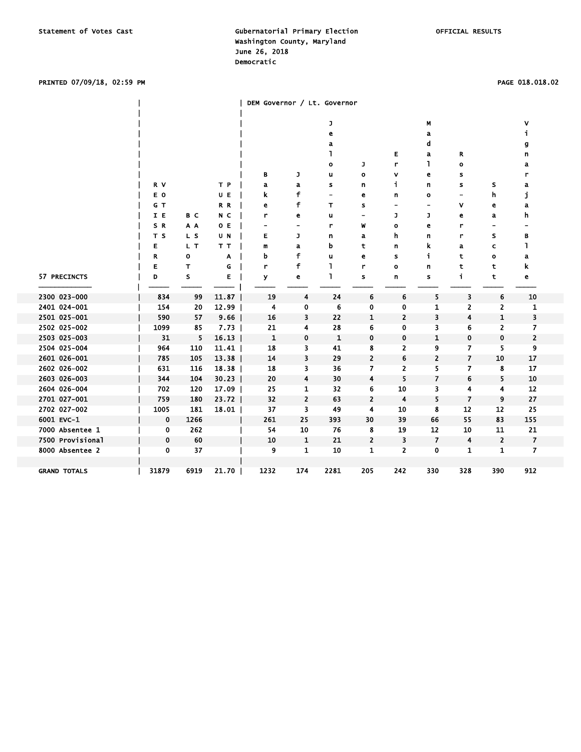### PRINTED 07/09/18, 02:59 PM PAGE 018.018.02

|                     |                |      |       | DEM Governor / Lt. Governor  |                |                          |                          |                          |                |                          |                          |                |  |
|---------------------|----------------|------|-------|------------------------------|----------------|--------------------------|--------------------------|--------------------------|----------------|--------------------------|--------------------------|----------------|--|
|                     |                |      |       |                              |                | J                        |                          |                          | М              |                          |                          | ۷              |  |
|                     |                |      |       |                              |                | е                        |                          |                          | а              |                          |                          | j.             |  |
|                     |                |      |       |                              |                | a                        |                          |                          | d              |                          |                          | g              |  |
|                     |                |      |       |                              |                | ı                        |                          | Е                        | a              | R                        |                          | n              |  |
|                     |                |      |       |                              |                | $\mathbf o$              | J                        | r                        | L              | $\mathbf o$              |                          | a              |  |
|                     |                |      |       | в                            | J              | u                        | $\bullet$                | v                        | e              | s                        |                          | r              |  |
|                     | R V            |      | T P   | a                            | a              | s                        | n                        | i.                       | n              | s                        | s                        | a              |  |
|                     | E O            |      | U E   | k                            | f              | $\overline{\phantom{0}}$ | e                        | n                        | $\mathbf o$    | $\overline{\phantom{0}}$ | h                        | j              |  |
|                     | G T            |      | R R   | е                            | f              | т                        | s                        | $\overline{\phantom{0}}$ | ۰              | ۷                        | e                        | a              |  |
|                     | I E            | B C  | N C   | r                            | e              | u                        | $\overline{\phantom{a}}$ | J                        | J              | e                        | a                        | h              |  |
|                     | SR             | A A  | 0 E   | $\qquad \qquad \blacksquare$ | ۰              | r                        | W                        | $\bullet$                | e              | r                        | $\overline{\phantom{0}}$ |                |  |
|                     | T <sub>S</sub> | L S  | U N   | Е                            | J              | n                        | a                        | h                        | n              | r                        | S                        | B              |  |
|                     | E              | L T  | T T   | m                            | a              | b                        | t                        | n                        | k              | a                        | c                        | ı              |  |
|                     | R              | o    | Α     | b                            | f              | u                        | е                        | s                        | j.             | t                        | $\circ$                  | a              |  |
|                     | E              | T.   | G     | r                            | f              | ı                        | r                        | $\mathbf{o}$             | n              | t                        | t                        | k              |  |
| 57 PRECINCTS        | D              | s    | E     | У                            | e              | L                        | s                        | n                        | s              | f.                       | t                        | e              |  |
| 2300 023-000        | 834            | 99   | 11.87 | 19                           | 4              | 24                       | 6                        | 6                        | 5              | 3                        | 6                        | 10             |  |
| 2401 024-001        | 154            | 20   | 12.99 | 4                            | 0              | 6                        | 0                        | 0                        | 1              | 2                        | $\overline{2}$           | 1              |  |
| 2501 025-001        | 590            | 57   | 9.66  | 16                           | 3              | 22                       | 1                        | $\overline{2}$           | 3              | 4                        | 1                        | 3              |  |
| 2502 025-002        | 1099           | 85   | 7.73  | 21                           | 4              | 28                       | 6                        | 0                        | 3              | 6                        | 2                        | 7              |  |
| 2503 025-003        | 31             | 5    | 16.13 | 1                            | 0              | $\mathbf{1}$             | 0                        | 0                        | 1              | 0                        | 0                        | 2              |  |
| 2504 025-004        | 964            | 110  | 11.41 | 18                           | 3              | 41                       | 8                        | 2                        | 9              | 7                        | 5                        | 9              |  |
| 2601 026-001        | 785            | 105  | 13.38 | 14                           | 3              | 29                       | $\overline{\mathbf{c}}$  | 6                        | 2              | $\overline{\mathbf{z}}$  | 10                       | 17             |  |
| 2602 026-002        | 631            | 116  | 18.38 | 18                           | 3              | 36                       | 7                        | 2                        | 5              | 7                        | 8                        | 17             |  |
| 2603 026-003        | 344            | 104  | 30.23 | 20                           | 4              | 30                       | 4                        | 5                        | 7              | 6                        | 5                        | 10             |  |
| 2604 026-004        | 702            | 120  | 17.09 | 25                           | 1              | 32                       | 6                        | 10                       | 3              | 4                        | 4                        | 12             |  |
| 2701 027-001        | 759            | 180  | 23.72 | 32                           | $\overline{2}$ | 63                       | $\overline{\mathbf{2}}$  | 4                        | 5              | $\overline{\phantom{a}}$ | 9                        | 27             |  |
| 2702 027-002        | 1005           | 181  | 18.01 | 37                           | 3              | 49                       | 4                        | 10                       | 8              | 12                       | 12                       | 25             |  |
| 6001 EVC-1          | $\bf{0}$       | 1266 |       | 261                          | 25             | 393                      | 30                       | 39                       | 66             | 55                       | 83                       | 155            |  |
| 7000 Absentee 1     | 0              | 262  |       | 54                           | 10             | 76                       | 8                        | 19                       | 12             | 10                       | 11                       | 21             |  |
| 7500 Provisional    | $\bf{0}$       | 60   |       | 10                           | $\mathbf{1}$   | 21                       | $\overline{\mathbf{c}}$  | 3                        | $\overline{7}$ | 4                        | $\overline{2}$           | $\overline{7}$ |  |
| 8000 Absentee 2     | $\mathbf 0$    | 37   |       | 9                            | $\mathbf{1}$   | 10                       | $\mathbf{1}$             | 2                        | 0              | 1                        | 1                        | $\overline{7}$ |  |
|                     |                |      |       |                              |                |                          |                          |                          |                |                          |                          |                |  |
| <b>GRAND TOTALS</b> | 31879          | 6919 | 21.70 | 1232                         | 174            | 2281                     | 205                      | 242                      | 330            | 328                      | 390                      | 912            |  |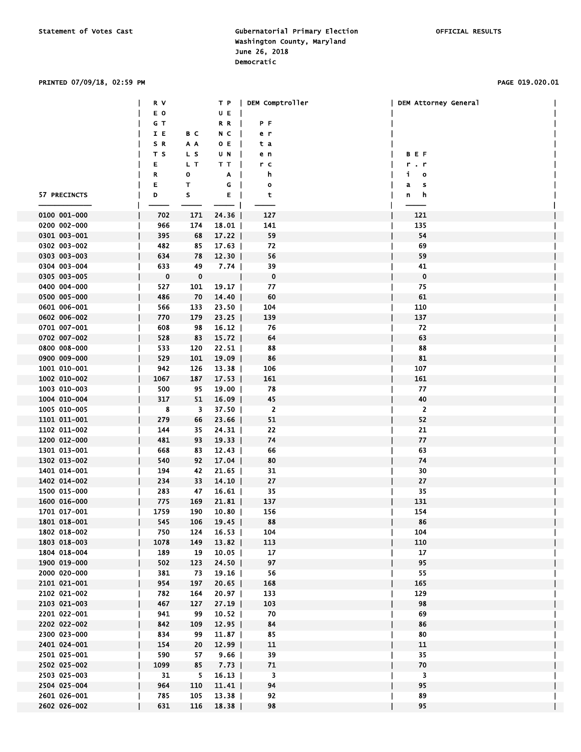### PRINTED 07/09/18, 02:59 PM PAGE 019.020.01

|              | R V      |                 |          | T P   DEM Comptroller | DEM Attorney General        |  |
|--------------|----------|-----------------|----------|-----------------------|-----------------------------|--|
|              | E O      |                 | U E      |                       |                             |  |
|              | GT       |                 | RR       | ΡF                    |                             |  |
|              | IE       | вс              | NC       | e r                   |                             |  |
|              | SR       | A A             | 0 E      | ta                    |                             |  |
|              | тs       | LS              | U N      | e n                   | <b>BEF</b>                  |  |
|              | E        | L T             | TT       | r c                   | r.r                         |  |
|              | R        | о               | $A \mid$ | h,                    | $\mathbf i$<br>$\mathbf{o}$ |  |
|              | Е        | т               | G        | $\bullet$             | a<br>s                      |  |
| 57 PRECINCTS | D        | s               | E        | t                     | h<br>n                      |  |
|              |          |                 |          |                       |                             |  |
| 0100 001-000 | 702      | 171             | 24.36    | 127                   | 121                         |  |
|              |          |                 |          |                       |                             |  |
| 0200 002-000 | 966      | 174             | $18.01$  | 141                   | 135                         |  |
| 0301 003-001 | 395      | 68              | 17.22    | 59                    | 54                          |  |
| 0302 003-002 | 482      | 85              | 17.63    | 72                    | 69                          |  |
| 0303 003-003 | 634      | 78              | $12.30$  | 56                    | 59                          |  |
| 0304 003-004 | 633      | 49              | $7.74$   | 39                    | 41                          |  |
| 0305 003-005 | $\bf{0}$ | 0               |          | $\mathbf 0$           | 0                           |  |
| 0400 004-000 | 527      | 101             | 19.17    | 77                    | 75                          |  |
| 0500 005-000 | 486      | 70              | 14.40    | 60                    | 61                          |  |
| 0601 006-001 | 566      | 133             | $23.50$  | 104                   | 110                         |  |
| 0602 006-002 | 770      | 179             | $23.25$  | 139                   | 137                         |  |
| 0701 007-001 | 608      | 98              | $16.12$  | 76                    | 72                          |  |
| 0702 007-002 | 528      | 83              | $15.72$  | 64                    | 63                          |  |
| 0800 008-000 | 533      | 120             | $22.51$  | 88                    | 88                          |  |
| 0900 009-000 | 529      | 101             | $19.09$  | 86                    | 81                          |  |
| 1001 010-001 | 942      | 126             | $13.38$  | 106                   | 107                         |  |
| 1002 010-002 | 1067     | 187             | 17.53    | 161                   | 161                         |  |
| 1003 010-003 | 500      | 95              | $19.00$  | 78                    | 77                          |  |
| 1004 010-004 | 317      | 51              | $16.09$  | 45                    | 40                          |  |
| 1005 010-005 | 8        | 3               | $37.50$  | $\overline{2}$        | $\overline{2}$              |  |
| 1101 011-001 | 279      | 66              | $23.66$  | 51                    | 52                          |  |
| 1102 011-002 | 144      | 35              | 24.31    | 22                    | 21                          |  |
| 1200 012-000 | 481      | 93              | 19.33    | 74                    | 77                          |  |
| 1301 013-001 | 668      | 83              | $12.43$  | 66                    | 63                          |  |
| 1302 013-002 | 540      | 92              | 17.04    | 80                    | 74                          |  |
| 1401 014-001 | 194      | 42              | $21.65$  | 31                    | 30                          |  |
| 1402 014-002 | 234      | 33              | $14.10$  | 27                    | 27                          |  |
| 1500 015-000 | 283      | 47              | $16.61$  | 35                    | 35                          |  |
| 1600 016-000 | 775      | 169             | 21.81    | 137                   | 131                         |  |
| 1701 017-001 | 1759     | 190             | $10.80$  | 156                   | 154                         |  |
| 1801 018-001 | 545      | 106             | $19.45$  | 88                    | 86                          |  |
| 1802 018-002 | 750      | 124             | 16.53    | 104                   | 104                         |  |
| 1803 018-003 | 1078     | 149             | 13.82    | 113                   | 110                         |  |
| 1804 018-004 | 189      | 19              | $10.05$  | 17                    | 17                          |  |
| 1900 019-000 | 502      | 123             | 24.50    | 97                    | 95                          |  |
| 2000 020-000 | 381      |                 |          |                       | 55                          |  |
|              |          | 73              | 19.16    | 56                    |                             |  |
| 2101 021-001 | 954      | 197             | 20.65    | 168                   | 165                         |  |
| 2102 021-002 | 782      | 164             | 20.97    | 133                   | 129                         |  |
| 2103 021-003 | 467      | 127             | $27.19$  | 103                   | 98                          |  |
| 2201 022-001 | 941      | 99              | 10.52    | 70                    | 69                          |  |
| 2202 022-002 | 842      | 109             | 12.95    | 84                    | 86                          |  |
| 2300 023-000 | 834      | 99              | $11.87$  | 85                    | 80                          |  |
| 2401 024-001 | 154      | 20 <sub>2</sub> | $12.99$  | 11                    | 11                          |  |
| 2501 025-001 | 590      | 57              | $9.66$   | 39                    | 35                          |  |
| 2502 025-002 | 1099     | 85              | 7.73     | 71                    | 70                          |  |
| 2503 025-003 | 31       | 5               | $16.13$  | 3                     | 3                           |  |
| 2504 025-004 | 964      | 110             | 11.41    | 94                    | 95                          |  |
| 2601 026-001 | 785      | 105             | 13.38    | 92                    | 89                          |  |
| 2602 026-002 | 631      | 116             | 18.38    | 98                    | 95                          |  |
|              |          |                 |          |                       |                             |  |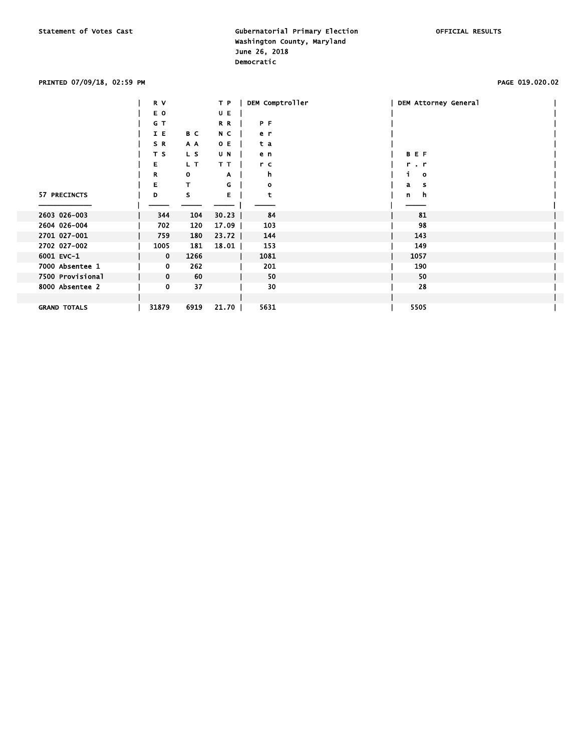### PRINTED 07/09/18, 02:59 PM PAGE 019.020.02

|                     | R V         |      | T P     | DEM Comptroller | DEM Attorney General |  |
|---------------------|-------------|------|---------|-----------------|----------------------|--|
|                     | E O         |      | U E     |                 |                      |  |
|                     | G T         |      | R R     | P F             |                      |  |
|                     | I E         | B C  | N C     | e r             |                      |  |
|                     | SR.         | A A  | O E     | t a             |                      |  |
|                     | T S         | L S  | U N     | e n             | <b>BEF</b>           |  |
|                     | Е.          | L T  | TТ      | r c             | $r - r$              |  |
|                     | R           | 0    | A       | h               | $\mathbf{o}$         |  |
|                     | Е           | т    | G       | $\circ$         | a<br>s               |  |
| 57 PRECINCTS        | D           | s    | Е       | t               | h.<br>n              |  |
|                     |             |      |         |                 |                      |  |
| 2603 026-003        | 344         | 104  | 30.23   | 84              | 81                   |  |
| 2604 026-004        | 702         | 120  | $17.09$ | 103             | 98                   |  |
| 2701 027-001        | 759         | 180  | $23.72$ | 144             | 143                  |  |
| 2702 027-002        | 1005        | 181  | 18.01   | 153             | 149                  |  |
| 6001 EVC-1          | $\mathbf 0$ | 1266 |         | 1081            | 1057                 |  |
| 7000 Absentee 1     | 0           | 262  |         | 201             | 190                  |  |
| 7500 Provisional    | $\mathbf 0$ | 60   |         | 50              | 50                   |  |
| 8000 Absentee 2     | 0           | 37   |         | 30              | 28                   |  |
|                     |             |      |         |                 |                      |  |
| <b>GRAND TOTALS</b> | 31879       | 6919 | 21.70   | 5631            | 5505                 |  |
|                     |             |      |         |                 |                      |  |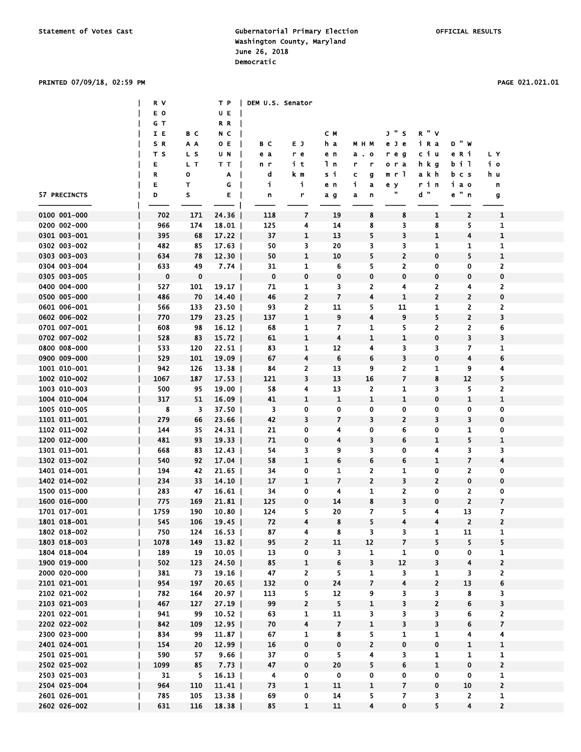|              | R V         |             |         | T P   DEM U.S. Senator |                |                          |                         |                         |                         |                         |                         |  |
|--------------|-------------|-------------|---------|------------------------|----------------|--------------------------|-------------------------|-------------------------|-------------------------|-------------------------|-------------------------|--|
|              | E O         |             | U E     |                        |                |                          |                         |                         |                         |                         |                         |  |
|              | G T         |             | RR      |                        |                |                          |                         |                         |                         |                         |                         |  |
|              | IE          | вс          | N C     |                        |                | C M                      |                         | J " S                   | R''V                    |                         |                         |  |
|              | SR.         | A A         | O E     | вc                     | E J            | h a                      | M H M                   | e J e                   | iRa                     | <b>D " W</b>            |                         |  |
|              | T S         | L S         | U N     | e a                    | r e            | e n                      | $a \cdot o$             | reg                     | сіи                     | eRi                     | LY                      |  |
|              | E           | L T         | тт      |                        | it             | 1 <sub>n</sub>           | r<br>r                  | ora                     | hkg                     | b i 1                   | iо                      |  |
|              |             |             |         | n r                    |                |                          |                         |                         |                         |                         |                         |  |
|              | R           | o           | A       | d                      | k m            | si                       | c<br>g                  | m r l                   | akh                     | bcs                     | h u                     |  |
|              | E           | т           | G       | j.                     | j.             | e n                      | i,<br>a                 | e y<br>π                | rin                     | іао                     | n                       |  |
| 57 PRECINCTS | D           | s           | Е       | n                      | r              | a g                      | a<br>n                  |                         | $d$ "                   | $e$ " $n$               | g                       |  |
|              |             |             |         |                        |                |                          |                         |                         |                         |                         |                         |  |
| 0100 001-000 | 702         | 171         | 24.36   | 118                    | 7              | 19                       | 8                       | 8                       | 1                       | $\overline{2}$          | 1                       |  |
| 0200 002-000 | 966         | 174         | 18.01   | 125                    | 4              | 14                       | 8                       | 3                       | 8                       | 5                       | 1                       |  |
| 0301 003-001 | 395         | 68          | $17.22$ | 37                     | 1              | 13                       | 5                       | 3                       | $\mathbf{1}$            | 4                       | $\mathbf 1$             |  |
| 0302 003-002 | 482         | 85          | 17.63   | 50                     | 3              | 20                       | 3                       | 3                       | 1                       | 1                       | 1                       |  |
| 0303 003-003 | 634         | 78          | $12.30$ | 50                     | $\mathbf{1}$   | 10                       | 5                       | $\overline{2}$          | $\mathbf 0$             | 5                       | $\mathbf{1}$            |  |
| 0304 003-004 | 633         | 49          | 7.74    | 31                     | 1              | 6                        | 5                       | 2                       | 0                       | 0                       | $\overline{2}$          |  |
| 0305 003-005 | $\mathbf 0$ | $\mathbf 0$ |         | $\bf{0}$               | 0              | 0                        | 0                       | $\mathbf 0$             | $\mathbf 0$             | 0                       | 0                       |  |
| 0400 004-000 | 527         | 101         | 19.17   | 71                     | 1              | 3                        | 2                       | 4                       | 2                       | 4                       | 2                       |  |
| 0500 005-000 | 486         | 70          | 14.40   | 46                     | 2              | $\overline{\mathbf{z}}$  | 4                       | $\mathbf{1}$            | 2                       | $\overline{\mathbf{c}}$ | 0                       |  |
| 0601 006-001 | 566         | 133         | $23.50$ | 93                     | 2              | 11                       | 5                       | 11                      | 1                       | 2                       | $\overline{2}$          |  |
| 0602 006-002 | 770         | 179         | $23.25$ | 137                    | $\mathbf 1$    | 9                        | $\overline{\mathbf{4}}$ | 9                       | 5                       | $\overline{2}$          | 3                       |  |
| 0701 007-001 | 608         | 98          | 16.12   | 68                     | 1              | 7                        | 1                       | 5.                      | 2                       | 2                       | 6                       |  |
| 0702 007-002 | 528         | 83          | $15.72$ | 61                     | $\mathbf{1}$   | 4                        | 1                       | 1                       | $\bf{0}$                | 3                       | 3                       |  |
| 0800 008-000 | 533         | 120         | $22.51$ | 83                     | 1              | 12                       | 4                       | 3                       | 3                       | 7                       | 1                       |  |
| 0900 009-000 | 529         | 101         | 19.09   | 67                     | 4              | 6                        | 6                       | 3                       | $\pmb{0}$               | 4                       | 6                       |  |
| 1001 010-001 | 942         | 126         | $13.38$ | 84                     | 2              | 13                       | 9                       | 2                       | 1                       | 9                       | 4                       |  |
| 1002 010-002 | 1067        | 187         | 17.53   | 121                    | 3              | 13                       | 16                      | $\overline{\mathbf{z}}$ | 8                       | 12                      | 5                       |  |
|              |             |             |         |                        |                |                          |                         |                         |                         |                         |                         |  |
| 1003 010-003 | 500         | 95          | $19.00$ | 58                     | 4              | 13                       | $\mathbf{z}$            | 1                       | 3                       | 5                       | $\overline{2}$          |  |
| 1004 010-004 | 317         | 51          | $16.09$ | 41                     | $\mathbf 1$    | $\mathbf 1$              | $\mathbf{1}$            | 1                       | 0                       | $\mathbf{1}$            | $\mathbf 1$             |  |
| 1005 010-005 | 8           | 3           | $37.50$ | 3                      | 0              | 0                        | 0                       | 0                       | $\mathbf 0$             | 0                       | 0                       |  |
| 1101 011-001 | 279         | 66          | $23.66$ | 42                     | 3              | 7                        | 3                       | $\overline{2}$          | 3                       | 3                       | 0                       |  |
| 1102 011-002 | 144         | 35          | $24.31$ | 21                     | 0              | 4                        | 0                       | 6                       | 0                       | 1                       | 0                       |  |
| 1200 012-000 | 481         | 93          | 19.33   | 71                     | 0              | 4                        | 3                       | 6                       | 1                       | 5                       | $\mathbf 1$             |  |
| 1301 013-001 | 668         | 83          | $12.43$ | 54                     | 3              | 9                        | 3                       | $\mathbf 0$             | 4                       | 3                       | 3                       |  |
| 1302 013-002 | 540         | 92          | 17.04   | 58                     | $\mathbf{1}$   | 6                        | 6                       | 6                       | $\mathbf 1$             | $\overline{7}$          | 4                       |  |
| 1401 014-001 | 194         | 42          | 21.65   | 34                     | 0              | 1                        | $\overline{2}$          | 1                       | 0                       | 2                       | 0                       |  |
| 1402 014-002 | 234         | 33          | 14.10   | 17                     | 1              | $\overline{\phantom{a}}$ | $\overline{2}$          | 3                       | $\overline{2}$          | 0                       | 0                       |  |
| 1500 015-000 | 283         | 47          | 16.61   | 34                     | 0              | 4                        | 1                       | 2                       | 0                       | 2                       | 0                       |  |
| 1600 016-000 | 775         | 169         | $21.81$ | 125                    | 0              | 14                       | 8                       | 3                       | $\mathbf 0$             | $\overline{2}$          | $\overline{\mathbf{z}}$ |  |
| 1701 017-001 | 1759        | 190         | $10.80$ | 124                    | 5              | 20                       | 7                       | 5                       | 4                       | 13                      | 7                       |  |
| 1801 018-001 | 545         | 106         | 19.45   | 72                     | 4              | 8                        | 5                       | 4                       | 4                       | $\mathbf{2}$            | $\mathbf{z}$            |  |
| 1802 018-002 | 750         | 124         | 16.53   | 87                     | 4              | 8                        | 3                       | 3                       | 1                       | 11                      | $\mathbf{1}$            |  |
| 1803 018-003 | 1078        | 149         | 13.82   | 95                     | 2              | 11                       | 12                      | $\overline{\mathbf{z}}$ | 5                       | 5                       | 5                       |  |
| 1804 018-004 | 189         | 19          | 10.05   | 13                     | 0              | 3                        | $\mathbf{1}$            | 1                       | 0                       | 0                       | $\mathbf{1}$            |  |
| 1900 019-000 | 502         | 123         | $24.50$ | 85                     | $\mathbf{1}$   | 6                        | 3                       | 12                      | 3                       | 4                       | $\mathbf{2}$            |  |
| 2000 020-000 | 381         | 73          | 19.16   | 47                     | 2              | 5                        | 1                       | 3                       | 1                       | 3                       | $\mathbf{2}$            |  |
| 2101 021-001 | 954         | 197         | 20.65   | 132                    | 0              | 24                       | $\overline{7}$          | 4                       | $\overline{2}$          | 13                      | 6                       |  |
| 2102 021-002 | 782         | 164         | 20.97   | 113                    | 5              | 12                       | 9                       | 3                       | 3                       | 8                       | 3                       |  |
| 2103 021-003 | 467         | 127         | 27.19   | 99                     | $\overline{2}$ | 5                        | $\mathbf{1}$            | 3                       | $\overline{\mathbf{c}}$ | 6                       | 3                       |  |
|              |             |             |         |                        |                |                          |                         |                         |                         |                         |                         |  |
| 2201 022-001 | 941         | 99          | 10.52   | 63                     | 1              | 11                       | 3                       | 3                       | 3                       | 6                       | $\mathbf{2}$            |  |
| 2202 022-002 | 842         | 109         | 12.95   | 70                     | 4              | $\overline{\mathbf{z}}$  | $\mathbf{1}$            | 3                       | 3                       | 6                       | 7                       |  |
| 2300 023-000 | 834         | 99          | 11.87   | 67                     | 1              | 8                        | 5.                      | 1                       | 1                       | 4                       | 4                       |  |
| 2401 024-001 | 154         | 20          | $12.99$ | 16                     | 0              | 0                        | $\mathbf{2}$            | 0                       | $\pmb{0}$               | $\mathbf 1$             | $\mathbf{1}$            |  |
| 2501 025-001 | 590         | 57          | 9.66    | 37                     | 0              | 5                        | $\overline{\mathbf{4}}$ | 3                       | $\mathbf{1}$            | 1                       | $\mathbf{1}$            |  |
| 2502 025-002 | 1099        | 85          | 7.73    | 47                     | 0              | 20                       | 5                       | 6                       | $\mathbf{1}$            | 0                       | $\overline{2}$          |  |
| 2503 025-003 | 31          | 5           | $16.13$ | 4                      | 0              | 0                        | 0                       | 0                       | 0                       | 0                       | 1                       |  |
| 2504 025-004 | 964         | 110         | 11.41   | 73                     | $\mathbf{1}$   | 11                       | 1                       | 7                       | 0                       | 10                      | $\overline{2}$          |  |
| 2601 026-001 | 785         | 105         | 13.38   | 69                     | 0              | 14                       | 5.                      | $\overline{z}$          | 3                       | $\overline{2}$          | $\mathbf{1}$            |  |
| 2602 026-002 | 631         | 116         | 18.38   | 85                     | $\mathbf{1}$   | 11                       | $\overline{4}$          | 0                       | 5                       | $\overline{\mathbf{4}}$ | $\overline{2}$          |  |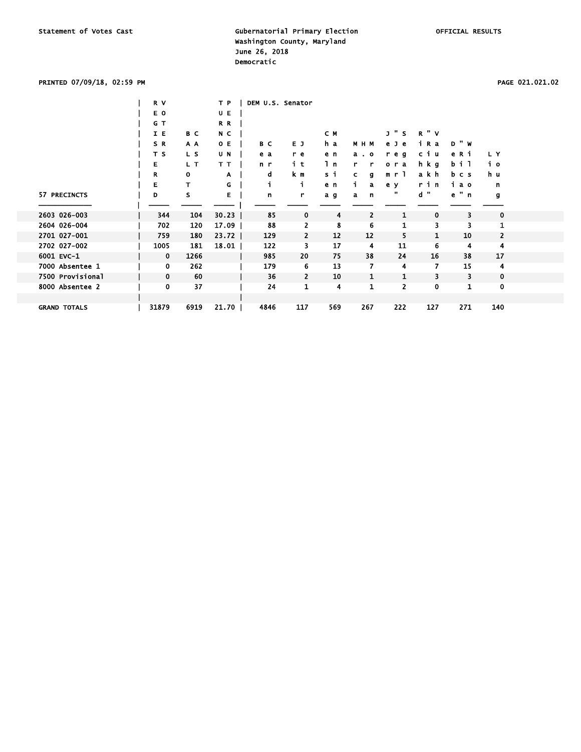### PRINTED 07/09/18, 02:59 PM PAGE 021.021.02

|                     | R V         |              | T P     | DEM U.S. Senator |             |     |                |                     |              |              |                |
|---------------------|-------------|--------------|---------|------------------|-------------|-----|----------------|---------------------|--------------|--------------|----------------|
|                     | E O         |              | U E     |                  |             |     |                |                     |              |              |                |
|                     | G T         |              | R R     |                  |             |     |                |                     |              |              |                |
|                     | I E         | B C          | N C     |                  |             | C M |                | " כ<br>$\mathsf{s}$ | <b>R</b> " V |              |                |
|                     | SR.         | A A          | O E     | B C              | E J         | h a | M H M          | e Je                | iRa          | <b>D</b> " W |                |
|                     | T S         | L S          | U N     | e a              | r e         | e n | $a \cdot o$    | reg                 | сiи          | e R i        | LY.            |
|                     | E           | L T          | T T     | n r              | it          | 1 n | r<br>r         | 0 <sub>r</sub><br>a | hkg          | bil          | iо             |
|                     | R           | $\mathbf{o}$ | A       | d                | k m         | si  | c.<br>g        | m r 1               | akh          | bcs          | h u            |
|                     | Е           | T            | G       | j.               | i.          | e n | a              | e y                 | rin          | iао          | n              |
| 57 PRECINCTS        | D           | s            | Е       | n                | r           | a g | a<br>n         | π                   | d "          | e " n        | g              |
|                     |             |              |         |                  |             |     |                |                     |              |              |                |
| 2603 026-003        | 344         | 104          | 30.23   | 85               | $\mathbf 0$ | 4   | $\overline{2}$ | 1                   | $\mathbf 0$  | 3            | 0              |
| 2604 026-004        | 702         | 120          | 17.09   | 88               | 2           | 8   | 6              | 1                   | 3            | 3            | 1              |
| 2701 027-001        | 759         | 180          | $23.72$ | 129              | 2           | 12  | 12             | 5                   | $\mathbf{1}$ | 10           | $\overline{2}$ |
| 2702 027-002        | 1005        | 181          | 18.01   | 122              | 3           | 17  | 4              | 11                  | 6            | 4            | 4              |
| 6001 EVC-1          | $\mathbf 0$ | 1266         |         | 985              | 20          | 75  | 38             | 24                  | 16           | 38           | 17             |
| 7000 Absentee 1     | 0           | 262          |         | 179              | 6           | 13  | 7              | 4                   | 7            | 15           | 4              |
| 7500 Provisional    | $\mathbf 0$ | 60           |         | 36               | 2           | 10  | 1              | 1                   | 3            | 3            | $\mathbf 0$    |
| 8000 Absentee 2     | 0           | 37           |         | 24               | 1           | 4   | 1              | $\overline{2}$      | 0            | 1            | $\mathbf 0$    |
|                     |             |              |         |                  |             |     |                |                     |              |              |                |
| <b>GRAND TOTALS</b> | 31879       | 6919         | 21.70   | 4846             | 117         | 569 | 267            | 222                 | 127          | 271          | 140            |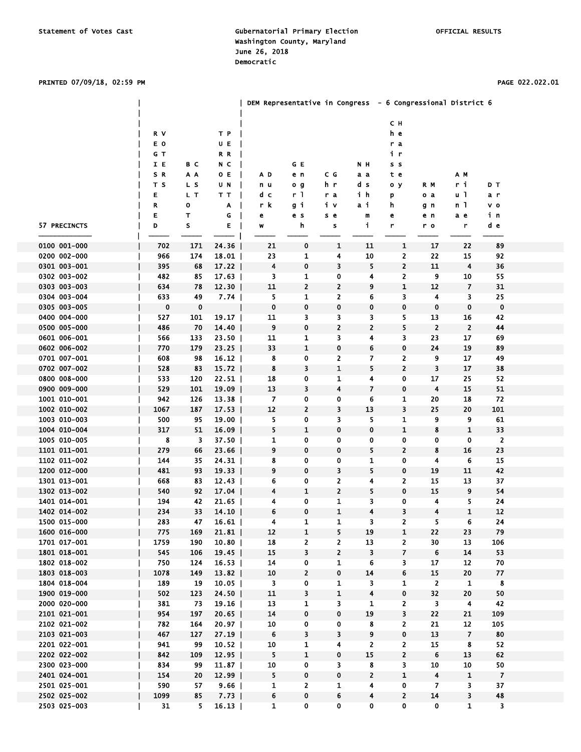### PRINTED 07/09/18, 02:59 PM PAGE 022.022.01

|              |          |             |         | DEM Representative in Congress - 6 Congressional District 6 |              |              |                         |                |                         |                         |                         |  |
|--------------|----------|-------------|---------|-------------------------------------------------------------|--------------|--------------|-------------------------|----------------|-------------------------|-------------------------|-------------------------|--|
|              |          |             |         |                                                             |              |              |                         | C H            |                         |                         |                         |  |
|              | R V      |             | T P     |                                                             |              |              |                         | h e            |                         |                         |                         |  |
|              | E O      |             | U E     |                                                             |              |              |                         | r a            |                         |                         |                         |  |
|              | G T      |             | R R     |                                                             |              |              |                         | i r            |                         |                         |                         |  |
|              | I E      | B C         | N C     |                                                             | GE           |              | N H                     | s s            |                         |                         |                         |  |
|              | SR.      | A A         | O E     | A D                                                         | e n          | C G          | аa                      | t e            |                         | AМ                      |                         |  |
|              | T S      | L S         | UN      | n u                                                         | o g          | h r          | d s                     | o y            | R M                     | ri                      | DТ                      |  |
|              | Ε        | L T         | тт      | dс                                                          | r I          | r a          | ih                      | p              | o a                     | u 1                     | a r                     |  |
|              | R        | o           | Α       | r k                                                         | gi           | iν           | аi                      | h              | gn                      | n 1                     | v o                     |  |
|              | E        | T           | G       | e                                                           | e s          | s e          | m                       | е              | еn                      | a e                     | iп                      |  |
| 57 PRECINCTS | D        | s           | Е       | w                                                           | h            | ${\bf s}$    | j.                      | r              | r o                     | r                       | d e                     |  |
|              |          |             |         |                                                             |              |              |                         |                |                         |                         |                         |  |
| 0100 001-000 | 702      | 171         | 24.36   | 21                                                          | $\pmb{0}$    | 1            | 11                      | 1              | 17                      | 22                      | 89                      |  |
| 0200 002-000 | 966      | 174         | 18.01   | 23                                                          | $\mathbf{1}$ | 4            | 10                      | 2              | 22                      | 15                      | 92                      |  |
| 0301 003-001 | 395      | 68          | 17.22   | 4                                                           | 0            | 3            | 5                       | $\mathbf{2}$   | 11                      | 4                       | 36                      |  |
| 0302 003-002 | 482      | 85          | 17.63   | 3                                                           | 1            | 0            | 4                       | 2              | 9                       | 10                      | 55                      |  |
| 0303 003-003 | 634      | 78          | $12.30$ | 11                                                          | $\mathbf{2}$ | 2            | 9                       | $\mathbf{1}$   | 12                      | 7                       | 31                      |  |
| 0304 003-004 | 633      | 49          | 7.74    | 5.                                                          | 1            | 2            | 6                       | 3              | 4                       | 3                       | 25                      |  |
| 0305 003-005 | $\bf{0}$ | $\mathbf 0$ |         | $\mathbf 0$                                                 | 0            | 0            | 0                       | 0              | $\mathbf 0$             | $\mathbf 0$             | $\bf{0}$                |  |
| 0400 004-000 | 527      | 101         | 19.17   | 11                                                          | 3            | 3            | 3                       | 5              | 13                      | 16                      | 42                      |  |
| 0500 005-000 | 486      | 70          | $14.40$ | 9                                                           | 0            | 2            | 2                       | 5              | $\overline{2}$          | $\overline{\mathbf{c}}$ | 44                      |  |
| 0601 006-001 | 566      | 133         | $23.50$ | 11                                                          | 1            | 3            | 4                       | 3              | 23                      | 17                      | 69                      |  |
| 0602 006-002 | 770      | 179         | $23.25$ | 33                                                          | $\mathbf 1$  | 0            | 6                       | 0              | 24                      | 19                      | 89                      |  |
| 0701 007-001 | 608      | 98          | 16.12   | 8                                                           | 0            | 2            | 7                       | $\overline{2}$ | $\overline{9}$          | 17                      | 49                      |  |
| 0702 007-002 | 528      | 83          | $15.72$ | 8                                                           | 3            | 1            | 5                       | $\overline{2}$ | 3                       | 17                      | 38                      |  |
| 0800 008-000 | 533      | 120         | $22.51$ | 18                                                          | 0            | 1            | 4                       | 0              | 17                      | 25                      | 52                      |  |
| 0900 009-000 | 529      | 101         | 19.09   | 13                                                          | 3            | 4            | $\overline{ }$          | 0              | 4                       | 15                      | 51                      |  |
| 1001 010-001 | 942      | 126         | 13.38   | 7                                                           | 0            | 0            | 6                       | 1              | 20                      | 18                      | 72                      |  |
| 1002 010-002 | 1067     | 187         | 17.53   | 12                                                          | $\mathbf{2}$ | 3            | 13                      | 3              | 25                      | 20                      | 101                     |  |
| 1003 010-003 | 500      | 95          | 19.00   | 5                                                           | 0            | 3            | 5                       | 1              | 9                       | 9                       | 61                      |  |
| 1004 010-004 | 317      | 51          | $16.09$ | 5                                                           | 1            | 0            | $\bf{0}$                | $\mathbf{1}$   | 8                       | 1                       | 33                      |  |
| 1005 010-005 | 8        | 3           | 37.50   | 1                                                           | 0            | 0            | 0                       | 0              | 0                       | 0                       | $\overline{2}$          |  |
| 1101 011-001 | 279      | 66          | 23.66   | 9                                                           | 0            | 0            | 5                       | $\overline{2}$ | 8                       | 16                      | 23                      |  |
| 1102 011-002 | 144      | 35          | 24.31   | 8                                                           | 0            | 0            | $\mathbf{1}$            | 0              | 4                       | 6                       | 15                      |  |
| 1200 012-000 | 481      | 93          | 19.33   | 9                                                           | 0            | 3            | 5                       | $\mathbf 0$    | 19                      | 11                      | 42                      |  |
| 1301 013-001 | 668      | 83          | 12.43   | 6                                                           | 0            | 2            | 4                       | 2              | 15                      | 13                      | 37                      |  |
| 1302 013-002 | 540      | 92          | 17.04   | 4                                                           | 1            | 2            | 5                       | 0              | 15                      | 9                       | 54                      |  |
| 1401 014-001 | 194      | 42          | 21.65   | 4                                                           | 0            | 1            | 3                       | 0              | 4                       | 5                       | 24                      |  |
| 1402 014-002 | 234      | 33          | 14.10   | 6                                                           | 0            | 1            | 4                       | 3              | $\overline{4}$          | $\mathbf{1}$            | 12                      |  |
| 1500 015-000 | 283      | 47          | 16.61   | 4                                                           | 1            | 1            | 3                       | 2              | 5                       | 6                       | 24                      |  |
| 1600 016-000 | 775      | 169         | 21.81   | 12                                                          | $\mathbf 1$  | 5            | 19                      | $\mathbf{1}$   | 22                      | 23                      | 79                      |  |
| 1701 017-001 | 1759     | 190         | 10.80   | 18                                                          | 2            | 2            | 13                      | 2.             | 30                      | 13                      | 106                     |  |
| 1801 018-001 | 545      | 106         | 19.45   | 15                                                          | 3            | $\mathbf{2}$ | 3                       | 7              | 6                       | 14                      | 53                      |  |
| 1802 018-002 | 750      | 124         | 16.53   | 14                                                          | 0            | $\mathbf{1}$ | 6                       | 3              | 17                      | 12                      | 70                      |  |
| 1803 018-003 | 1078     | 149         | 13.82   | 10                                                          | $\mathbf{2}$ | 0            | 14                      | 6              | 15                      | $20\,$                  | 77                      |  |
| 1804 018-004 | 189      | 19          | 10.05   | 3                                                           | 0            | 1            | 3                       | 1              | $\overline{2}$          | $\mathbf{1}$            | 8                       |  |
| 1900 019-000 | 502      | 123         | $24.50$ | 11                                                          | 3            | 1            | $\overline{\mathbf{4}}$ | 0              | 32                      | 20                      | 50                      |  |
| 2000 020-000 | 381      | 73          | 19.16   | 13                                                          | $\mathbf{1}$ | 3            | $\mathbf{1}$            | $\mathbf{2}$   | 3                       | $\overline{\mathbf{4}}$ | 42                      |  |
| 2101 021-001 | 954      | 197         | 20.65   | 14                                                          | 0            | 0            | 19                      | 3              | 22                      | 21                      | 109                     |  |
| 2102 021-002 | 782      | 164         | 20.97   | 10                                                          | 0            | 0            | 8                       | 2              | 21                      | ${\bf 12}$              | 105                     |  |
| 2103 021-003 | 467      | 127         | 27.19   | 6                                                           | 3            | 3            | 9                       | 0              | 13                      | $\overline{\mathbf{z}}$ | 80                      |  |
| 2201 022-001 | 941      | 99          | 10.52   | 10                                                          | 1            | 4            | $\overline{2}$          | 2              | 15                      | 8                       | 52                      |  |
| 2202 022-002 | 842      | 109         | 12.95   | 5                                                           | $\mathbf 1$  | 0            | 15                      | $\overline{2}$ | $\boldsymbol{6}$        | 13                      | 62                      |  |
| 2300 023-000 | 834      | 99          | 11.87   | 10                                                          | 0            | 3            | 8                       | 3              | 10                      | 10                      | 50                      |  |
| 2401 024-001 | 154      | 20          | $12.99$ | 5                                                           | 0            | 0            | $\overline{2}$          | $\mathbf{1}$   | 4                       | $\mathbf{1}$            | $\overline{7}$          |  |
| 2501 025-001 | 590      | 57          | 9.66    | 1                                                           | 2            | 1            | 4                       | 0              | 7                       | 3                       | 37                      |  |
| 2502 025-002 | 1099     | 85          | 7.73    | 6                                                           | 0            | 6            | 4                       | 2              | 14                      | 3                       | 48                      |  |
| 2503 025-003 | 31       | 5.          | 16.13   | $\mathbf{1}$                                                | 0            | $\mathbf 0$  | 0                       | $\mathbf 0$    | $\overline{\mathbf{0}}$ | ${\bf 1}$               | $\overline{\mathbf{3}}$ |  |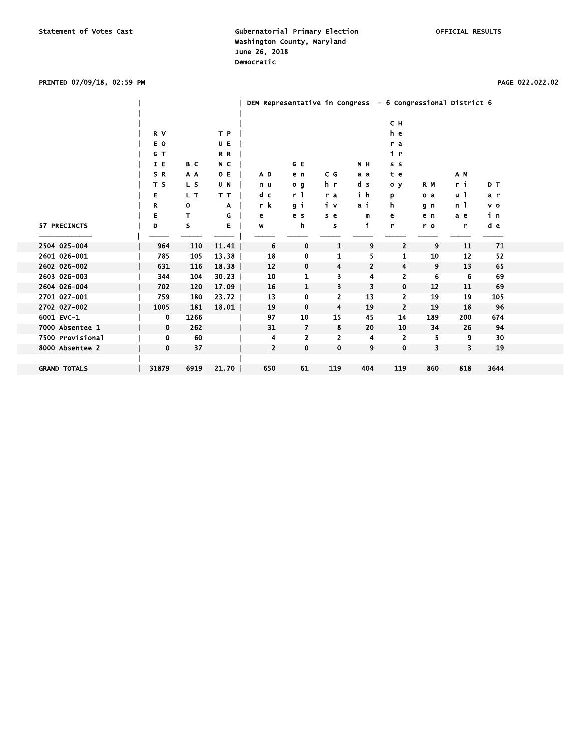### PRINTED 07/09/18, 02:59 PM PAGE 022.022.02

|                     |              |      |         | DEM Representative in Congress - 6 Congressional District 6 |                |                |     |                |     |     |       |  |
|---------------------|--------------|------|---------|-------------------------------------------------------------|----------------|----------------|-----|----------------|-----|-----|-------|--|
|                     |              |      |         |                                                             |                |                |     | CH.            |     |     |       |  |
|                     | R V          |      | T P     |                                                             |                |                |     | he             |     |     |       |  |
|                     | E O          |      | UE      |                                                             |                |                |     | r a            |     |     |       |  |
|                     | G T          |      | R R     |                                                             |                |                |     | i r            |     |     |       |  |
|                     | I E          | B C  | N C     |                                                             | G E            |                | N H | s s            |     |     |       |  |
|                     | SR           | A A  | O E     | AD.                                                         | e n            | C G            | аa  | t e            |     | A M |       |  |
|                     | T S          | L S  | U N     | n u                                                         | 0 <sub>q</sub> | h r            | d s | O <sub>y</sub> | R M | r i | D T   |  |
|                     | Е            | L T  | T T     | d c                                                         | r <sub>1</sub> | r a            | ih  | p              | o a | u l | a r   |  |
|                     | R            | 0    | Α       | r k                                                         | gі             | iν             | ai  | h              | g n | n 1 | $V$ 0 |  |
|                     | Е            | T    | G       | e                                                           | e s            | s e            | m   | e              | e n | a e | iп    |  |
| 57 PRECINCTS        | D            | s    | Е       | w                                                           | h              | s              | j.  | r              | r o | r   | d e   |  |
|                     |              |      |         |                                                             |                |                |     |                |     |     |       |  |
| 2504 025-004        | 964          | 110  | 11.41   | 6                                                           | 0              | 1              | 9   | $\overline{2}$ | 9   | 11  | 71    |  |
| 2601 026-001        | 785          | 105  | 13.38   | 18                                                          | 0              | 1              | 5   | 1              | 10  | 12  | 52    |  |
| 2602 026-002        | 631          | 116  | 18.38   | 12                                                          | 0              | 4              | 2   | 4              | 9   | 13  | 65    |  |
| 2603 026-003        | 344          | 104  | $30.23$ | 10                                                          | 1              | 3              | 4   | 2              | 6   | 6   | 69    |  |
| 2604 026-004        | 702          | 120  | 17.09   | 16                                                          | 1              | 3              | 3   | $\mathbf 0$    | 12  | 11  | 69    |  |
| 2701 027-001        | 759          | 180  | $23.72$ | 13                                                          | 0              | $\overline{2}$ | 13  | 2              | 19  | 19  | 105   |  |
| 2702 027-002        | 1005         | 181  | 18.01   | 19                                                          | 0              | 4              | 19  | $\overline{2}$ | 19  | 18  | 96    |  |
| 6001 EVC-1          | 0            | 1266 |         | 97                                                          | 10             | 15             | 45  | 14             | 189 | 200 | 674   |  |
| 7000 Absentee 1     | 0            | 262  |         | 31                                                          | 7              | 8              | 20  | 10             | 34  | 26  | 94    |  |
| 7500 Provisional    | 0            | 60   |         | 4                                                           | $\overline{2}$ | 2              | 4   | $\overline{2}$ | 5   | 9   | 30    |  |
| 8000 Absentee 2     | $\mathbf{0}$ | 37   |         | $\overline{2}$                                              | 0              | 0              | 9   | $\mathbf 0$    | 3   | 3   | 19    |  |
|                     |              |      |         |                                                             |                |                |     |                |     |     |       |  |
| <b>GRAND TOTALS</b> | 31879        | 6919 | 21.70   | 650                                                         | 61             | 119            | 404 | 119            | 860 | 818 | 3644  |  |
|                     |              |      |         |                                                             |                |                |     |                |     |     |       |  |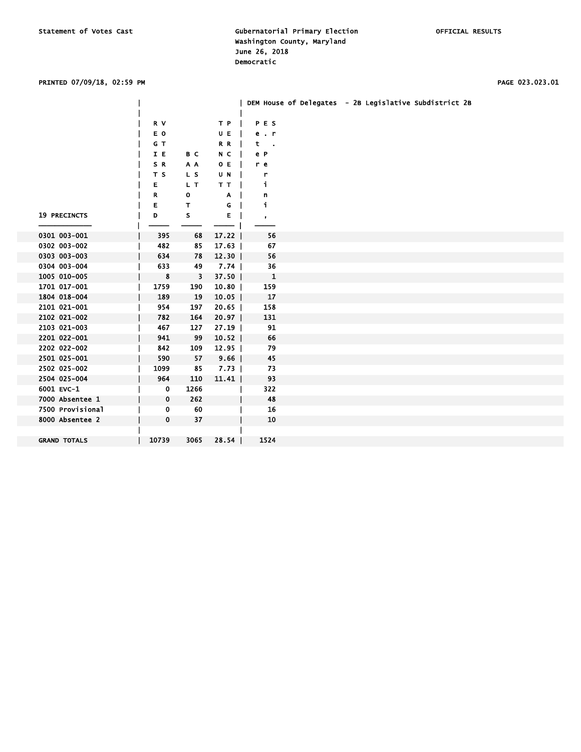### PRINTED 07/09/18, 02:59 PM PAGE 023.023.01

|                     |       |              |         |              |  | DEM House of Delegates - 2B Legislative Subdistrict 2B |
|---------------------|-------|--------------|---------|--------------|--|--------------------------------------------------------|
|                     |       |              |         |              |  |                                                        |
|                     | R V   |              | T P     | PES          |  |                                                        |
|                     | E O   |              | U E     | $e$ . $r$    |  |                                                        |
|                     | G T   |              | R R     | t            |  |                                                        |
|                     | I E   | B C          | N C     | e P          |  |                                                        |
|                     | SR.   | A A          | O E     | r e          |  |                                                        |
|                     | T S   | L S          | U N     | r            |  |                                                        |
|                     | Е     | L T          | TТ      | i.           |  |                                                        |
|                     | R     | $\mathbf{o}$ | Α       | n            |  |                                                        |
|                     | Е     | т            | G       | j.           |  |                                                        |
| <b>19 PRECINCTS</b> | D     | s            | E.      | $\bullet$    |  |                                                        |
|                     |       |              |         |              |  |                                                        |
| 0301 003-001        | 395   | 68           | 17.22   | 56           |  |                                                        |
| 0302 003-002        | 482   | 85           | 17.63   | 67           |  |                                                        |
| 0303 003-003        | 634   | 78           | $12.30$ | 56           |  |                                                        |
| 0304 003-004        | 633   | 49           | 7.74    | 36           |  |                                                        |
| 1005 010-005        | 8     | 3            | $37.50$ | $\mathbf{1}$ |  |                                                        |
| 1701 017-001        | 1759  | 190          | $10.80$ | 159          |  |                                                        |
| 1804 018-004        | 189   | 19           | 10.05   | 17           |  |                                                        |
| 2101 021-001        | 954   | 197          | 20.65   | 158          |  |                                                        |
| 2102 021-002        | 782   | 164          | 20.97   | 131          |  |                                                        |
| 2103 021-003        | 467   | 127          | $27.19$ | 91           |  |                                                        |
| 2201 022-001        | 941   | 99           | $10.52$ | 66           |  |                                                        |
| 2202 022-002        | 842   | 109          | 12.95   | 79           |  |                                                        |
| 2501 025-001        | 590   | 57           | 9.66    | 45           |  |                                                        |
| 2502 025-002        | 1099  | 85           | $7.73$  | 73           |  |                                                        |
| 2504 025-004        | 964   | 110          | 11.41   | 93           |  |                                                        |
| 6001 EVC-1          | 0     | 1266         |         | 322          |  |                                                        |
| 7000 Absentee 1     | 0     | 262          |         | 48           |  |                                                        |
| 7500 Provisional    | 0     | 60           |         | 16           |  |                                                        |
| 8000 Absentee 2     | 0     | 37           |         | 10           |  |                                                        |
|                     |       |              |         |              |  |                                                        |
| <b>GRAND TOTALS</b> | 10739 | 3065         | $28.54$ | 1524         |  |                                                        |
|                     |       |              |         |              |  |                                                        |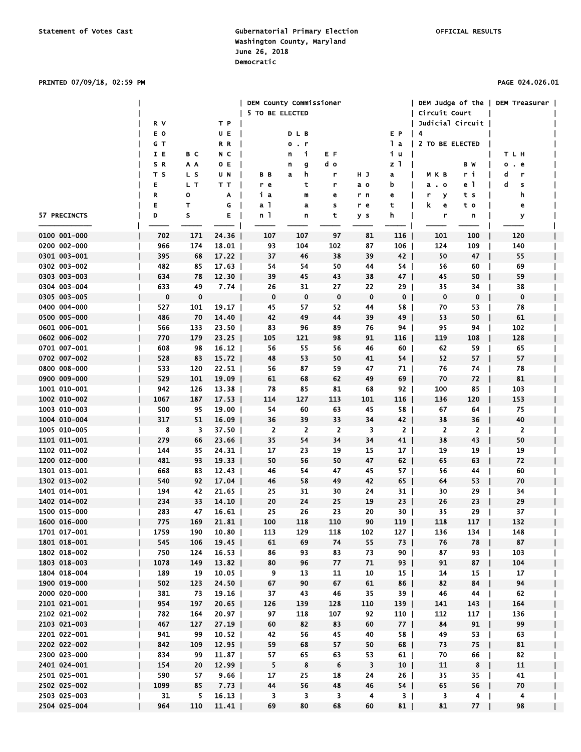# PRINTED 07/09/18, 02:59 PM PAGE 024.026.01

|              |          |     |         | DEM County Commissioner |                        |                |             |                 | DEM Judge of the |                          | <b>DEM Treasurer</b> |  |
|--------------|----------|-----|---------|-------------------------|------------------------|----------------|-------------|-----------------|------------------|--------------------------|----------------------|--|
|              |          |     |         | 5 TO BE ELECTED         |                        |                |             |                 | Circuit Court    |                          |                      |  |
|              | R V      |     | T P     |                         |                        |                |             |                 | Judicial Circuit |                          |                      |  |
|              | E O      |     | UE      |                         | DLB                    |                |             | E P             | $\vert$ 4        |                          |                      |  |
|              | G T      |     | R R     |                         | $\cdot$ r<br>$\bullet$ |                |             | lа              | 2 TO BE ELECTED  |                          |                      |  |
|              | IE       | B C | N C     |                         | i.<br>n                | E F            |             | iu              |                  |                          | TLH                  |  |
|              | S R      | A A | O E     |                         | n<br>g                 | d o            |             | z 1             |                  | вw                       | 0<br>. e             |  |
|              | тs       | L S | U N     | BВ                      | h<br>a                 | r              | нJ          | a               | мкв              | ri                       | d<br>r               |  |
|              | E        | L T | TТ      |                         | t                      | r              |             | b               |                  | e 1                      | d                    |  |
|              |          |     |         | r e                     |                        |                | a o         |                 | а. о             |                          | s                    |  |
|              | R        | о   | A       | iа                      | m                      | е              | r n         | е               | r<br>У           | t s                      | h                    |  |
|              | Е        | т   | G       | a 1                     | a                      | s              | r e         | τ               | k.<br>e          | t o                      | е                    |  |
| 57 PRECINCTS | D        | s   | Е       | n 1                     | n                      | t              | y s         | h               | r                | n                        | У                    |  |
|              |          |     |         |                         |                        |                |             |                 |                  |                          |                      |  |
| 0100 001-000 | 702      | 171 | 24.36   | 107                     | 107                    | 97             | 81          | 116             | 101              | 100                      | 120                  |  |
| 0200 002-000 | 966      | 174 | 18.01   | 93                      | 104                    | 102            | 87          | 106             | 124              | 109                      | 140                  |  |
| 0301 003-001 | 395      | 68  | 17.22   | 37                      | 46                     | 38             | 39          | 42              | 50               | 47                       | 55                   |  |
| 0302 003-002 | 482      | 85  | $17.63$ | 54                      | 54                     | 50             | 44          | 54 I            | 56               | 60                       | 69                   |  |
| 0303 003-003 | 634      | 78  | 12.30   | 39                      | 45                     | 43             | 38          | 47 <sup>1</sup> | 45               | 50                       | 59                   |  |
| 0304 003-004 | 633      | 49  | 7.74    | 26                      | 31                     | 27             | 22          | $29$            | 35               | 34                       | 38                   |  |
| 0305 003-005 | $\bf{0}$ | 0   |         | $\mathbf 0$             | $\mathbf 0$            | 0              | $\mathbf 0$ | 0 <sub>1</sub>  | $\mathbf 0$      | $\bf{0}$<br>$\mathbf{I}$ | 0                    |  |
| 0400 004-000 | 527      | 101 | 19.17   | 45                      | 57                     | 52             | 44          | 58              | 70               | 53                       | 78                   |  |
| 0500 005-000 | 486      | 70  | 14.40   | 42                      | 49                     | 44             | 39          | 49 I            | 53               | 50                       | 61                   |  |
| 0601 006-001 | 566      | 133 | $23.50$ | 83                      | 96                     | 89             | 76          | 94 I            | 95               | 94                       | 102                  |  |
| 0602 006-002 | 770      | 179 | 23.25   | 105                     | 121                    | 98             | 91          | 116             | 119              | 108                      | 128                  |  |
| 0701 007-001 | 608      | 98  | $16.12$ | 56                      | 55                     | 56             | 46          | 60 l            | 62               | 59                       | 65                   |  |
| 0702 007-002 | 528      | 83  | 15.72   | 48                      | 53                     | 50             | 41          | $54$            | 52               | 57                       | 57                   |  |
| 0800 008-000 | 533      | 120 | 22.51   | 56                      | 87                     | 59             | 47          | 71 I            | 76               | 74                       | 78                   |  |
| 0900 009-000 | 529      | 101 | 19.09   | 61                      | 68                     | 62             | 49          | 69              | 70               | 72                       | 81                   |  |
| 1001 010-001 | 942      | 126 | $13.38$ | 78                      | 85                     | 81             | 68          | 92 l            | 100              | 85<br>$\mathbf{I}$       | 103                  |  |
| 1002 010-002 | 1067     | 187 | 17.53   | 114                     | 127                    | 113            | 101         | 116             | 136              | 120                      | 153                  |  |
| 1003 010-003 | 500      | 95  | 19.00   | 54                      | 60                     | 63             | 45          | 58              | 67               | 64                       | 75                   |  |
|              |          |     |         |                         |                        | 33             |             |                 |                  | 36                       |                      |  |
| 1004 010-004 | 317      | 51  | 16.09   | 36                      | 39                     |                | 34          | 42              | 38               |                          | 40                   |  |
| 1005 010-005 | 8        | 3   | 37.50   | $\overline{2}$          | 2                      | $\overline{2}$ | 3           | 2 <sub>1</sub>  | $\overline{2}$   | $\overline{2}$           | 2                    |  |
| 1101 011-001 | 279      | 66  | 23.66   | 35                      | 54                     | 34             | 34          | 41              | 38               | 43                       | 50                   |  |
| 1102 011-002 | 144      | 35  | 24.31   | 17                      | 23                     | 19             | 15          | 17              | 19               | 19                       | 19                   |  |
| 1200 012-000 | 481      | 93  | 19.33   | 50                      | 56                     | 50             | 47          | $62$            | 65               | 63                       | 72                   |  |
| 1301 013-001 | 668      | 83  | 12.43   | 46                      | 54                     | 47             | 45          | 57 <sub>1</sub> | 56               | 44                       | 60                   |  |
| 1302 013-002 | 540      | 92  | 17.04   | 46                      | 58                     | 49             | 42          | 65 l            | 64               | 53<br>$\mathbf{I}$       | 70                   |  |
| 1401 014-001 | 194      | 42  | 21.65   | 25                      | 31                     | 30             | 24          | 31              | 30               | 29<br>$\mathbf{I}$       | 34                   |  |
| 1402 014-002 | 234      | 33  | 14.10   | 20                      | 24                     | 25             | 19          | $23$            | 26               | 23                       | 29                   |  |
| 1500 015-000 | 283      | 47  | $16.61$ | 25                      | 26                     | 23             | 20          | 30 l            | 35               | 29                       | 37                   |  |
| 1600 016-000 | 775      | 169 | 21.81   | 100                     | 118                    | 110            | 90          | 119             | 118              | 117                      | 132                  |  |
| 1701 017-001 | 1759     | 190 | $10.80$ | 113                     | 129                    | 118            | 102         | 127             | 136              | 134<br>$\blacksquare$    | 148                  |  |
| 1801 018-001 | 545      | 106 | 19.45   | 61                      | 69                     | 74             | 55          | $73$            | 76               | 78                       | 87                   |  |
| 1802 018-002 | 750      | 124 | 16.53   | 86                      | 93                     | 83             | 73          | $90$            | 87               | 93                       | 103<br>$\mathbf{I}$  |  |
| 1803 018-003 | 1078     | 149 | $13.82$ | 80                      | 96                     | 77             | 71          | $93$            | 91               | 87                       | 104                  |  |
| 1804 018-004 | 189      | 19  | $10.05$ | 9                       | 13                     | 11             | 10          | 15              | 14               | 15                       | 17<br>$\mathbf{I}$   |  |
| 1900 019-000 | 502      | 123 | 24.50   | 67                      | 90                     | 67             | 61          | 86              | 82               | 84<br>$\perp$            | 94                   |  |
| 2000 020-000 | 381      | 73  | 19.16   | 37                      | 43                     | 46             | 35          | 39              | 46               | 44<br>$\mathbf{I}$       | 62                   |  |
| 2101 021-001 | 954      | 197 | $20.65$ | 126                     | 139                    | 128            | 110         | $139$           | 141              | 143<br>$\mathbf{I}$      | 164                  |  |
| 2102 021-002 | 782      | 164 | $20.97$ | 97                      | 118                    | 107            | 92          | 110 l           | 112              | 117                      | 136                  |  |
| 2103 021-003 | 467      | 127 | 27.19   | 60                      | 82                     | 83             | 60          | 77 <sup>1</sup> | 84               | 91                       | 99                   |  |
| 2201 022-001 | 941      | 99  | $10.52$ | 42                      | 56                     | 45             | 40          | 58              | 49               | 53<br>$\mathbf{I}$       | 63                   |  |
| 2202 022-002 | 842      | 109 | $12.95$ | 59                      | 68                     | 57             | 50          | 68              | 73               | 75<br>$\perp$            | 81                   |  |
| 2300 023-000 | 834      | 99  | 11.87   | 57                      | 65                     | 63             | 53          | $61$            | 70               | 66                       | 82                   |  |
| 2401 024-001 | 154      | 20  | $12.99$ | 5                       | 8                      | 6              | 3           | 10              | 11               | 8                        | 11                   |  |
| 2501 025-001 | 590      | 57  | 9.66    | 17                      | 25                     | 18             | 24          | $26$            | 35               | 35<br>$\mathbf{I}$       | 41                   |  |
| 2502 025-002 | 1099     | 85  | 7.73    | 44                      | 56                     | 48             | 46          | $54$            | 65               | 56                       | 70                   |  |
|              | 31       |     |         |                         |                        |                |             |                 |                  | $\mathbf{I}$             |                      |  |
| 2503 025-003 |          | 5   | $16.13$ | 3                       | 3                      | 3              | 4           | 3 <sub>1</sub>  | 3                | 4<br>$\perp$             | 4                    |  |
| 2504 025-004 | 964      | 110 | 11.41   | 69                      | 80                     | 68             | 60          | 81              | 81               | $77$                     | 98                   |  |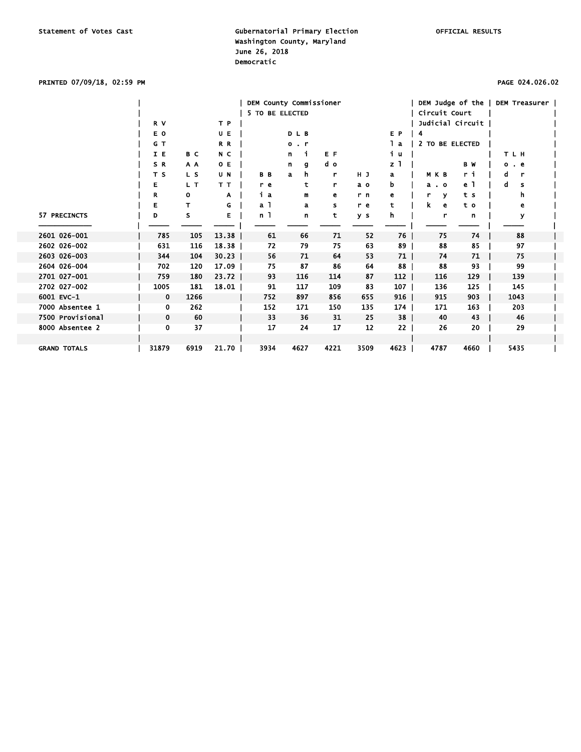### PRINTED 07/09/18, 02:59 PM PAGE 024.026.02

|                     |             |      |         | DEM County Commissioner |                        |      |      |                 | DEM Judge of the |      | DEM Treasurer |  |
|---------------------|-------------|------|---------|-------------------------|------------------------|------|------|-----------------|------------------|------|---------------|--|
|                     |             |      |         | 5 TO BE ELECTED         |                        |      |      |                 | Circuit Court    |      |               |  |
|                     | R V         |      | T P     |                         |                        |      |      |                 | Judicial Circuit |      |               |  |
|                     | E O         |      | UE      |                         | DLB                    |      |      | E P             | 4                |      |               |  |
|                     | G T         |      | R R     |                         | $\bullet$<br>$\cdot$ r |      |      | lа              | 2 TO BE ELECTED  |      |               |  |
|                     | I E         | B C  | N C     |                         | n<br>j.                | E F  |      | iц              |                  |      | TLH           |  |
|                     | SR          | A A  | O E     |                         | n<br>g                 | d o  |      | z               |                  | B W  | . е<br>о      |  |
|                     | T S         | L S  | U N     | B <sub>B</sub>          | h.<br>$\mathbf{a}$     | r    | HJ   | a               | M K B            | r i  | r<br>d        |  |
|                     | Е           | L T  | TТ      | r e                     | t                      | r    | a o  | b               | $a \cdot o$      | e 1  | a<br>s        |  |
|                     | R           | 0    | A       | iа                      | m                      | е    | r n  | e               | r<br>v           | t s  | h.            |  |
|                     | Е           | т    | G       | a 1                     | a                      | s    | r e  | t               | k<br>e           | t o  | е             |  |
| 57 PRECINCTS        | D           | s    | E       | n 1                     | n                      | t    | y s  | h               | r                | n    | У             |  |
|                     |             |      |         |                         |                        |      |      |                 |                  |      |               |  |
| 2601 026-001        | 785         | 105  | 13.38   | 61                      | 66                     | 71   | 52   | $76$            | 75               | 74   | 88            |  |
| 2602 026-002        | 631         | 116  | 18.38   | 72                      | 79                     | 75   | 63   | 89              | 88               | 85   | 97            |  |
| 2603 026-003        | 344         | 104  | $30.23$ | 56                      | 71                     | 64   | 53   | 71              | 74               | 71   | 75            |  |
| 2604 026-004        | 702         | 120  | 17.09   | 75                      | 87                     | 86   | 64   | 88              | 88               | 93   | 99            |  |
| 2701 027-001        | 759         | 180  | $23.72$ | 93                      | 116                    | 114  | 87   | 112             | 116              | 129  | 139           |  |
| 2702 027-002        | 1005        | 181  | 18.01   | 91                      | 117                    | 109  | 83   | $107 \mid$      | 136              | 125  | 145           |  |
| 6001 EVC-1          | $\mathbf 0$ | 1266 |         | 752                     | 897                    | 856  | 655  | $916$           | 915              | 903  | 1043          |  |
| 7000 Absentee 1     | 0           | 262  |         | 152                     | 171                    | 150  | 135  | $174$           | 171              | 163  | 203           |  |
| 7500 Provisional    | 0           | 60   |         | 33                      | 36                     | 31   | 25   | 38 <sup>1</sup> | 40               | 43   | 46            |  |
| 8000 Absentee 2     | 0           | 37   |         | 17                      | 24                     | 17   | 12   | 22              | 26               | 20   | 29            |  |
|                     |             |      |         |                         |                        |      |      |                 |                  |      |               |  |
| <b>GRAND TOTALS</b> | 31879       | 6919 | 21.70   | 3934                    | 4627                   | 4221 | 3509 | 4623            | 4787             | 4660 | 5435          |  |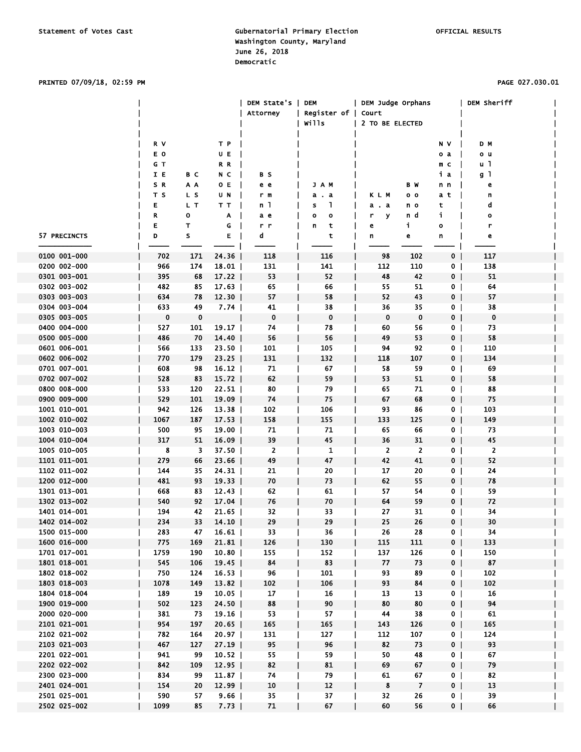#### PRINTED 07/09/18, 02:59 PM PAGE 027.030.01

|              |             |     |          | DEM State's | <b>DEM</b>          | DEM Judge Orphans |                |                | DEM Sheriff |  |
|--------------|-------------|-----|----------|-------------|---------------------|-------------------|----------------|----------------|-------------|--|
|              |             |     |          | Attorney    | Register of   Court |                   |                |                |             |  |
|              |             |     |          |             | Wills               | 2 TO BE ELECTED   |                |                |             |  |
|              |             |     |          |             |                     |                   |                |                |             |  |
|              | R V         |     | TР       |             |                     |                   |                | N V            | D M         |  |
|              | E O         |     | UE       |             |                     |                   |                | o a            | o u         |  |
|              | GT          |     | R R      |             |                     |                   |                | m c            | u 1         |  |
|              | IE          | вc  | N C      | вs          |                     |                   |                | iа             | g 1         |  |
|              | S R         | A A | 0 E      | e e         | JAM                 |                   | ВW             | n n            | e           |  |
|              | T S         | L S | UΝ       | r m         | a . a               | KLM               | o o            | a t            | n           |  |
|              | Е           | L T | тт       | n 1         | L<br>S              | a a               | n o            | t              | d           |  |
|              | R           | 0   | Α        | a e         | $\mathbf{o}$<br>o   | r<br>У            | n d            | j.             | ο           |  |
|              | Е           | т   | G        | r r         | t<br>n              | е                 | i,             | o              | r           |  |
| 57 PRECINCTS | D           | s   | Е        | d           | t                   | n                 | e              | n              | e           |  |
|              |             |     |          |             |                     |                   |                |                |             |  |
| 0100 001-000 | 702         | 171 | 24.36    | 118         | 116                 | 98                | 102            | 0 <sub>1</sub> | 117         |  |
| 0200 002-000 | 966         | 174 | 18.01    | 131         | 141                 | 112               | 110            | $\mathbf{0}$   | 138         |  |
| 0301 003-001 | 395         | 68  | 17.22    | 53          | 52                  | 48                | 42             | 0 <sup>1</sup> | 51          |  |
| 0302 003-002 | 482         | 85  | 17.63    | 65          | 66                  | 55                | 51             | 0              | 64          |  |
| 0303 003-003 | 634         | 78  | $12.30$  | 57          | 58                  | 52                | 43             | 0 <sup>1</sup> | 57          |  |
| 0304 003-004 | 633         | 49  | 7.74     | 41          | 38                  | 36                | 35             | 0              | 38          |  |
| 0305 003-005 | $\mathbf 0$ | 0   |          | 0           | $\mathbf 0$         | $\mathbf 0$       | $\mathbf 0$    | 0 <sub>1</sub> | $\mathbf 0$ |  |
| 0400 004-000 | 527         | 101 | 19.17    | 74          | 78                  | 60                | 56             | 0 <sub>1</sub> | 73          |  |
| 0500 005-000 | 486         | 70  | $14.40$  | 56          | 56                  | 49                | 53             | 0 <sub>1</sub> | 58          |  |
| 0601 006-001 | 566         | 133 |          | 101         | 105                 | 94                | 92             | $\mathbf{0}$   | 110         |  |
| 0602 006-002 | 770         | 179 | $23.50$  |             | 132                 |                   | 107            |                | 134         |  |
|              |             |     | $23.25$  | 131         |                     | 118               |                | 0 <sup>1</sup> |             |  |
| 0701 007-001 | 608         | 98  | $16.12$  | 71          | 67                  | 58                | 59             | 0 <sup>1</sup> | 69<br>58    |  |
| 0702 007-002 | 528         | 83  | $15.72$  | 62          | 59                  | 53                | 51             | 0 <sub>1</sub> |             |  |
| 0800 008-000 | 533         | 120 | $22.51$  | 80          | 79                  | 65                | 71             | 0              | 88          |  |
| 0900 009-000 | 529         | 101 | 19.09    | 74          | 75                  | 67                | 68             | $\overline{0}$ | 75          |  |
| 1001 010-001 | 942         | 126 | $13.38$  | 102         | 106                 | 93                | 86             | 0              | 103         |  |
| 1002 010-002 | 1067        | 187 | 17.53    | 158         | 155                 | 133               | 125            | 0 <sup>1</sup> | 149         |  |
| 1003 010-003 | 500         | 95  | $19.00$  | 71          | 71                  | 65                | 66             | 0              | 73          |  |
| 1004 010-004 | 317         | 51  | 16.09    | 39          | 45                  | 36                | 31             | 0 <sub>1</sub> | 45          |  |
| 1005 010-005 | 8           | 3   | 37.50    | 2           | 1                   | $\mathbf{2}$      | 2              | 0 <sup>1</sup> | 2           |  |
| 1101 011-001 | 279         | 66  | 23.66    | 49          | 47                  | 42                | 41             | 0 <sup>1</sup> | 52          |  |
| 1102 011-002 | 144         | 35  | 24.31    | 21          | 20                  | 17                | 20             | 0 <sub>1</sub> | 24          |  |
| 1200 012-000 | 481         | 93  | 19.33    | 70          | 73                  | 62                | 55             | 0 <sup>1</sup> | 78          |  |
| 1301 013-001 | 668         | 83  | $12.43$  | 62          | 61                  | 57                | 54             | 0              | 59          |  |
| 1302 013-002 | 540         | 92  | 17.04    | 76          | 70                  | 64                | 59             | 0 <sup>1</sup> | 72          |  |
| 1401 014-001 | 194         | 42  | $21.65$  | 32          | 33                  | 27                | 31             | 0              | 34          |  |
| 1402 014-002 | 234         |     | 33 14.10 | 29          | 29                  | 25                | 26             | 0 <sub>1</sub> | 30          |  |
| 1500 015-000 | 283         | 47  | 16.61    | 33          | 36                  | 26                | 28             | 0 <sup>1</sup> | 34          |  |
| 1600 016-000 | 775         | 169 | 21.81    | 126         | 130                 | 115               | 111            | 0 <sup>1</sup> | 133         |  |
| 1701 017-001 | 1759        | 190 | 10.80    | 155         | 152                 | 137               | 126            | 0 <sup>1</sup> | 150         |  |
| 1801 018-001 | 545         | 106 | $19.45$  | 84          | 83                  | 77                | 73             | 0 <sup>1</sup> | 87          |  |
| 1802 018-002 | 750         | 124 | $16.53$  | 96          | 101                 | 93                | 89             | 0 <sub>1</sub> | 102         |  |
| 1803 018-003 | 1078        | 149 | 13.82    | 102         | 106                 | 93                | 84             | 0 <sup>1</sup> | 102         |  |
| 1804 018-004 | 189         | 19  | $10.05$  | 17          | 16                  | 13                | 13             | 0              | 16          |  |
| 1900 019-000 | 502         | 123 | $24.50$  | 88          | 90                  | 80                | 80             | 0 <sub>1</sub> | 94          |  |
| 2000 020-000 | 381         | 73  | 19.16    | 53          | 57                  | 44                | 38             | 0 <sub>1</sub> | 61          |  |
| 2101 021-001 | 954         | 197 | 20.65    | 165         | 165                 | 143               | 126            | 0 <sup>1</sup> | 165         |  |
| 2102 021-002 | 782         | 164 | 20.97    | 131         | 127                 | 112               | 107            | 0 <sub>1</sub> | 124         |  |
| 2103 021-003 | 467         | 127 | $27.19$  | 95          | 96                  | 82                | 73             | 0 <sup>1</sup> | 93          |  |
| 2201 022-001 | 941         | 99  | 10.52    | 55          | 59                  | 50                | 48             | 0 <sup>1</sup> | 67          |  |
| 2202 022-002 | 842         | 109 | $12.95$  | 82          | 81                  | 69                | 67             | 0 <sup>1</sup> | 79          |  |
| 2300 023-000 | 834         | 99  | 11.87    | 74          | 79                  | 61                | 67             | 0 <sub>1</sub> | 82          |  |
| 2401 024-001 | 154         | 20  | $12.99$  | 10          | 12                  | 8                 | $\overline{7}$ | 0 <sub>1</sub> | 13          |  |
| 2501 025-001 | 590         | 57  | 9.66     | 35          | 37                  | 32                | 26             | 0 <sub>1</sub> | 39          |  |
| 2502 025-002 | 1099        | 85  | 7.73     | 71          | 67                  | 60                | 56             | 0 <sub>1</sub> | 66          |  |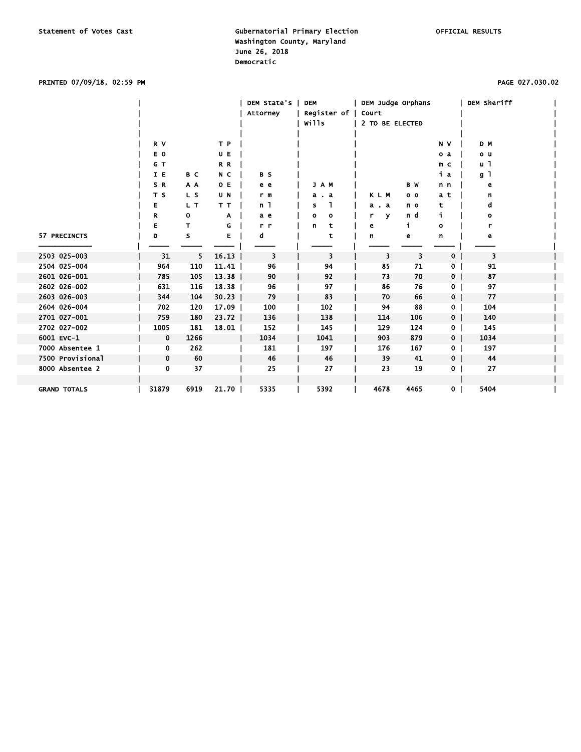### PRINTED 07/09/18, 02:59 PM PAGE 027.030.02

|                     |             |      |         | DEM State's    | <b>DEM</b>   | DEM Judge Orphans |                |                | DEM Sheriff |  |
|---------------------|-------------|------|---------|----------------|--------------|-------------------|----------------|----------------|-------------|--|
|                     |             |      |         | Attorney       | Register of  | Court             |                |                |             |  |
|                     |             |      |         |                | Wills        | 2 TO BE ELECTED   |                |                |             |  |
|                     |             |      |         |                |              |                   |                |                |             |  |
|                     | R V         |      | T P     |                |              |                   |                | N V            | D M         |  |
|                     | E O         |      | UE      |                |              |                   |                | o a            | o u         |  |
|                     | G T         |      | R R     |                |              |                   |                | m <sub>c</sub> | u 1         |  |
|                     | I E         | B C  | N C     | B <sub>S</sub> |              |                   |                | iа             | g 1         |  |
|                     | SR          | A A  | 0 E     | e e            | J A M        |                   | B W            | n n            | е           |  |
|                     | T S         | L S  | U N     | r m            | a . a        | KLM               | 0 <sub>0</sub> | a t            | n           |  |
|                     | Е           | L T  | TТ      | n 1            | ı<br>s       | $a$ . $a$         | n o            | t              | d           |  |
|                     | R           | 0    | A       | a e            | $\circ$<br>۰ | r<br>$\mathbf{v}$ | n d            | i              | ۰           |  |
|                     | E           | т    | G       | r r            | t<br>n       | е                 | f.             | $\mathbf{o}$   |             |  |
| 57 PRECINCTS        | D           | s    | Е       | d              | t            | n                 | е              | n              | e           |  |
|                     |             |      |         |                |              |                   |                |                |             |  |
| 2503 025-003        | 31          | 5.   | 16.13   | 3              | 3            | 3                 | 3              | $\mathbf{0}$   | 3           |  |
| 2504 025-004        | 964         | 110  | 11.41   | 96             | 94           | 85                | 71             | $\mathbf{0}$   | 91          |  |
| 2601 026-001        | 785         | 105  | $13.38$ | 90             | 92           | 73                | 70             | 0 <sub>1</sub> | 87          |  |
| 2602 026-002        | 631         | 116  | 18.38   | 96             | 97           | 86                | 76             | $\mathbf{0}$   | 97          |  |
| 2603 026-003        | 344         | 104  | $30.23$ | 79             | 83           | 70                | 66             | 0 <sub>1</sub> | 77          |  |
| 2604 026-004        | 702         | 120  | 17.09   | 100            | 102          | 94                | 88             | $\mathbf{0}$   | 104         |  |
| 2701 027-001        | 759         | 180  | $23.72$ | 136            | 138          | 114               | 106            | 0 <sub>1</sub> | 140         |  |
| 2702 027-002        | 1005        | 181  | 18.01   | 152            | 145          | 129               | 124            | $0-1$          | 145         |  |
| 6001 EVC-1          | $\mathbf 0$ | 1266 |         | 1034           | 1041         | 903               | 879            | 0 <sub>1</sub> | 1034        |  |
| 7000 Absentee 1     | 0           | 262  |         | 181            | 197          | 176               | 167            | $\mathbf{0}$   | 197         |  |
| 7500 Provisional    | $\mathbf 0$ | 60   |         | 46             | 46           | 39                | 41             | 0 <sup>1</sup> | 44          |  |
| 8000 Absentee 2     | 0           | 37   |         | 25             | 27           | 23                | 19             | $\mathbf{0}$   | 27          |  |
|                     |             |      |         |                |              |                   |                |                |             |  |
| <b>GRAND TOTALS</b> | 31879       | 6919 | 21.70   | 5335           | 5392         | 4678              | 4465           | 0 <sup>1</sup> | 5404        |  |
|                     |             |      |         |                |              |                   |                |                |             |  |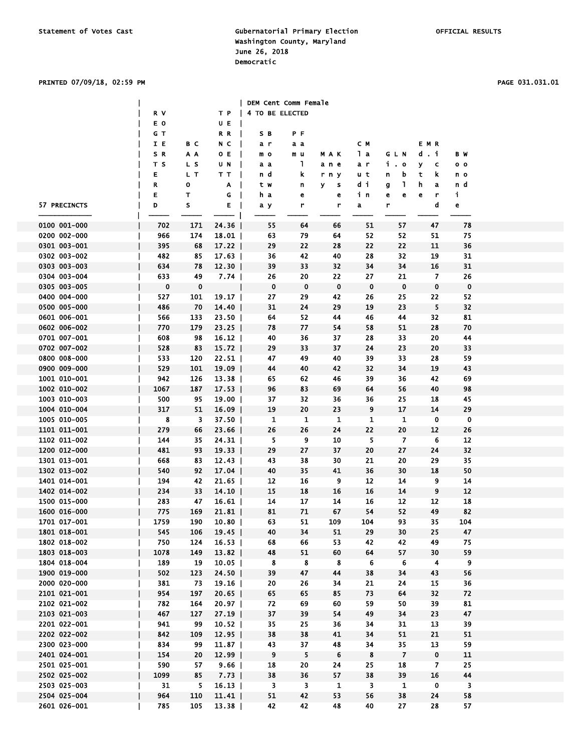PRINTED 07/09/18, 02:59 PM PAGE 031.031.01

|                              |            |           |                      | DEM Cent Comm Female    |                         |                  |                         |                |                         |                |  |
|------------------------------|------------|-----------|----------------------|-------------------------|-------------------------|------------------|-------------------------|----------------|-------------------------|----------------|--|
|                              | R V        |           |                      | T P   4 TO BE ELECTED   |                         |                  |                         |                |                         |                |  |
|                              | E O        |           | U E                  |                         |                         |                  |                         |                |                         |                |  |
|                              | G T        |           | $R$ $R$              | S B                     | ΡF                      |                  |                         |                |                         |                |  |
|                              | I E        | вc        | $N$ C $\vert$        | a r                     | аa                      |                  | cм                      |                | EMR                     |                |  |
|                              | S R        | ΑA        | 0 E                  | m o                     | m u                     | MAK              | lа                      | GLN            | d.i                     | B W            |  |
|                              | T S        | L S       | U N                  | a a                     | $\mathbf{1}$            | ane              | a r                     | i.o            | У<br>c                  | 0 <sub>0</sub> |  |
|                              | Е          | L T       | TT                   | n d                     | k                       | rny              | u t                     | n<br>b         | t<br>k                  | n o            |  |
|                              | R          | 0         | A                    | t w                     | n                       | y.<br>s          | di                      | L,<br>g        | h.<br>a                 | n d            |  |
|                              | Е          | т         | G<br>$\blacksquare$  | h a                     | е                       | e                | in                      | e<br>e         | е<br>r                  | j.             |  |
| 57 PRECINCTS                 | D          | s         | Е                    | a y                     | r                       | r                | a                       | r              | d                       | e              |  |
|                              |            |           |                      |                         |                         |                  |                         |                |                         |                |  |
| 0100 001-000                 | 702        | 171       | 24.36                | 55                      | 64                      | 66               | 51                      | 57             | 47                      | 78             |  |
| 0200 002-000                 | 966        | 174       | 18.01                | 63                      | 79                      | 64               | 52                      | 52             | 51                      | 75             |  |
| 0301 003-001                 | 395        | 68        | 17.22                | 29                      | 22                      | 28               | 22                      | 22             | 11                      | 36             |  |
| 0302 003-002                 | 482        | 85        | $17.63$              | 36                      | 42                      | 40               | 28                      | 32             | 19                      | 31             |  |
| 0303 003-003                 | 634        | 78        | $12.30$              | 39                      | 33                      | 32               | 34                      | 34             | 16                      | 31             |  |
| 0304 003-004                 | 633        | 49        | 7.74                 | 26                      | 20                      | 22               | 27                      | 21             | $\overline{\mathbf{z}}$ | 26             |  |
| 0305 003-005<br>0400 004-000 | $\bf{0}$   | $\bf{0}$  |                      | 0                       | $\bf{0}$                | 0                | $\mathbf{0}$            | $\mathbf 0$    | $\mathbf 0$             | $\bf{0}$       |  |
| 0500 005-000                 | 527        | 101<br>70 | 19.17                | 27                      | 29<br>24                | 42<br>29         | 26<br>19                | 25<br>23       | 22<br>5                 | 52<br>32       |  |
| 0601 006-001                 | 486        | 133       | 14.40                | 31<br>64                | 52                      | 44               | 46                      | 44             | 32                      | 81             |  |
| 0602 006-002                 | 566<br>770 | 179       | $23.50$              | 78                      | 77                      | 54               | 58                      | 51             | 28                      | 70             |  |
| 0701 007-001                 | 608        | 98        | $23.25$  <br>$16.12$ | 40                      | 36                      | 37               | 28                      | 33             | 20                      | 44             |  |
| 0702 007-002                 | 528        | 83        | $15.72$              | 29                      | 33                      | 37               | 24                      | 23             | 20                      | 33             |  |
| 0800 008-000                 | 533        | 120       | 22.51                | 47                      | 49                      | 40               | 39                      | 33             | 28                      | 59             |  |
| 0900 009-000                 | 529        | 101       | $19.09$              | 44                      | 40                      | 42               | 32                      | 34             | 19                      | 43             |  |
| 1001 010-001                 | 942        | 126       | $13.38$              | 65                      | 62                      | 46               | 39                      | 36             | 42                      | 69             |  |
| 1002 010-002                 | 1067       | 187       | 17.53                | 96                      | 83                      | 69               | 64                      | 56             | 40                      | 98             |  |
| 1003 010-003                 | 500        | 95        | $19.00$              | 37                      | 32                      | 36               | 36                      | 25             | 18                      | 45             |  |
| 1004 010-004                 | 317        | 51        | 16.09                | 19                      | 20                      | 23               | 9                       | 17             | 14                      | 29             |  |
| 1005 010-005                 | 8          | 3         | $37.50$              | $\mathbf{1}$            | $\mathbf{1}$            | 1                | $\mathbf{1}$            | $\mathbf{1}$   | 0                       | 0              |  |
| 1101 011-001                 | 279        | 66        | 23.66                | 26                      | 26                      | 24               | 22                      | 20             | 12                      | 26             |  |
| 1102 011-002                 | 144        | 35        | 24.31                | 5.                      | 9                       | 10               | 5.                      | 7              | 6                       | 12             |  |
| 1200 012-000                 | 481        | 93        | 19.33                | 29                      | 27                      | 37               | 20                      | 27             | 24                      | 32             |  |
| 1301 013-001                 | 668        | 83        | $12.43$              | 43                      | 38                      | 30               | 21                      | 20             | 29                      | 35             |  |
| 1302 013-002                 | 540        | 92        | 17.04                | 40                      | 35                      | 41               | 36                      | 30             | 18                      | 50             |  |
| 1401 014-001                 | 194        | 42        | $21.65$              | 12                      | 16                      | 9                | 12                      | 14             | 9                       | 14             |  |
| 1402 014-002                 | 234        | 33        | $14.10$              | 15                      | 18                      | 16               | 16                      | 14             | 9                       | 12             |  |
| 1500 015-000                 | 283        | 47        | 16.61                | 14                      | 17                      | 14               | 16                      | 12             | 12                      | 18             |  |
| 1600 016-000                 | 775        | 169       | 21.81                | 81                      | 71                      | 67               | 54                      | 52             | 49                      | 82             |  |
| 1701 017-001                 | 1759       | 190       | 10.80                | 63                      | ${\bf 51}$              | 109              | 104                     | 93             | 35                      | 104            |  |
| 1801 018-001                 | 545        | 106       | 19.45                | 40                      | 34                      | 51               | 29                      | 30             | 25                      | 47             |  |
| 1802 018-002                 | 750        | 124       | 16.53                | 68                      | 66                      | 53.              | 42                      | 42             | 49                      | 75             |  |
| 1803 018-003                 | 1078       | 149       | $13.82$              | 48                      | 51                      | 60               | 64                      | 57             | 30                      | 59             |  |
| 1804 018-004                 | 189        | 19        | $10.05$              | $\boldsymbol{8}$        | $\boldsymbol{8}$        | $\boldsymbol{8}$ | $6\phantom{.}6$         | 6              | $\overline{\mathbf{4}}$ | $\overline{9}$ |  |
| 1900 019-000                 | 502        | 123       | 24.50                | 39                      | 47                      | 44               | 38                      | 34             | 43                      | 56             |  |
| 2000 020-000                 | 381        | 73        | 19.16                | 20                      | 26                      | 34               | 21                      | 24             | 15                      | 36             |  |
| 2101 021-001                 | 954        | 197       | $20.65$              | 65                      | 65                      | 85               | 73                      | 64             | 32                      | 72             |  |
| 2102 021-002                 | 782        | 164       | $20.97$              | 72                      | 69                      | 60               | 59                      | 50             | 39                      | 81             |  |
| 2103 021-003                 | 467        | 127       | $27.19$              | 37                      | 39                      | 54               | 49                      | 34             | 23                      | 47             |  |
| 2201 022-001                 | 941        | 99        | 10.52                | 35                      | 25                      | 36               | 34                      | 31             | 13                      | 39             |  |
| 2202 022-002                 | 842        | 109       | $12.95$              | 38                      | 38                      | 41               | 34                      | 51             | 21                      | 51             |  |
| 2300 023-000                 | 834        | 99        | 11.87                | 43                      | 37                      | 48               | 34                      | 35             | 13                      | 59             |  |
| 2401 024-001                 | 154        | 20        | $12.99$              | 9                       | 5                       | 6                | 8                       | $\overline{7}$ | $\mathbf 0$             | 11             |  |
| 2501 025-001                 | 590        | 57        | 9.66                 | 18                      | 20                      | 24               | 25                      | 18             | 7                       | 25             |  |
| 2502 025-002                 | 1099       | 85        | $7.73$               | 38                      | 36                      | 57               | 38                      | 39             | 16                      | 44             |  |
| 2503 025-003                 | 31         | 5.        | $16.13$              | $\overline{\mathbf{3}}$ | $\overline{\mathbf{3}}$ | $\mathbf{1}$     | $\overline{\mathbf{3}}$ | 1              | $\mathbf 0$             | 3              |  |
| 2504 025-004                 | 964        | 110       | 11.41                | 51                      | 42                      | 53               | 56                      | 38             | 24                      | 58             |  |
| 2601 026-001                 | 785        | 105       | $13.38$              | 42                      | 42                      | 48               | 40                      | 27             | 28                      | 57             |  |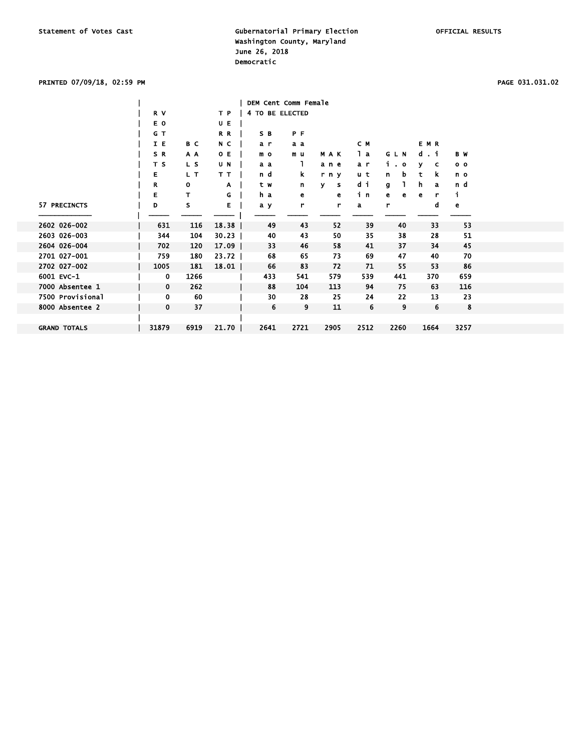### PRINTED 07/09/18, 02:59 PM PAGE 031.031.02

|                     |                |      |         |                 | DEM Cent Comm Female |        |      |        |         |                |
|---------------------|----------------|------|---------|-----------------|----------------------|--------|------|--------|---------|----------------|
|                     | R V            |      | T P     | 4 TO BE ELECTED |                      |        |      |        |         |                |
|                     | E O            |      | UE      |                 |                      |        |      |        |         |                |
|                     | G T            |      | R R     | S B             | P F                  |        |      |        |         |                |
|                     | I E            | B C  | N C     | a r             | a a                  |        | C M  |        | EMR     |                |
|                     | SR             | A A  | O E     | m o             | m u                  | MAK    | lа   | GLN    | d.i     | B W            |
|                     | T <sub>S</sub> | L S  | U N     | a a             | L                    | ane    | a r  | i o    | v<br>c  | 0 <sub>0</sub> |
|                     | Е              | L T  | TТ      | n d             | k.                   | r n y  | u t  | b<br>n | k<br>t  | n o            |
|                     | R              | o    | A       | tw              | n                    | ۷<br>s | di   | g      | h.<br>a | n d            |
|                     | Е              | т    | G       | h a             | е                    | е      | in   | е<br>е | r<br>е  | i.             |
| 57 PRECINCTS        | D              | s    | Е       | a y             | r                    | r      | a    | r      | d       | e              |
|                     |                |      |         |                 |                      |        |      |        |         |                |
| 2602 026-002        | 631            | 116  | 18.38   | 49              | 43                   | 52     | 39   | 40     | 33      | 53             |
| 2603 026-003        | 344            | 104  | 30.23   | 40              | 43                   | 50     | 35   | 38     | 28      | 51             |
| 2604 026-004        | 702            | 120  | $17.09$ | 33              | 46                   | 58     | 41   | 37     | 34      | 45             |
| 2701 027-001        | 759            | 180  | $23.72$ | 68              | 65                   | 73     | 69   | 47     | 40      | 70             |
| 2702 027-002        | 1005           | 181  | 18.01   | 66              | 83                   | 72     | 71   | 55     | 53      | 86             |
| 6001 EVC-1          | 0              | 1266 |         | 433             | 541                  | 579    | 539  | 441    | 370     | 659            |
| 7000 Absentee 1     | 0              | 262  |         | 88              | 104                  | 113    | 94   | 75     | 63      | 116            |
| 7500 Provisional    | 0              | 60   |         | 30              | 28                   | 25     | 24   | 22     | 13      | 23             |
| 8000 Absentee 2     | 0              | 37   |         | 6               | 9                    | 11     | 6    | 9      | 6       | 8              |
|                     |                |      |         |                 |                      |        |      |        |         |                |
| <b>GRAND TOTALS</b> | 31879          | 6919 | $21.70$ | 2641            | 2721                 | 2905   | 2512 | 2260   | 1664    | 3257           |
|                     |                |      |         |                 |                      |        |      |        |         |                |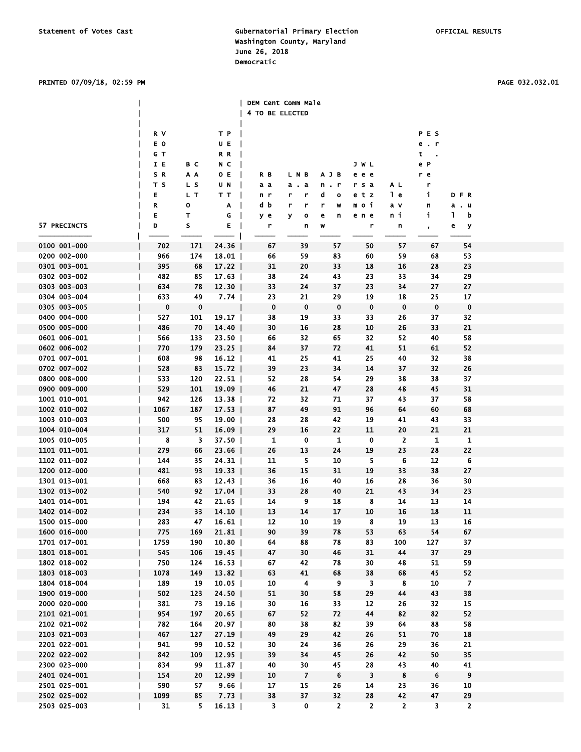### PRINTED 07/09/18, 02:59 PM PAGE 032.032.01

|              |             |                |         | DEM Cent Comm Male      |                         |                  |                         |                |                         |                |
|--------------|-------------|----------------|---------|-------------------------|-------------------------|------------------|-------------------------|----------------|-------------------------|----------------|
|              |             |                |         | 4 TO BE ELECTED         |                         |                  |                         |                |                         |                |
|              |             |                |         |                         |                         |                  |                         |                |                         |                |
|              |             |                |         |                         |                         |                  |                         |                |                         |                |
|              | R V         |                | T P     |                         |                         |                  |                         |                | PES                     |                |
|              | E O         |                | U E     |                         |                         |                  |                         |                | e.r                     |                |
|              | G T         |                | RR      |                         |                         |                  |                         |                | t                       |                |
|              | IE          | вc             | N C     |                         |                         |                  | JWL                     |                | еP                      |                |
|              | S R         | A A            | 0 E     | R B                     | LNB                     | AJB              | e e e                   |                | r e                     |                |
|              | T S         | L S            | UN      | аа                      | . а<br>a                | n . r            | rsa                     | A L            | r                       |                |
|              | Е           | L T            | TT      | n r                     | r<br>r                  | d<br>o           | etz                     | l e            | j.                      | DFR            |
|              | R           | o              | A       | d b                     | r<br>r                  | r<br>W           | moi                     | a v            | n                       | a.u            |
|              |             |                |         |                         |                         |                  |                         |                |                         | L              |
|              | Е           | т              | G       | yе                      | У<br>o                  | e<br>n           | ene                     | ni             | j.                      | b              |
| 57 PRECINCTS | D           | s              | E       | r                       | n                       | W                | r                       | n              |                         | e<br>У         |
|              |             |                |         |                         |                         |                  |                         |                |                         |                |
| 0100 001-000 | 702         | 171            | 24.36   | 67                      | 39                      | 57               | 50                      | 57             | 67                      | 54             |
| 0200 002-000 | 966         | 174            | 18.01   | 66                      | 59                      | 83               | 60                      | 59             | 68                      | 53             |
| 0301 003-001 | 395         | 68             | $17.22$ | 31                      | 20                      | 33               | 18                      | 16             | 28                      | 23             |
| 0302 003-002 | 482         | 85             | $17.63$ | 38                      | 24                      | 43               | 23                      | 33             | 34                      | 29             |
| 0303 003-003 | 634         | 78             | $12.30$ | 33                      | 24                      | 37               | 23                      | 34             | 27                      | 27             |
| 0304 003-004 | 633         | 49             | 7.74    | 23                      | 21                      | 29               | 19                      | 18             | 25                      | 17             |
| 0305 003-005 |             |                |         | $\mathbf 0$             | $\mathbf 0$             | 0                | $\mathbf 0$             | $\mathbf 0$    | $\mathbf 0$             | $\mathbf 0$    |
|              | $\mathbf 0$ | $\mathbf 0$    |         |                         |                         |                  |                         |                |                         |                |
| 0400 004-000 | 527         | 101            | 19.17   | 38                      | 19                      | 33               | 33                      | 26             | 37                      | 32             |
| 0500 005-000 | 486         | 70             | $14.40$ | 30                      | 16                      | 28               | 10                      | 26             | 33                      | 21             |
| 0601 006-001 | 566         | 133            | 23.50   | 66                      | 32                      | 65               | 32                      | 52             | 40                      | 58             |
| 0602 006-002 | 770         | 179            | $23.25$ | 84                      | 37                      | 72               | 41                      | 51             | 61                      | 52             |
| 0701 007-001 | 608         | 98             | $16.12$ | 41                      | 25                      | 41               | 25                      | 40             | 32                      | 38             |
| 0702 007-002 | 528         | 83             | $15.72$ | 39                      | 23                      | 34               | 14                      | 37             | 32                      | 26             |
| 0800 008-000 | 533         | 120            | $22.51$ | 52                      | 28                      | 54               | 29                      | 38             | 38                      | 37             |
| 0900 009-000 | 529         | 101            | $19.09$ | 46                      | 21                      | 47               | 28                      | 48             | 45                      | 31             |
|              |             |                |         |                         |                         |                  |                         |                |                         |                |
| 1001 010-001 | 942         | 126            | $13.38$ | 72                      | 32                      | 71               | 37                      | 43             | 37                      | 58             |
| 1002 010-002 | 1067        | 187            | 17.53   | 87                      | 49                      | 91               | 96                      | 64             | 60                      | 68             |
| 1003 010-003 | 500         | 95             | $19.00$ | 28                      | 28                      | 42               | 19                      | 41             | 43                      | 33             |
| 1004 010-004 | 317         | 51             | 16.09   | 29                      | 16                      | 22               | 11                      | 20             | 21                      | 21             |
| 1005 010-005 | 8           | 3              | 37.50   | 1                       | $\mathbf 0$             | 1                | 0                       | $\overline{2}$ | $\mathbf{1}$            | $\mathbf{1}$   |
| 1101 011-001 | 279         | 66             | 23.66   | 26                      | 13                      | 24               | 19                      | 23             | 28                      | 22             |
| 1102 011-002 | 144         | 35             | 24.31   | 11                      | 5                       | 10               | 5.                      | 6              | 12                      | 6              |
| 1200 012-000 | 481         | 93             | 19.33   | 36                      | 15                      | 31               | 19                      | 33             | 38                      | 27             |
| 1301 013-001 | 668         | 83             | 12.43   | 36                      | 16                      | 40               | 16                      | 28             | 36                      | 30             |
| 1302 013-002 | 540         |                | 17.04   | 33                      | 28                      |                  | 21                      | 43             | 34                      | 23             |
|              |             | 92             |         |                         |                         | 40               |                         |                |                         |                |
| 1401 014-001 | 194         | 42             | $21.65$ | 14                      | 9                       | 18               | 8                       | 14             | 13                      | 14             |
| 1402 014-002 | 234         | 33             | 14.10   | 13                      | 14                      | 17               | 10                      | 16             | 18                      | 11             |
| 1500 015-000 | 283         | 47             | 16.61   | $12\,$                  | ${\bf 10}$              | 19               | 8                       | ${\bf 19}$     | 13                      | 16             |
| 1600 016-000 | 775         | 169            | 21.81   | 90                      | 39                      | 78               | 53                      | 63             | 54                      | 67             |
| 1701 017-001 | 1759        | 190            | 10.80   | 64                      | 88                      | 78               | 83                      | 100            | 127                     | 37             |
| 1801 018-001 | 545         | 106            | 19.45   | 47                      | 30                      | 46               | 31                      | 44             | 37                      | 29             |
| 1802 018-002 | 750         | 124            | $16.53$ | 67                      | 42                      | 78               | 30                      | 48             | 51                      | 59             |
| 1803 018-003 | 1078        | 149            | $13.82$ | 63                      | 41                      | 68               | 38                      | 68             | 45                      | 52             |
| 1804 018-004 | 189         | 19             | 10.05   | 10                      | $\overline{\mathbf{4}}$ | $\boldsymbol{9}$ | $\overline{\mathbf{3}}$ | 8              | 10                      | $\overline{7}$ |
|              |             |                |         |                         |                         |                  |                         |                | 43                      |                |
| 1900 019-000 | 502         | 123            | $24.50$ | 51                      | 30                      | 58               | 29                      | 44             |                         | 38             |
| 2000 020-000 | 381         | 73             | 19.16   | 30                      | 16                      | 33               | 12                      | 26             | 32                      | 15             |
| 2101 021-001 | 954         | 197            | $20.65$ | 67                      | 52                      | 72               | 44                      | 82             | 82                      | 52             |
| 2102 021-002 | 782         | 164            | 20.97   | 80                      | 38                      | 82               | 39                      | 64             | 88                      | 58             |
| 2103 021-003 | 467         | 127            | 27.19   | 49                      | 29                      | 42               | 26                      | 51             | 70                      | 18             |
| 2201 022-001 | 941         | 99             | $10.52$ | 30                      | 24                      | 36               | 26                      | 29             | 36                      | 21             |
| 2202 022-002 | 842         | 109            | 12.95   | 39                      | 34                      | 45               | 26                      | 42             | 50                      | 35             |
| 2300 023-000 | 834         | 99             | 11.87   | 40                      | 30                      | 45               | 28                      | 43             | 40                      | 41             |
| 2401 024-001 | 154         | 20             | $12.99$ | 10                      | $\overline{7}$          | 6                | 3                       | 8              | 6                       | 9              |
|              | 590         | 57             |         | 17                      | 15                      | 26               | 14                      | 23             | 36                      | 10             |
| 2501 025-001 |             |                | 9.66    |                         |                         |                  |                         |                |                         |                |
| 2502 025-002 | 1099        | 85             | 7.73    | 38                      | 37                      | 32               | 28                      | 42             | 47                      | 29             |
| 2503 025-003 | 31          | 5 <sup>7</sup> | 16.13   | $\overline{\mathbf{3}}$ | 0                       | $\overline{2}$   | $\overline{2}$          | $\overline{2}$ | $\overline{\mathbf{3}}$ | $\overline{2}$ |